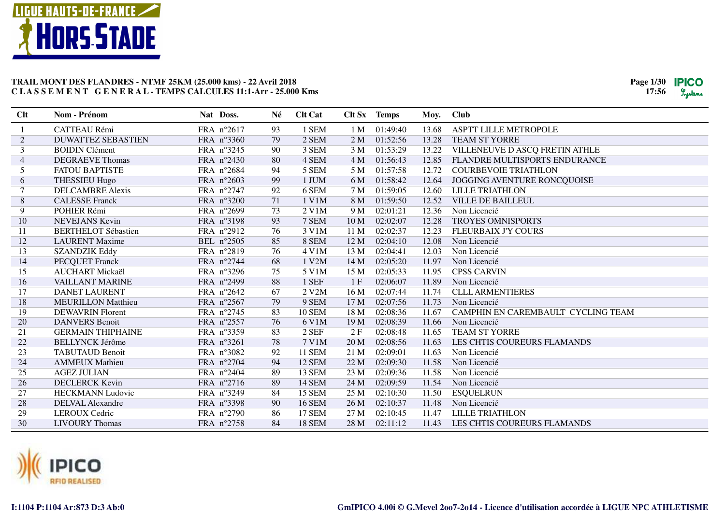

| Clt            | Nom - Prénom               | Nat Doss.  | Né | <b>Clt Cat</b> |                 | Clt Sx Temps | Moy.  | <b>Club</b>                        |
|----------------|----------------------------|------------|----|----------------|-----------------|--------------|-------|------------------------------------|
|                | CATTEAU Rémi               | FRA n°2617 | 93 | 1 SEM          | 1 M             | 01:49:40     | 13.68 | <b>ASPTT LILLE METROPOLE</b>       |
| $\overline{2}$ | <b>DUWATTEZ SEBASTIEN</b>  | FRA n°3360 | 79 | 2 SEM          | 2 <sub>M</sub>  | 01:52:56     | 13.28 | <b>TEAM ST YORRE</b>               |
| 3              | <b>BOIDIN Clément</b>      | FRA n°3245 | 90 | 3 SEM          | 3M              | 01:53:29     | 13.22 | VILLENEUVE D ASCQ FRETIN ATHLE     |
| $\overline{4}$ | <b>DEGRAEVE Thomas</b>     | FRA n°2430 | 80 | 4 SEM          | 4 M             | 01:56:43     | 12.85 | FLANDRE MULTISPORTS ENDURANCE      |
| 5              | <b>FATOU BAPTISTE</b>      | FRA n°2684 | 94 | 5 SEM          | 5 M             | 01:57:58     | 12.72 | <b>COURBEVOIE TRIATHLON</b>        |
| 6              | <b>THESSIEU Hugo</b>       | FRA n°2603 | 99 | 1 JUM          | 6 M             | 01:58:42     | 12.64 | JOGGING AVENTURE RONCQUOISE        |
|                | <b>DELCAMBRE Alexis</b>    | FRA n°2747 | 92 | 6 SEM          | 7 M             | 01:59:05     | 12.60 | <b>LILLE TRIATHLON</b>             |
| 8              | <b>CALESSE Franck</b>      | FRA n°3200 | 71 | 1 V1M          | 8 M             | 01:59:50     | 12.52 | <b>VILLE DE BAILLEUL</b>           |
| 9              | POHIER Rémi                | FRA n°2699 | 73 | 2 V1M          | 9 M             | 02:01:21     | 12.36 | Non Licencié                       |
| 10             | <b>NEVEJANS</b> Kevin      | FRA n°3198 | 93 | 7 SEM          | 10 <sub>M</sub> | 02:02:07     | 12.28 | <b>TROYES OMNISPORTS</b>           |
| 11             | <b>BERTHELOT Sébastien</b> | FRA n°2912 | 76 | 3 V1M          | 11 <sub>M</sub> | 02:02:37     | 12.23 | <b>FLEURBAIX J'Y COURS</b>         |
| 12             | <b>LAURENT</b> Maxime      | BEL n°2505 | 85 | 8 SEM          | 12 <sub>M</sub> | 02:04:10     | 12.08 | Non Licencié                       |
| 13             | <b>SZANDZIK Eddy</b>       | FRA n°2819 | 76 | 4 V1M          | 13 M            | 02:04:41     | 12.03 | Non Licencié                       |
| 14             | <b>PECQUET Franck</b>      | FRA n°2744 | 68 | 1 V2M          | 14 M            | 02:05:20     | 11.97 | Non Licencié                       |
| 15             | <b>AUCHART Mickaël</b>     | FRA n°3296 | 75 | 5 V1M          | 15 M            | 02:05:33     | 11.95 | <b>CPSS CARVIN</b>                 |
| 16             | <b>VAILLANT MARINE</b>     | FRA n°2499 | 88 | 1 SEF          | 1 F             | 02:06:07     | 11.89 | Non Licencié                       |
| 17             | <b>DANET LAURENT</b>       | FRA n°2642 | 67 | 2 V2M          | 16 M            | 02:07:44     | 11.74 | <b>CLLL ARMENTIERES</b>            |
| 18             | <b>MEURILLON Matthieu</b>  | FRA n°2567 | 79 | 9 SEM          | 17 <sub>M</sub> | 02:07:56     | 11.73 | Non Licencié                       |
| 19             | <b>DEWAVRIN Florent</b>    | FRA n°2745 | 83 | <b>10 SEM</b>  | 18 M            | 02:08:36     | 11.67 | CAMPHIN EN CAREMBAULT CYCLING TEAM |
| 20             | <b>DANVERS</b> Benoit      | FRA n°2557 | 76 | 6 V1M          | 19 <sub>M</sub> | 02:08:39     | 11.66 | Non Licencié                       |
| 21             | <b>GERMAIN THIPHAINE</b>   | FRA n°3359 | 83 | 2 SEF          | 2F              | 02:08:48     | 11.65 | <b>TEAM ST YORRE</b>               |
| 22             | <b>BELLYNCK Jérôme</b>     | FRA n°3261 | 78 | 7 V1M          | 20 M            | 02:08:56     | 11.63 | LES CHTIS COUREURS FLAMANDS        |
| 23             | <b>TABUTAUD Benoit</b>     | FRA n°3082 | 92 | <b>11 SEM</b>  | 21 M            | 02:09:01     | 11.63 | Non Licencié                       |
| 24             | <b>AMMEUX Mathieu</b>      | FRA n°2704 | 94 | <b>12 SEM</b>  | 22 M            | 02:09:30     | 11.58 | Non Licencié                       |
| 25             | <b>AGEZ JULIAN</b>         | FRA n°2404 | 89 | <b>13 SEM</b>  | 23 M            | 02:09:36     | 11.58 | Non Licencié                       |
| 26             | <b>DECLERCK Kevin</b>      | FRA n°2716 | 89 | <b>14 SEM</b>  | 24 M            | 02:09:59     | 11.54 | Non Licencié                       |
| 27             | <b>HECKMANN</b> Ludovic    | FRA n°3249 | 84 | <b>15 SEM</b>  | 25 M            | 02:10:30     | 11.50 | <b>ESQUELRUN</b>                   |
| 28             | <b>DELVAL Alexandre</b>    | FRA n°3398 | 90 | <b>16 SEM</b>  | 26 M            | 02:10:37     | 11.48 | Non Licencié                       |
| 29             | <b>LEROUX Cedric</b>       | FRA n°2790 | 86 | <b>17 SEM</b>  | 27 M            | 02:10:45     | 11.47 | <b>LILLE TRIATHLON</b>             |
| 30             | <b>LIVOURY Thomas</b>      | FRA n°2758 | 84 | <b>18 SEM</b>  | 28 M            | 02:11:12     | 11.43 | LES CHTIS COUREURS FLAMANDS        |

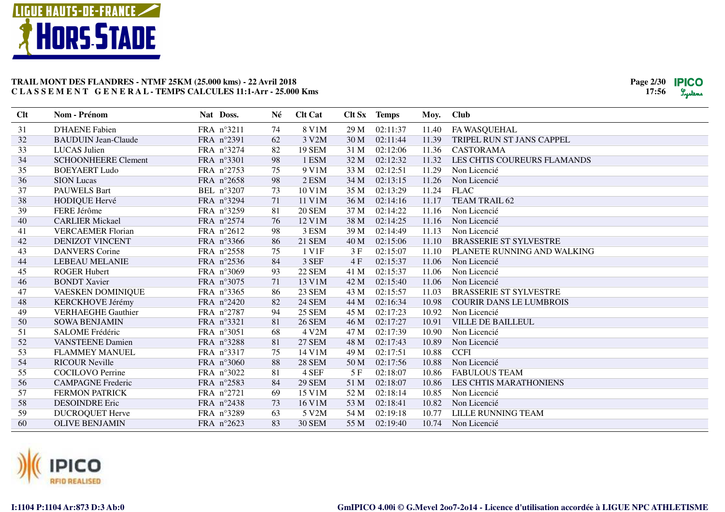

| Clt | Nom - Prénom               | Nat Doss.           | Né | <b>Clt Cat</b> |                 | Clt Sx Temps | Moy.  | <b>Club</b>                    |
|-----|----------------------------|---------------------|----|----------------|-----------------|--------------|-------|--------------------------------|
| 31  | <b>D'HAENE Fabien</b>      | FRA n°3211          | 74 | 8 V1M          | 29 M            | 02:11:37     | 11.40 | FA WASQUEHAL                   |
| 32  | <b>BAUDUIN Jean-Claude</b> | FRA n°2391          | 62 | 3 V2M          | 30 <sub>M</sub> | 02:11:44     | 11.39 | TRIPEL RUN ST JANS CAPPEL      |
| 33  | <b>LUCAS</b> Julien        | FRA n°3274          | 82 | <b>19 SEM</b>  | 31 M            | 02:12:06     | 11.36 | <b>CASTORAMA</b>               |
| 34  | <b>SCHOONHEERE Clement</b> | FRA n°3301          | 98 | 1 ESM          | 32 M            | 02:12:32     | 11.32 | LES CHTIS COUREURS FLAMANDS    |
| 35  | <b>BOEYAERT Ludo</b>       | FRA n°2753          | 75 | 9 V1M          | 33 M            | 02:12:51     | 11.29 | Non Licencié                   |
| 36  | <b>SION</b> Lucas          | FRA n°2658          | 98 | 2 ESM          | 34 M            | 02:13:15     | 11.26 | Non Licencié                   |
| 37  | <b>PAUWELS Bart</b>        | BEL n°3207          | 73 | 10 V1M         | 35 M            | 02:13:29     | 11.24 | <b>FLAC</b>                    |
| 38  | <b>HODIQUE Hervé</b>       | FRA n°3294          | 71 | 11 V1M         | 36 M            | 02:14:16     | 11.17 | <b>TEAM TRAIL 62</b>           |
| 39  | FERE Jérôme                | FRA n°3259          | 81 | <b>20 SEM</b>  | 37 M            | 02:14:22     | 11.16 | Non Licencié                   |
| 40  | <b>CARLIER Mickael</b>     | FRA n°2574          | 76 | 12 V1M         | 38 M            | 02:14:25     | 11.16 | Non Licencié                   |
| 41  | <b>VERCAEMER Florian</b>   | FRA $n^{\circ}2612$ | 98 | 3 ESM          | 39 M            | 02:14:49     | 11.13 | Non Licencié                   |
| 42  | <b>DENIZOT VINCENT</b>     | FRA n°3366          | 86 | 21 SEM         | 40 M            | 02:15:06     | 11.10 | <b>BRASSERIE ST SYLVESTRE</b>  |
| 43  | <b>DANVERS</b> Corine      | FRA n°2558          | 75 | 1 V1F          | 3F              | 02:15:07     | 11.10 | PLANETE RUNNING AND WALKING    |
| 44  | <b>LEBEAU MELANIE</b>      | FRA n°2536          | 84 | 3 SEF          | 4F              | 02:15:37     | 11.06 | Non Licencié                   |
| 45  | <b>ROGER Hubert</b>        | FRA n°3069          | 93 | <b>22 SEM</b>  | 41 M            | 02:15:37     | 11.06 | Non Licencié                   |
| 46  | <b>BONDT Xavier</b>        | FRA n°3075          | 71 | 13 V1M         | 42 M            | 02:15:40     | 11.06 | Non Licencié                   |
| 47  | VAESKEN DOMINIQUE          | FRA n°3365          | 86 | 23 SEM         | 43 M            | 02:15:57     | 11.03 | <b>BRASSERIE ST SYLVESTRE</b>  |
| 48  | KERCKHOVE Jérémy           | FRA n°2420          | 82 | <b>24 SEM</b>  | 44 M            | 02:16:34     | 10.98 | <b>COURIR DANS LE LUMBROIS</b> |
| 49  | <b>VERHAEGHE Gauthier</b>  | FRA n°2787          | 94 | <b>25 SEM</b>  | 45 M            | 02:17:23     | 10.92 | Non Licencié                   |
| 50  | <b>SOWA BENJAMIN</b>       | FRA n°3321          | 81 | <b>26 SEM</b>  | 46 M            | 02:17:27     | 10.91 | <b>VILLE DE BAILLEUL</b>       |
| 51  | <b>SALOME Frédéric</b>     | FRA n°3051          | 68 | 4 V2M          | 47 M            | 02:17:39     | 10.90 | Non Licencié                   |
| 52  | <b>VANSTEENE Damien</b>    | FRA n°3288          | 81 | <b>27 SEM</b>  | 48 M            | 02:17:43     | 10.89 | Non Licencié                   |
| 53  | <b>FLAMMEY MANUEL</b>      | FRA n°3317          | 75 | 14 V1M         | 49 M            | 02:17:51     | 10.88 | <b>CCFI</b>                    |
| 54  | <b>RICOUR Neville</b>      | FRA n°3060          | 88 | <b>28 SEM</b>  | 50 M            | 02:17:56     | 10.88 | Non Licencié                   |
| 55  | <b>COCILOVO</b> Perrine    | FRA n°3022          | 81 | 4 SEF          | 5F              | 02:18:07     | 10.86 | <b>FABULOUS TEAM</b>           |
| 56  | <b>CAMPAGNE Frederic</b>   | FRA n°2583          | 84 | <b>29 SEM</b>  | 51 M            | 02:18:07     | 10.86 | LES CHTIS MARATHONIENS         |
| 57  | <b>FERMON PATRICK</b>      | FRA $n^{\circ}2721$ | 69 | 15 V1M         | 52 M            | 02:18:14     | 10.85 | Non Licencié                   |
| 58  | <b>DESOINDRE Eric</b>      | FRA n°2438          | 73 | 16 V1M         | 53 M            | 02:18:41     | 10.82 | Non Licencié                   |
| 59  | <b>DUCROQUET Herve</b>     | FRA n°3289          | 63 | 5 V2M          | 54 M            | 02:19:18     | 10.77 | LILLE RUNNING TEAM             |
| 60  | <b>OLIVE BENJAMIN</b>      | FRA $n^{\circ}2623$ | 83 | <b>30 SEM</b>  | 55 M            | 02:19:40     | 10.74 | Non Licencié                   |

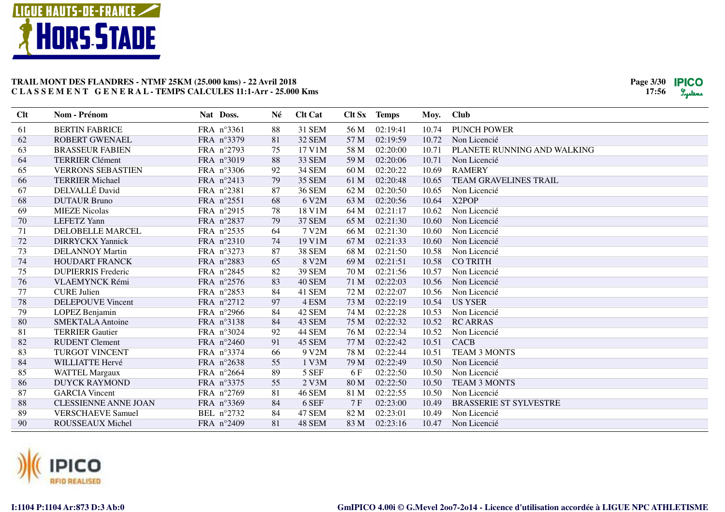

| Clt | Nom - Prénom                | Nat Doss.  | Né | <b>Clt Cat</b> | Clt Sx | <b>Temps</b> | Moy.  | <b>Club</b>                   |
|-----|-----------------------------|------------|----|----------------|--------|--------------|-------|-------------------------------|
| 61  | <b>BERTIN FABRICE</b>       | FRA n°3361 | 88 | 31 SEM         | 56 M   | 02:19:41     | 10.74 | <b>PUNCH POWER</b>            |
| 62  | <b>ROBERT GWENAEL</b>       | FRA n°3379 | 81 | 32 SEM         | 57 M   | 02:19:59     | 10.72 | Non Licencié                  |
| 63  | <b>BRASSEUR FABIEN</b>      | FRA n°2793 | 75 | 17 V1M         | 58 M   | 02:20:00     | 10.71 | PLANETE RUNNING AND WALKING   |
| 64  | <b>TERRIER Clément</b>      | FRA n°3019 | 88 | 33 SEM         | 59 M   | 02:20:06     | 10.71 | Non Licencié                  |
| 65  | <b>VERRONS SEBASTIEN</b>    | FRA n°3306 | 92 | <b>34 SEM</b>  | 60 M   | 02:20:22     | 10.69 | <b>RAMERY</b>                 |
| 66  | <b>TERRIER Michael</b>      | FRA n°2413 | 79 | <b>35 SEM</b>  | 61 M   | 02:20:48     | 10.65 | <b>TEAM GRAVELINES TRAIL</b>  |
| 67  | DELVALLÉ David              | FRA n°2381 | 87 | <b>36 SEM</b>  | 62 M   | 02:20:50     | 10.65 | Non Licencié                  |
| 68  | <b>DUTAUR Bruno</b>         | FRA n°2551 | 68 | 6 V2M          | 63 M   | 02:20:56     | 10.64 | X <sub>2</sub> POP            |
| 69  | <b>MIEZE Nicolas</b>        | FRA n°2915 | 78 | 18 V1M         | 64 M   | 02:21:17     | 10.62 | Non Licencié                  |
| 70  | <b>LEFETZ</b> Yann          | FRA n°2837 | 79 | <b>37 SEM</b>  | 65 M   | 02:21:30     | 10.60 | Non Licencié                  |
| 71  | <b>DELOBELLE MARCEL</b>     | FRA n°2535 | 64 | 7 V2M          | 66 M   | 02:21:30     | 10.60 | Non Licencié                  |
| 72  | <b>DIRRYCKX Yannick</b>     | FRA n°2310 | 74 | 19 V1M         | 67 M   | 02:21:33     | 10.60 | Non Licencié                  |
| 73  | <b>DELANNOY Martin</b>      | FRA nº3273 | 87 | <b>38 SEM</b>  | 68 M   | 02:21:50     | 10.58 | Non Licencié                  |
| 74  | <b>HOUDART FRANCK</b>       | FRA n°2883 | 65 | 8 V2M          | 69 M   | 02:21:51     | 10.58 | <b>CO TRITH</b>               |
| 75  | <b>DUPIERRIS</b> Frederic   | FRA n°2845 | 82 | <b>39 SEM</b>  | 70 M   | 02:21:56     | 10.57 | Non Licencié                  |
| 76  | <b>VLAEMYNCK Rémi</b>       | FRA n°2576 | 83 | 40 SEM         | 71 M   | 02:22:03     | 10.56 | Non Licencié                  |
| 77  | <b>CURE Julien</b>          | FRA n°2853 | 84 | 41 SEM         | 72 M   | 02:22:07     | 10.56 | Non Licencié                  |
| 78  | <b>DELEPOUVE Vincent</b>    | FRA n°2712 | 97 | 4 ESM          | 73 M   | 02:22:19     | 10.54 | <b>US YSER</b>                |
| 79  | LOPEZ Benjamin              | FRA n°2966 | 84 | 42 SEM         | 74 M   | 02:22:28     | 10.53 | Non Licencié                  |
| 80  | <b>SMEKTALA Antoine</b>     | FRA n°3138 | 84 | 43 SEM         | 75 M   | 02:22:32     | 10.52 | <b>RC ARRAS</b>               |
| 81  | <b>TERRIER Gautier</b>      | FRA n°3024 | 92 | 44 SEM         | 76 M   | 02:22:34     | 10.52 | Non Licencié                  |
| 82  | <b>RUDENT Clement</b>       | FRA n°2460 | 91 | 45 SEM         | 77 M   | 02:22:42     | 10.51 | CACB                          |
| 83  | <b>TURGOT VINCENT</b>       | FRA n°3374 | 66 | 9 V2M          | 78 M   | 02:22:44     | 10.51 | <b>TEAM 3 MONTS</b>           |
| 84  | <b>WILLIATTE Hervé</b>      | FRA n°2638 | 55 | 1 V3M          | 79 M   | 02:22:49     | 10.50 | Non Licencié                  |
| 85  | <b>WATTEL Margaux</b>       | FRA n°2664 | 89 | 5 SEF          | 6 F    | 02:22:50     | 10.50 | Non Licencié                  |
| 86  | <b>DUYCK RAYMOND</b>        | FRA n°3375 | 55 | 2 V3M          | 80 M   | 02:22:50     | 10.50 | <b>TEAM 3 MONTS</b>           |
| 87  | <b>GARCIA</b> Vincent       | FRA n°2769 | 81 | <b>46 SEM</b>  | 81 M   | 02:22:55     | 10.50 | Non Licencié                  |
| 88  | <b>CLESSIENNE ANNE JOAN</b> | FRA n°3369 | 84 | 6 SEF          | 7 F    | 02:23:00     | 10.49 | <b>BRASSERIE ST SYLVESTRE</b> |
| 89  | <b>VERSCHAEVE Samuel</b>    | BEL n°2732 | 84 | 47 SEM         | 82 M   | 02:23:01     | 10.49 | Non Licencié                  |
| 90  | ROUSSEAUX Michel            | FRA n°2409 | 81 | 48 SEM         | 83 M   | 02:23:16     | 10.47 | Non Licencié                  |

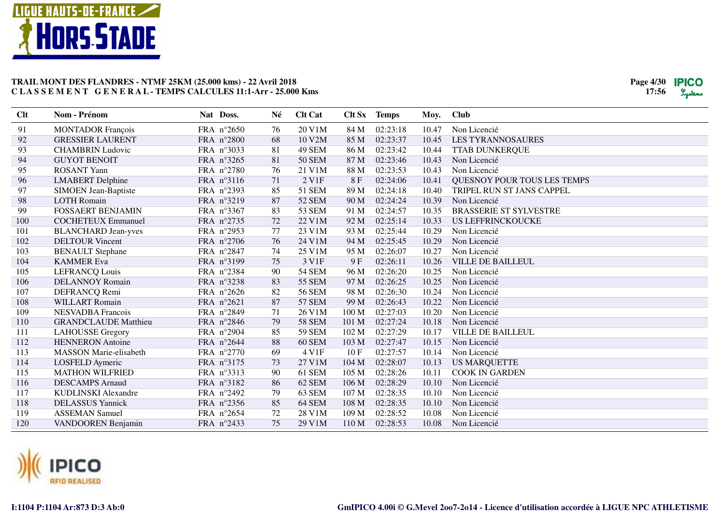

| 91<br><b>MONTADOR François</b><br>FRA n°2650<br>20 V1M<br>84 M<br>02:23:18<br>Non Licencié<br>76<br>10.47<br>92<br>02:23:37<br><b>GRESSIER LAURENT</b><br>FRA n°2800<br>68<br>10 V2M<br>85 M<br>10.45<br><b>LES TYRANNOSAURES</b><br>93<br>49 SEM<br>02:23:42<br><b>CHAMBRIN Ludovic</b><br>FRA n°3033<br>81<br>86 M<br>10.44<br><b>TTAB DUNKERQUE</b><br>94<br><b>GUYOT BENOIT</b><br>FRA n°3265<br>81<br><b>50 SEM</b><br>87 M<br>02:23:46<br>10.43<br>Non Licencié<br>95<br>76<br>02:23:53<br><b>ROSANT Yann</b><br>FRA n°2780<br>21 V1M<br>88 M<br>10.43<br>Non Licencié<br>96<br>2 V1F<br>02:24:06<br><b>QUESNOY POUR TOUS LES TEMPS</b><br><b>LMABERT</b> Delphine<br>FRA n°3116<br>71<br>8F<br>10.41<br>97<br>FRA n°2393<br><b>51 SEM</b><br>89 M<br>02:24:18<br>TRIPEL RUN ST JANS CAPPEL<br>85<br>10.40<br><b>SIMOEN Jean-Baptiste</b><br>98<br>02:24:24<br><b>LOTH Romain</b><br>FRA n°3219<br>52 SEM<br>90 M<br>Non Licencié<br>87<br>10.39 |  |
|--------------------------------------------------------------------------------------------------------------------------------------------------------------------------------------------------------------------------------------------------------------------------------------------------------------------------------------------------------------------------------------------------------------------------------------------------------------------------------------------------------------------------------------------------------------------------------------------------------------------------------------------------------------------------------------------------------------------------------------------------------------------------------------------------------------------------------------------------------------------------------------------------------------------------------------------------------|--|
|                                                                                                                                                                                                                                                                                                                                                                                                                                                                                                                                                                                                                                                                                                                                                                                                                                                                                                                                                        |  |
|                                                                                                                                                                                                                                                                                                                                                                                                                                                                                                                                                                                                                                                                                                                                                                                                                                                                                                                                                        |  |
|                                                                                                                                                                                                                                                                                                                                                                                                                                                                                                                                                                                                                                                                                                                                                                                                                                                                                                                                                        |  |
|                                                                                                                                                                                                                                                                                                                                                                                                                                                                                                                                                                                                                                                                                                                                                                                                                                                                                                                                                        |  |
|                                                                                                                                                                                                                                                                                                                                                                                                                                                                                                                                                                                                                                                                                                                                                                                                                                                                                                                                                        |  |
|                                                                                                                                                                                                                                                                                                                                                                                                                                                                                                                                                                                                                                                                                                                                                                                                                                                                                                                                                        |  |
|                                                                                                                                                                                                                                                                                                                                                                                                                                                                                                                                                                                                                                                                                                                                                                                                                                                                                                                                                        |  |
|                                                                                                                                                                                                                                                                                                                                                                                                                                                                                                                                                                                                                                                                                                                                                                                                                                                                                                                                                        |  |
| 99<br><b>FOSSAERT BENJAMIN</b><br>83<br><b>53 SEM</b><br>02:24:57<br><b>BRASSERIE ST SYLVESTRE</b><br>FRA n°3367<br>91 M<br>10.35                                                                                                                                                                                                                                                                                                                                                                                                                                                                                                                                                                                                                                                                                                                                                                                                                      |  |
| 72<br>22 V1M<br>02:25:14<br>100<br>FRA n°2735<br>92 M<br>10.33<br><b>US LEFFRINCKOUCKE</b><br><b>COCHETEUX Emmanuel</b>                                                                                                                                                                                                                                                                                                                                                                                                                                                                                                                                                                                                                                                                                                                                                                                                                                |  |
| 101<br>FRA n°2953<br>77<br>23 V1M<br>93 M<br>02:25:44<br>Non Licencié<br><b>BLANCHARD Jean-yves</b><br>10.29                                                                                                                                                                                                                                                                                                                                                                                                                                                                                                                                                                                                                                                                                                                                                                                                                                           |  |
| 102<br>FRA n°2706<br>76<br><b>DELTOUR Vincent</b><br>24 V1M<br>94 M<br>02:25:45<br>10.29<br>Non Licencié                                                                                                                                                                                                                                                                                                                                                                                                                                                                                                                                                                                                                                                                                                                                                                                                                                               |  |
| 74<br>$25$ V $1\overline{M}$<br>103<br>FRA n°2847<br>95 M<br>02:26:07<br>10.27<br>Non Licencié<br><b>BENAULT</b> Stephane                                                                                                                                                                                                                                                                                                                                                                                                                                                                                                                                                                                                                                                                                                                                                                                                                              |  |
| FRA nº3199<br>75<br>3 V1F<br>9F<br>02:26:11<br><b>VILLE DE BAILLEUL</b><br>104<br><b>KAMMER Eva</b><br>10.26                                                                                                                                                                                                                                                                                                                                                                                                                                                                                                                                                                                                                                                                                                                                                                                                                                           |  |
| <b>54 SEM</b><br>105<br><b>LEFRANCQ Louis</b><br>FRA nº2384<br>90<br>96 M<br>02:26:20<br>10.25<br>Non Licencié                                                                                                                                                                                                                                                                                                                                                                                                                                                                                                                                                                                                                                                                                                                                                                                                                                         |  |
| 106<br>83<br><b>55 SEM</b><br>FRA n°3238<br>97 M<br>02:26:25<br>10.25<br>Non Licencié<br><b>DELANNOY Romain</b>                                                                                                                                                                                                                                                                                                                                                                                                                                                                                                                                                                                                                                                                                                                                                                                                                                        |  |
| 107<br>82<br><b>56 SEM</b><br>98 M<br>02:26:30<br>10.24<br>DEFRANCQ Remi<br>FRA n°2626<br>Non Licencié                                                                                                                                                                                                                                                                                                                                                                                                                                                                                                                                                                                                                                                                                                                                                                                                                                                 |  |
| 108<br><b>WILLART</b> Romain<br>FRA n°2621<br>87<br><b>57 SEM</b><br>99 M<br>02:26:43<br>10.22<br>Non Licencié                                                                                                                                                                                                                                                                                                                                                                                                                                                                                                                                                                                                                                                                                                                                                                                                                                         |  |
| 100 M<br>02:27:03<br>109<br><b>NESVADBA</b> Francois<br>FRA n°2849<br>71<br>26 V1M<br>10.20<br>Non Licencié                                                                                                                                                                                                                                                                                                                                                                                                                                                                                                                                                                                                                                                                                                                                                                                                                                            |  |
| <b>58 SEM</b><br>02:27:24<br>Non Licencié<br>110<br><b>GRANDCLAUDE Matthieu</b><br>FRA n°2846<br>79<br>101 M<br>10.18                                                                                                                                                                                                                                                                                                                                                                                                                                                                                                                                                                                                                                                                                                                                                                                                                                  |  |
| FRA n°2904<br><b>59 SEM</b><br>102 M<br>02:27:29<br><b>VILLE DE BAILLEUL</b><br>111<br><b>LAHOUSSE</b> Gregory<br>85<br>10.17                                                                                                                                                                                                                                                                                                                                                                                                                                                                                                                                                                                                                                                                                                                                                                                                                          |  |
| 112<br>02:27:47<br><b>HENNERON</b> Antoine<br>FRA n°2644<br>88<br>60 SEM<br>103 M<br>Non Licencié<br>10.15                                                                                                                                                                                                                                                                                                                                                                                                                                                                                                                                                                                                                                                                                                                                                                                                                                             |  |
| 113<br>FRA n°2770<br>69<br>4 V1F<br>10F<br>02:27:57<br><b>MASSON Marie-elisabeth</b><br>10.14<br>Non Licencié                                                                                                                                                                                                                                                                                                                                                                                                                                                                                                                                                                                                                                                                                                                                                                                                                                          |  |
| 114<br>27 V1M<br>LOSFELD Aymeric<br>FRA nº3175<br>73<br>104 M<br>02:28:07<br>10.13<br><b>US MARQUETTE</b>                                                                                                                                                                                                                                                                                                                                                                                                                                                                                                                                                                                                                                                                                                                                                                                                                                              |  |
| 61 SEM<br>115<br><b>MATHON WILFRIED</b><br>FRA n°3313<br>90<br>105 M<br>02:28:26<br><b>COOK IN GARDEN</b><br>10.11                                                                                                                                                                                                                                                                                                                                                                                                                                                                                                                                                                                                                                                                                                                                                                                                                                     |  |
| 116<br>86<br>62 SEM<br>02:28:29<br><b>DESCAMPS</b> Arnaud<br>FRA nº3182<br>106 M<br>10.10<br>Non Licencié                                                                                                                                                                                                                                                                                                                                                                                                                                                                                                                                                                                                                                                                                                                                                                                                                                              |  |
| 117<br>79<br>63 SEM<br><b>KUDLINSKI Alexandre</b><br>FRA n°2492<br>107 M<br>02:28:35<br>10.10<br>Non Licencié                                                                                                                                                                                                                                                                                                                                                                                                                                                                                                                                                                                                                                                                                                                                                                                                                                          |  |
| 118<br><b>DELASSUS</b> Yannick<br>85<br>64 SEM<br>02:28:35<br>FRA n°2356<br>108 <sub>M</sub><br>10.10<br>Non Licencié                                                                                                                                                                                                                                                                                                                                                                                                                                                                                                                                                                                                                                                                                                                                                                                                                                  |  |
| 119<br><b>ASSEMAN Samuel</b><br>FRA n°2654<br>72<br>28 V1M<br>109 M<br>02:28:52<br>10.08<br>Non Licencié                                                                                                                                                                                                                                                                                                                                                                                                                                                                                                                                                                                                                                                                                                                                                                                                                                               |  |
| 75<br>120<br>FRA n°2433<br>29 V1M<br>110 M<br>02:28:53<br>10.08<br>Non Licencié<br>VANDOOREN Benjamin                                                                                                                                                                                                                                                                                                                                                                                                                                                                                                                                                                                                                                                                                                                                                                                                                                                  |  |

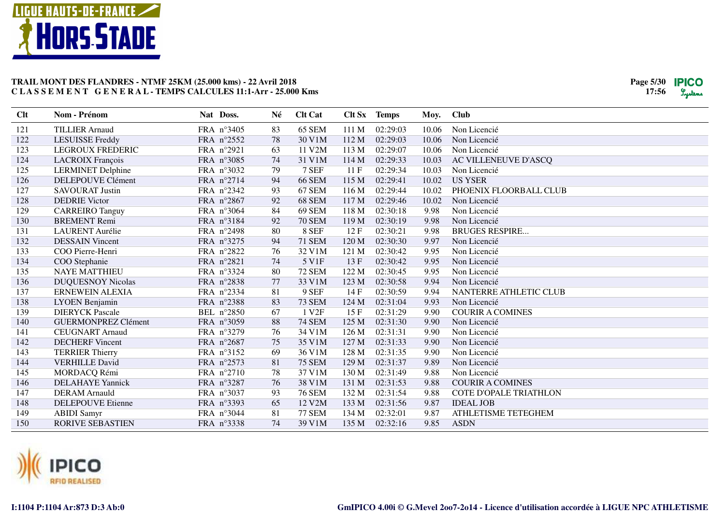

| <b>TILLIER Arnaud</b><br>65 SEM<br>121<br>FRA n°3405<br>111 M<br>02:29:03<br>Non Licencié<br>83<br>10.06<br>122<br>78<br>30 V1M<br>112 M<br>02:29:03<br><b>LESUISSE Freddy</b><br>FRA n°2552<br>10.06<br>Non Licencié<br>11 V2M<br>02:29:07<br>123<br><b>LEGROUX FREDERIC</b><br>FRA n°2921<br>63<br>113 M<br>10.06<br>Non Licencié<br>31 V1M<br>124<br><b>LACROIX François</b><br>FRA n°3085<br>74<br>114 M<br>02:29:33<br>10.03<br>AC VILLENEUVE D'ASCO |  |
|-----------------------------------------------------------------------------------------------------------------------------------------------------------------------------------------------------------------------------------------------------------------------------------------------------------------------------------------------------------------------------------------------------------------------------------------------------------|--|
|                                                                                                                                                                                                                                                                                                                                                                                                                                                           |  |
|                                                                                                                                                                                                                                                                                                                                                                                                                                                           |  |
|                                                                                                                                                                                                                                                                                                                                                                                                                                                           |  |
|                                                                                                                                                                                                                                                                                                                                                                                                                                                           |  |
| 125<br>7 SEF<br>02:29:34<br>10.03<br><b>LERMINET Delphine</b><br>FRA n°3032<br>79<br>11F<br>Non Licencié                                                                                                                                                                                                                                                                                                                                                  |  |
| <b>DELEPOUVE Clément</b><br>94<br><b>66 SEM</b><br>02:29:41<br>10.02<br><b>US YSER</b><br>126<br>FRA n°2714<br>115 M                                                                                                                                                                                                                                                                                                                                      |  |
| 127<br>FRA n°2342<br>93<br>67 SEM<br>02:29:44<br>PHOENIX FLOORBALL CLUB<br><b>SAVOURAT Justin</b><br>116 M<br>10.02                                                                                                                                                                                                                                                                                                                                       |  |
| 128<br>68 SEM<br>02:29:46<br><b>DEDRIE Victor</b><br>FRA n°2867<br>92<br>117 M<br>10.02<br>Non Licencié                                                                                                                                                                                                                                                                                                                                                   |  |
| 84<br>129<br>FRA n°3064<br>69 SEM<br>118 M<br>02:30:18<br>9.98<br>Non Licencié<br><b>CARREIRO</b> Tanguy                                                                                                                                                                                                                                                                                                                                                  |  |
| 130<br>92<br><b>70 SEM</b><br>02:30:19<br>9.98<br><b>BREMENT</b> Remi<br>FRA nº3184<br>119 M<br>Non Licencié                                                                                                                                                                                                                                                                                                                                              |  |
| 131<br><b>LAURENT</b> Aurélie<br>FRA n°2498<br>80<br>8 SEF<br>02:30:21<br><b>BRUGES RESPIRE</b><br>12 F<br>9.98                                                                                                                                                                                                                                                                                                                                           |  |
| 132<br><b>DESSAIN Vincent</b><br>FRA n°3275<br>94<br><b>71 SEM</b><br>120 M<br>02:30:30<br>Non Licencié<br>9.97                                                                                                                                                                                                                                                                                                                                           |  |
| 133<br>76<br>32 V1M<br>Non Licencié<br>COO Pierre-Henri<br>FRA n°2822<br>121 M<br>02:30:42<br>9.95                                                                                                                                                                                                                                                                                                                                                        |  |
| FRA n°2821<br>5 V1F<br>13F<br>02:30:42<br>Non Licencié<br>134<br>COO Stephanie<br>74<br>9.95                                                                                                                                                                                                                                                                                                                                                              |  |
| 135<br>FRA n°3324<br>80<br><b>72 SEM</b><br>122 M<br>02:30:45<br><b>NAYE MATTHIEU</b><br>9.95<br>Non Licencié                                                                                                                                                                                                                                                                                                                                             |  |
| 136<br>FRA n°2838<br>77<br>33 V1M<br>9.94<br><b>DUQUESNOY Nicolas</b><br>123 M<br>02:30:58<br>Non Licencié                                                                                                                                                                                                                                                                                                                                                |  |
| 9 SEF<br>137<br><b>ERNEWEIN ALEXIA</b><br>FRA n°2334<br>81<br>02:30:59<br>9.94<br>NANTERRE ATHLETIC CLUB<br>14 F                                                                                                                                                                                                                                                                                                                                          |  |
| 138<br>FRA n°2388<br>83<br><b>73 SEM</b><br>LYOEN Benjamin<br>124 M<br>02:31:04<br>9.93<br>Non Licencié                                                                                                                                                                                                                                                                                                                                                   |  |
| 139<br><b>DIERYCK Pascale</b><br>BEL n°2850<br>67<br>1 V <sub>2F</sub><br>15F<br>02:31:29<br>9.90<br><b>COURIR A COMINES</b>                                                                                                                                                                                                                                                                                                                              |  |
| 88<br><b>74 SEM</b><br>125 M<br>02:31:30<br>Non Licencié<br>140<br><b>GUERMONPREZ Clément</b><br>FRA n°3059<br>9.90                                                                                                                                                                                                                                                                                                                                       |  |
| FRA n°3279<br>76<br>34 V1M<br>02:31:31<br>141<br><b>CEUGNART Arnaud</b><br>126 M<br>9.90<br>Non Licencié                                                                                                                                                                                                                                                                                                                                                  |  |
| 142<br>75<br>35 V1M<br>127 M<br>02:31:33<br><b>DECHERF Vincent</b><br>FRA n°2687<br>9.90<br>Non Licencié                                                                                                                                                                                                                                                                                                                                                  |  |
| 143<br>FRA nº3152<br>69<br>36 V1M<br>128 M<br>02:31:35<br>9.90<br><b>TERRIER Thierry</b><br>Non Licencié                                                                                                                                                                                                                                                                                                                                                  |  |
| 144<br><b>75 SEM</b><br>02:31:37<br><b>VERHILLE David</b><br>FRA n°2573<br>81<br>129 M<br>9.89<br>Non Licencié                                                                                                                                                                                                                                                                                                                                            |  |
| 78<br>37 V1M<br>02:31:49<br>145<br>MORDACQ Rémi<br>FRA n°2710<br>130 M<br>9.88<br>Non Licencié                                                                                                                                                                                                                                                                                                                                                            |  |
| 146<br>38 V1M<br>02:31:53<br><b>COURIR A COMINES</b><br><b>DELAHAYE</b> Yannick<br>FRA n°3287<br>76<br>131 M<br>9.88                                                                                                                                                                                                                                                                                                                                      |  |
| 147<br>93<br><b>76 SEM</b><br>02:31:54<br><b>COTE D'OPALE TRIATHLON</b><br><b>DERAM</b> Arnauld<br>FRA n°3037<br>132 M<br>9.88                                                                                                                                                                                                                                                                                                                            |  |
| 148<br>FRA n°3393<br>65<br>12 V2M<br>133 M<br>02:31:56<br><b>IDEAL JOB</b><br><b>DELEPOUVE Etienne</b><br>9.87                                                                                                                                                                                                                                                                                                                                            |  |
| 149<br>81<br><b>77 SEM</b><br><b>ABIDI</b> Samyr<br>FRA n°3044<br>134 M<br>02:32:01<br>9.87<br>ATHLETISME TETEGHEM                                                                                                                                                                                                                                                                                                                                        |  |
| 74<br>150<br><b>RORIVE SEBASTIEN</b><br>FRA n°3338<br>39 V1M<br>135 M<br>02:32:16<br>9.85<br><b>ASDN</b>                                                                                                                                                                                                                                                                                                                                                  |  |

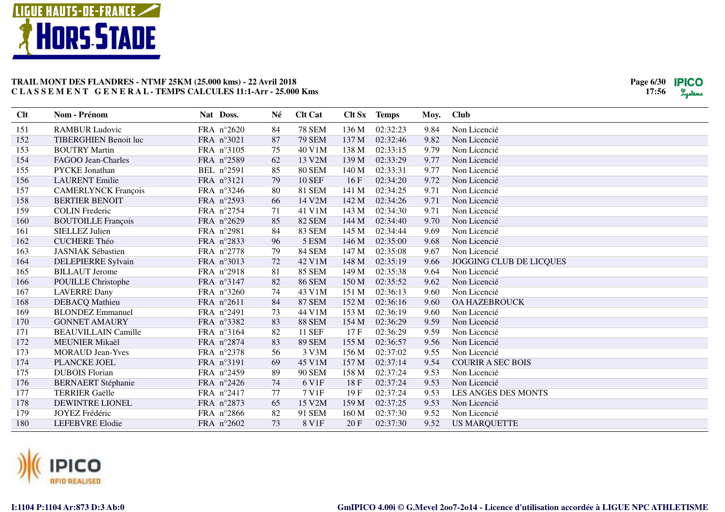

| Clt | Nom - Prénom                 | Nat Doss.  | Né | <b>Clt Cat</b> | Clt Sx | <b>Temps</b> | Moy. | <b>Club</b>              |
|-----|------------------------------|------------|----|----------------|--------|--------------|------|--------------------------|
| 151 | <b>RAMBUR Ludovic</b>        | FRA n°2620 | 84 | <b>78 SEM</b>  | 136 M  | 02:32:23     | 9.84 | Non Licencié             |
| 152 | <b>TIBERGHIEN Benoit luc</b> | FRA n°3021 | 87 | <b>79 SEM</b>  | 137 M  | 02:32:46     | 9.82 | Non Licencié             |
| 153 | <b>BOUTRY Martin</b>         | FRA n°3105 | 75 | 40 V1M         | 138 M  | 02:33:15     | 9.79 | Non Licencié             |
| 154 | FAGOO Jean-Charles           | FRA n°2589 | 62 | 13 V2M         | 139 M  | 02:33:29     | 9.77 | Non Licencié             |
| 155 | PYCKE Jonathan               | BEL n°2591 | 85 | <b>80 SEM</b>  | 140 M  | 02:33:31     | 9.77 | Non Licencié             |
| 156 | <b>LAURENT</b> Emilie        | FRA n°3121 | 79 | <b>10 SEF</b>  | 16F    | 02:34:20     | 9.72 | Non Licencié             |
| 157 | <b>CAMERLYNCK François</b>   | FRA n°3246 | 80 | <b>81 SEM</b>  | 141 M  | 02:34:25     | 9.71 | Non Licencié             |
| 158 | <b>BERTIER BENOIT</b>        | FRA n°2593 | 66 | 14 V2M         | 142 M  | 02:34:26     | 9.71 | Non Licencié             |
| 159 | <b>COLIN</b> Frederic        | FRA n°2754 | 71 | 41 V1M         | 143 M  | 02:34:30     | 9.71 | Non Licencié             |
| 160 | <b>BOUTOILLE François</b>    | FRA n°2629 | 85 | <b>82 SEM</b>  | 144 M  | 02:34:40     | 9.70 | Non Licencié             |
| 161 | <b>SIELLEZ Julien</b>        | FRA n°2981 | 84 | <b>83 SEM</b>  | 145 M  | 02:34:44     | 9.69 | Non Licencié             |
| 162 | <b>CUCHERE Théo</b>          | FRA n°2833 | 96 | 5 ESM          | 146 M  | 02:35:00     | 9.68 | Non Licencié             |
| 163 | <b>JASNIAK Sébastien</b>     | FRA n°2778 | 79 | <b>84 SEM</b>  | 147 M  | 02:35:08     | 9.67 | Non Licencié             |
| 164 | DELEPIERRE Sylvain           | FRA n°3013 | 72 | 42 V1M         | 148 M  | 02:35:19     | 9.66 | JOGGING CLUB DE LICQUES  |
| 165 | <b>BILLAUT</b> Jerome        | FRA n°2918 | 81 | <b>85 SEM</b>  | 149 M  | 02:35:38     | 9.64 | Non Licencié             |
| 166 | POUILLE Christophe           | FRA nº3147 | 82 | <b>86 SEM</b>  | 150 M  | 02:35:52     | 9.62 | Non Licencié             |
| 167 | <b>LAVERRE Dany</b>          | FRA n°3260 | 74 | 43 V1M         | 151 M  | 02:36:13     | 9.60 | Non Licencié             |
| 168 | <b>DEBACQ</b> Mathieu        | FRA n°2611 | 84 | <b>87 SEM</b>  | 152 M  | 02:36:16     | 9.60 | <b>OA HAZEBROUCK</b>     |
| 169 | <b>BLONDEZ</b> Emmanuel      | FRA n°2491 | 73 | 44 V1M         | 153 M  | 02:36:19     | 9.60 | Non Licencié             |
| 170 | <b>GONNET AMAURY</b>         | FRA n°3382 | 83 | <b>88 SEM</b>  | 154 M  | 02:36:29     | 9.59 | Non Licencié             |
| 171 | <b>BEAUVILLAIN Camille</b>   | FRA nº3164 | 82 | <b>11 SEF</b>  | 17F    | 02:36:29     | 9.59 | Non Licencié             |
| 172 | <b>MEUNIER Mikaël</b>        | FRA n°2874 | 83 | <b>89 SEM</b>  | 155 M  | 02:36:57     | 9.56 | Non Licencié             |
| 173 | <b>MORAUD Jean-Yves</b>      | FRA n°2378 | 56 | 3 V3M          | 156 M  | 02:37:02     | 9.55 | Non Licencié             |
| 174 | PLANCKE JOEL                 | FRA nº3191 | 69 | 45 V1M         | 157 M  | 02:37:14     | 9.54 | <b>COURIR A SEC BOIS</b> |
| 175 | <b>DUBOIS Florian</b>        | FRA n°2459 | 89 | <b>90 SEM</b>  | 158 M  | 02:37:24     | 9.53 | Non Licencié             |
| 176 | <b>BERNAERT</b> Stéphanie    | FRA n°2426 | 74 | 6 V1F          | 18F    | 02:37:24     | 9.53 | Non Licencié             |
| 177 | <b>TERRIER Gaëlle</b>        | FRA n°2417 | 77 | 7 V1F          | 19F    | 02:37:24     | 9.53 | LES ANGES DES MONTS      |
| 178 | <b>DEWINTRE LIONEL</b>       | FRA n°2873 | 65 | 15 V2M         | 159 M  | 02:37:25     | 9.53 | Non Licencié             |
| 179 | JOYEZ Frédéric               | FRA n°2866 | 82 | 91 SEM         | 160 M  | 02:37:30     | 9.52 | Non Licencié             |
| 180 | <b>LEFEBVRE Elodie</b>       | FRA n°2602 | 73 | 8 V1F          | 20F    | 02:37:30     | 9.52 | <b>US MARQUETTE</b>      |

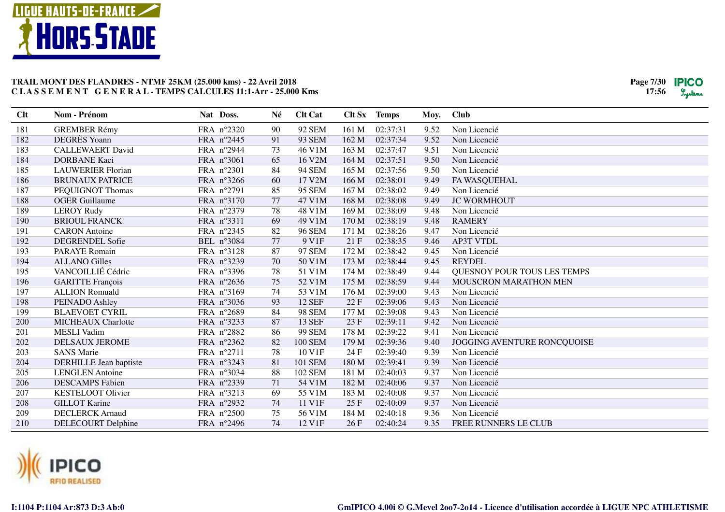

| Clt | Nom - Prénom              | Nat Doss.  | Né | <b>Clt Cat</b> |       | Clt Sx Temps | Moy. | <b>Club</b>                 |
|-----|---------------------------|------------|----|----------------|-------|--------------|------|-----------------------------|
| 181 | <b>GREMBER Rémy</b>       | FRA n°2320 | 90 | 92 SEM         | 161 M | 02:37:31     | 9.52 | Non Licencié                |
| 182 | <b>DEGRÈS</b> Yoann       | FRA n°2445 | 91 | 93 SEM         | 162 M | 02:37:34     | 9.52 | Non Licencié                |
| 183 | <b>CALLEWAERT David</b>   | FRA n°2944 | 73 | 46 V1M         | 163 M | 02:37:47     | 9.51 | Non Licencié                |
| 184 | <b>DORBANE Kaci</b>       | FRA n°3061 | 65 | 16 V2M         | 164 M | 02:37:51     | 9.50 | Non Licencié                |
| 185 | <b>LAUWERIER Florian</b>  | FRA n°2301 | 84 | <b>94 SEM</b>  | 165 M | 02:37:56     | 9.50 | Non Licencié                |
| 186 | <b>BRUNAUX PATRICE</b>    | FRA n°3266 | 60 | 17 V2M         | 166 M | 02:38:01     | 9.49 | FA WASQUEHAL                |
| 187 | PEQUIGNOT Thomas          | FRA n°2791 | 85 | 95 SEM         | 167 M | 02:38:02     | 9.49 | Non Licencié                |
| 188 | <b>OGER Guillaume</b>     | FRA n°3170 | 77 | 47 V1M         | 168 M | 02:38:08     | 9.49 | <b>JC WORMHOUT</b>          |
| 189 | <b>LEROY Rudy</b>         | FRA n°2379 | 78 | 48 V1M         | 169 M | 02:38:09     | 9.48 | Non Licencié                |
| 190 | <b>BRIOUL FRANCK</b>      | FRA n°3311 | 69 | 49 V1M         | 170 M | 02:38:19     | 9.48 | <b>RAMERY</b>               |
| 191 | <b>CARON</b> Antoine      | FRA n°2345 | 82 | <b>96 SEM</b>  | 171 M | 02:38:26     | 9.47 | Non Licencié                |
| 192 | <b>DEGRENDEL Sofie</b>    | BEL n°3084 | 77 | 9 V1F          | 21F   | 02:38:35     | 9.46 | <b>AP3T VTDL</b>            |
| 193 | <b>PARAYE</b> Romain      | FRA n°3128 | 87 | 97 SEM         | 172 M | 02:38:42     | 9.45 | Non Licencié                |
| 194 | <b>ALLANO Gilles</b>      | FRA n°3239 | 70 | 50 V1M         | 173 M | 02:38:44     | 9.45 | <b>REYDEL</b>               |
| 195 | VANCOILLIÉ Cédric         | FRA nº3396 | 78 | 51 V1M         | 174 M | 02:38:49     | 9.44 | QUESNOY POUR TOUS LES TEMPS |
| 196 | <b>GARITTE François</b>   | FRA n°2636 | 75 | 52 V1M         | 175 M | 02:38:59     | 9.44 | MOUSCRON MARATHON MEN       |
| 197 | <b>ALLION Romuald</b>     | FRA nº3169 | 74 | 53 V1M         | 176 M | 02:39:00     | 9.43 | Non Licencié                |
| 198 | PEINADO Ashley            | FRA n°3036 | 93 | <b>12 SEF</b>  | 22F   | 02:39:06     | 9.43 | Non Licencié                |
| 199 | <b>BLAEVOET CYRIL</b>     | FRA n°2689 | 84 | <b>98 SEM</b>  | 177 M | 02:39:08     | 9.43 | Non Licencié                |
| 200 | <b>MICHEAUX Charlotte</b> | FRA n°3233 | 87 | <b>13 SEF</b>  | 23F   | 02:39:11     | 9.42 | Non Licencié                |
| 201 | <b>MESLI</b> Vadim        | FRA n°2882 | 86 | <b>99 SEM</b>  | 178 M | 02:39:22     | 9.41 | Non Licencié                |
| 202 | <b>DELSAUX JEROME</b>     | FRA n°2362 | 82 | <b>100 SEM</b> | 179 M | 02:39:36     | 9.40 | JOGGING AVENTURE RONCQUOISE |
| 203 | <b>SANS Marie</b>         | FRA n°2711 | 78 | 10 V1F         | 24 F  | 02:39:40     | 9.39 | Non Licencié                |
| 204 | DERHILLE Jean baptiste    | FRA n°3243 | 81 | 101 SEM        | 180 M | 02:39:41     | 9.39 | Non Licencié                |
| 205 | <b>LENGLEN</b> Antoine    | FRA n°3034 | 88 | 102 SEM        | 181 M | 02:40:03     | 9.37 | Non Licencié                |
| 206 | <b>DESCAMPS</b> Fabien    | FRA n°2339 | 71 | 54 V1M         | 182 M | 02:40:06     | 9.37 | Non Licencié                |
| 207 | KESTELOOT Olivier         | FRA nº3213 | 69 | 55 V1M         | 183 M | 02:40:08     | 9.37 | Non Licencié                |
| 208 | <b>GILLOT Karine</b>      | FRA n°2932 | 74 | 11 V1F         | 25 F  | 02:40:09     | 9.37 | Non Licencié                |
| 209 | <b>DECLERCK Arnaud</b>    | FRA n°2500 | 75 | 56 V1M         | 184 M | 02:40:18     | 9.36 | Non Licencié                |
| 210 | <b>DELECOURT Delphine</b> | FRA n°2496 | 74 | 12 V1F         | 26F   | 02:40:24     | 9.35 | FREE RUNNERS LE CLUB        |

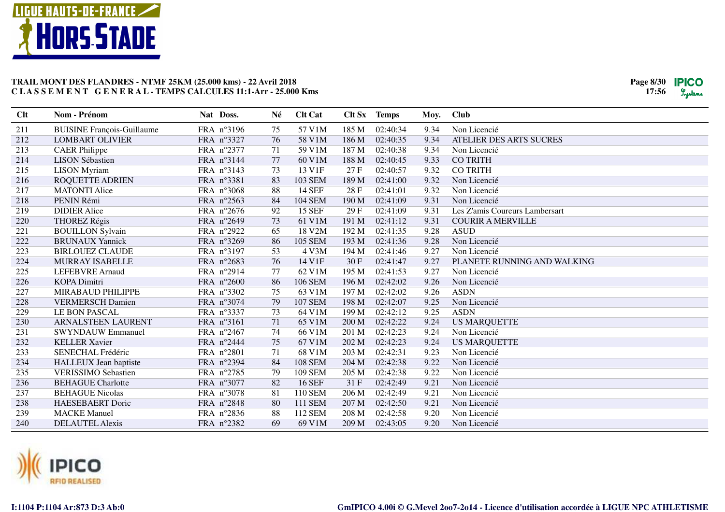

| Clt | Nom - Prénom                      | Nat Doss.  | Né | <b>Clt Cat</b> | Clt Sx | <b>Temps</b> | Moy. | <b>Club</b>                    |
|-----|-----------------------------------|------------|----|----------------|--------|--------------|------|--------------------------------|
| 211 | <b>BUISINE François-Guillaume</b> | FRA nº3196 | 75 | 57 V1M         | 185 M  | 02:40:34     | 9.34 | Non Licencié                   |
| 212 | <b>LOMBART OLIVIER</b>            | FRA n°3327 | 76 | 58 V1M         | 186 M  | 02:40:35     | 9.34 | ATELIER DES ARTS SUCRES        |
| 213 | <b>CAER Philippe</b>              | FRA n°2377 | 71 | 59 V1M         | 187 M  | 02:40:38     | 9.34 | Non Licencié                   |
| 214 | <b>LISON Sébastien</b>            | FRA nº3144 | 77 | 60 V1M         | 188 M  | 02:40:45     | 9.33 | <b>CO TRITH</b>                |
| 215 | <b>LISON</b> Myriam               | FRA n°3143 | 73 | 13 V1F         | 27 F   | 02:40:57     | 9.32 | <b>CO TRITH</b>                |
| 216 | <b>ROQUETTE ADRIEN</b>            | FRA n°3381 | 83 | 103 SEM        | 189 M  | 02:41:00     | 9.32 | Non Licencié                   |
| 217 | <b>MATONTI Alice</b>              | FRA n°3068 | 88 | <b>14 SEF</b>  | 28 F   | 02:41:01     | 9.32 | Non Licencié                   |
| 218 | PENIN Rémi                        | FRA n°2563 | 84 | <b>104 SEM</b> | 190 M  | 02:41:09     | 9.31 | Non Licencié                   |
| 219 | <b>DIDIER Alice</b>               | FRA n°2676 | 92 | <b>15 SEF</b>  | 29F    | 02:41:09     | 9.31 | Les Z'amis Coureurs Lambersart |
| 220 | <b>THOREZ Régis</b>               | FRA n°2649 | 73 | 61 V1M         | 191 M  | 02:41:12     | 9.31 | <b>COURIR A MERVILLE</b>       |
| 221 | <b>BOUILLON Sylvain</b>           | FRA n°2922 | 65 | 18 V2M         | 192 M  | 02:41:35     | 9.28 | <b>ASUD</b>                    |
| 222 | <b>BRUNAUX Yannick</b>            | FRA n°3269 | 86 | <b>105 SEM</b> | 193 M  | 02:41:36     | 9.28 | Non Licencié                   |
| 223 | <b>BIRLOUEZ CLAUDE</b>            | FRA n°3197 | 53 | 4 V3M          | 194 M  | 02:41:46     | 9.27 | Non Licencié                   |
| 224 | <b>MURRAY ISABELLE</b>            | FRA n°2683 | 76 | 14 V1F         | 30F    | 02:41:47     | 9.27 | PLANETE RUNNING AND WALKING    |
| 225 | <b>LEFEBVRE</b> Arnaud            | FRA n°2914 | 77 | 62 V1M         | 195 M  | 02:41:53     | 9.27 | Non Licencié                   |
| 226 | <b>KOPA Dimitri</b>               | FRA n°2600 | 86 | 106 SEM        | 196 M  | 02:42:02     | 9.26 | Non Licencié                   |
| 227 | MIRABAUD PHILIPPE                 | FRA n°3302 | 75 | 63 V1M         | 197 M  | 02:42:02     | 9.26 | <b>ASDN</b>                    |
| 228 | <b>VERMERSCH Damien</b>           | FRA n°3074 | 79 | <b>107 SEM</b> | 198 M  | 02:42:07     | 9.25 | Non Licencié                   |
| 229 | LE BON PASCAL                     | FRA n°3337 | 73 | 64 V1M         | 199 M  | 02:42:12     | 9.25 | <b>ASDN</b>                    |
| 230 | ARNALSTEEN LAURENT                | FRA n°3161 | 71 | 65 V1M         | 200 M  | 02:42:22     | 9.24 | <b>US MARQUETTE</b>            |
| 231 | <b>SWYNDAUW Emmanuel</b>          | FRA n°2467 | 74 | 66 V1M         | 201 M  | 02:42:23     | 9.24 | Non Licencié                   |
| 232 | <b>KELLER Xavier</b>              | FRA n°2444 | 75 | 67 V1M         | 202 M  | 02:42:23     | 9.24 | <b>US MARQUETTE</b>            |
| 233 | SENECHAL Frédéric                 | FRA n°2801 | 71 | 68 V1M         | 203 M  | 02:42:31     | 9.23 | Non Licencié                   |
| 234 | <b>HALLEUX</b> Jean baptiste      | FRA n°2394 | 84 | <b>108 SEM</b> | 204 M  | 02:42:38     | 9.22 | Non Licencié                   |
| 235 | <b>VERISSIMO Sebastien</b>        | FRA n°2785 | 79 | 109 SEM        | 205 M  | 02:42:38     | 9.22 | Non Licencié                   |
| 236 | <b>BEHAGUE Charlotte</b>          | FRA n°3077 | 82 | <b>16 SEF</b>  | 31 F   | 02:42:49     | 9.21 | Non Licencié                   |
| 237 | <b>BEHAGUE Nicolas</b>            | FRA n°3078 | 81 | 110 SEM        | 206 M  | 02:42:49     | 9.21 | Non Licencié                   |
| 238 | <b>HAESEBAERT</b> Doric           | FRA n°2848 | 80 | 111 SEM        | 207 M  | 02:42:50     | 9.21 | Non Licencié                   |
| 239 | <b>MACKE</b> Manuel               | FRA n°2836 | 88 | 112 SEM        | 208 M  | 02:42:58     | 9.20 | Non Licencié                   |
| 240 | <b>DELAUTEL Alexis</b>            | FRA n°2382 | 69 | 69 V1M         | 209 M  | 02:43:05     | 9.20 | Non Licencié                   |
|     |                                   |            |    |                |        |              |      |                                |

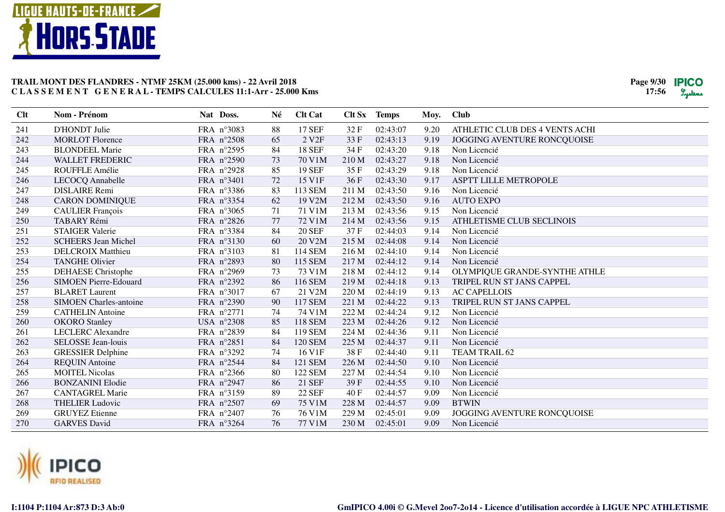

| Clt | <b>Nom - Prénom</b>           | Nat Doss.  | Né     | <b>Clt Cat</b>    |       | Clt Sx Temps | Moy. | <b>Club</b>                    |
|-----|-------------------------------|------------|--------|-------------------|-------|--------------|------|--------------------------------|
| 241 | D'HONDT Julie                 | FRA n°3083 | 88     | <b>17 SEF</b>     | 32F   | 02:43:07     | 9.20 | ATHLETIC CLUB DES 4 VENTS ACHI |
| 242 | <b>MORLOT</b> Florence        | FRA n°2508 | 65     | 2 V <sub>2F</sub> | 33 F  | 02:43:13     | 9.19 | JOGGING AVENTURE RONCQUOISE    |
| 243 | <b>BLONDEEL Marie</b>         | FRA n°2595 | 84     | <b>18 SEF</b>     | 34 F  | 02:43:20     | 9.18 | Non Licencié                   |
| 244 | <b>WALLET FREDERIC</b>        | FRA n°2590 | 73     | 70 V1M            | 210 M | 02:43:27     | 9.18 | Non Licencié                   |
| 245 | ROUFFLE Amélie                | FRA n°2928 | 85     | <b>19 SEF</b>     | 35F   | 02:43:29     | 9.18 | Non Licencié                   |
| 246 | LECOCQ Annabelle              | FRA n°3401 | 72     | 15 V1F            | 36F   | 02:43:30     | 9.17 | ASPTT LILLE METROPOLE          |
| 247 | <b>DISLAIRE</b> Remi          | FRA n°3386 | 83     | 113 SEM           | 211 M | 02:43:50     | 9.16 | Non Licencié                   |
| 248 | <b>CARON DOMINIQUE</b>        | FRA n°3354 | 62     | 19 V2M            | 212 M | 02:43:50     | 9.16 | <b>AUTO EXPO</b>               |
| 249 | <b>CAULIER François</b>       | FRA n°3065 | 71     | 71 V1M            | 213 M | 02:43:56     | 9.15 | Non Licencié                   |
| 250 | TABARY Rémi                   | FRA n°2826 | $77\,$ | 72 V1M            | 214 M | 02:43:56     | 9.15 | ATHLETISME CLUB SECLINOIS      |
| 251 | <b>STAIGER Valerie</b>        | FRA n°3384 | 84     | <b>20 SEF</b>     | 37F   | 02:44:03     | 9.14 | Non Licencié                   |
| 252 | <b>SCHEERS Jean Michel</b>    | FRA n°3130 | 60     | 20 V2M            | 215 M | 02:44:08     | 9.14 | Non Licencié                   |
| 253 | <b>DELCROIX Matthieu</b>      | FRA n°3103 | 81     | 114 SEM           | 216 M | 02:44:10     | 9.14 | Non Licencié                   |
| 254 | <b>TANGHE Olivier</b>         | FRA n°2893 | 80     | 115 SEM           | 217 M | 02:44:12     | 9.14 | Non Licencié                   |
| 255 | DEHAESE Christophe            | FRA n°2969 | 73     | 73 V1M            | 218 M | 02:44:12     | 9.14 | OLYMPIQUE GRANDE-SYNTHE ATHLE  |
| 256 | <b>SIMOEN Pierre-Edouard</b>  | FRA n°2392 | 86     | 116 SEM           | 219 M | 02:44:18     | 9.13 | TRIPEL RUN ST JANS CAPPEL      |
| 257 | <b>BLARET</b> Laurent         | FRA n°3017 | 67     | 21 V2M            | 220 M | 02:44:19     | 9.13 | <b>AC CAPELLOIS</b>            |
| 258 | <b>SIMOEN</b> Charles-antoine | FRA n°2390 | 90     | <b>117 SEM</b>    | 221 M | 02:44:22     | 9.13 | TRIPEL RUN ST JANS CAPPEL      |
| 259 | <b>CATHELIN Antoine</b>       | FRA n°2771 | 74     | 74 V1M            | 222 M | 02:44:24     | 9.12 | Non Licencié                   |
| 260 | <b>OKORO</b> Stanley          | USA n°2308 | 85     | 118 SEM           | 223 M | 02:44:26     | 9.12 | Non Licencié                   |
| 261 | <b>LECLERC</b> Alexandre      | FRA n°2839 | 84     | 119 SEM           | 224 M | 02:44:36     | 9.11 | Non Licencié                   |
| 262 | SELOSSE Jean-louis            | FRA n°2851 | 84     | <b>120 SEM</b>    | 225 M | 02:44:37     | 9.11 | Non Licencié                   |
| 263 | <b>GRESSIER Delphine</b>      | FRA n°3292 | 74     | 16 V1F            | 38F   | 02:44:40     | 9.11 | TEAM TRAIL 62                  |
| 264 | <b>REQUIN Antoine</b>         | FRA n°2544 | 84     | 121 SEM           | 226 M | 02:44:50     | 9.10 | Non Licencié                   |
| 265 | <b>MOITEL Nicolas</b>         | FRA n°2366 | 80     | <b>122 SEM</b>    | 227 M | 02:44:54     | 9.10 | Non Licencié                   |
| 266 | <b>BONZANINI Elodie</b>       | FRA n°2947 | 86     | 21 SEF            | 39 F  | 02:44:55     | 9.10 | Non Licencié                   |
| 267 | <b>CANTAGREL Marie</b>        | FRA nº3159 | 89     | <b>22 SEF</b>     | 40 F  | 02:44:57     | 9.09 | Non Licencié                   |
| 268 | <b>THELIER Ludovic</b>        | FRA n°2507 | 69     | 75 V1M            | 228 M | 02:44:57     | 9.09 | <b>BTWIN</b>                   |
| 269 | <b>GRUYEZ</b> Etienne         | FRA n°2407 | 76     | 76 V1M            | 229 M | 02:45:01     | 9.09 | JOGGING AVENTURE RONCQUOISE    |
| 270 | <b>GARVES David</b>           | FRA n°3264 | 76     | 77 V1M            | 230 M | 02:45:01     | 9.09 | Non Licencié                   |

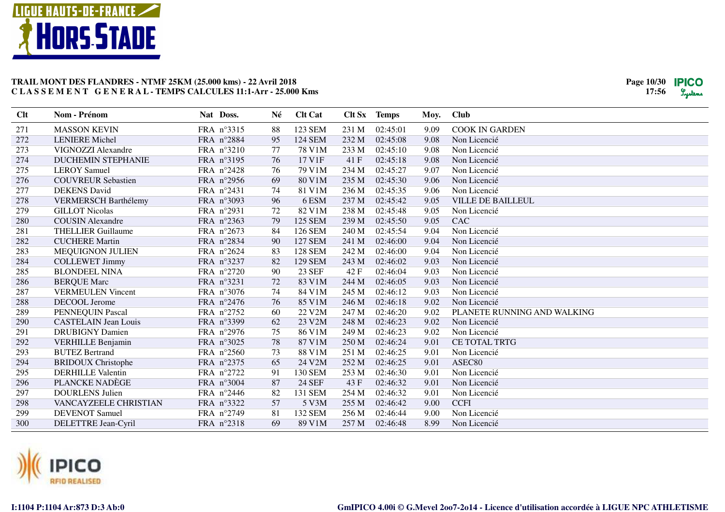

| Clt | Nom - Prénom                | Nat Doss.  | Né | <b>Clt Cat</b> |       | Clt Sx Temps | Moy. | <b>Club</b>                 |
|-----|-----------------------------|------------|----|----------------|-------|--------------|------|-----------------------------|
| 271 | <b>MASSON KEVIN</b>         | FRA nº3315 | 88 | 123 SEM        | 231 M | 02:45:01     | 9.09 | <b>COOK IN GARDEN</b>       |
| 272 | <b>LENIERE</b> Michel       | FRA n°2884 | 95 | <b>124 SEM</b> | 232 M | 02:45:08     | 9.08 | Non Licencié                |
| 273 | VIGNOZZI Alexandre          | FRA n°3210 | 77 | 78 V1M         | 233 M | 02:45:10     | 9.08 | Non Licencié                |
| 274 | <b>DUCHEMIN STEPHANIE</b>   | FRA n°3195 | 76 | 17 V1F         | 41F   | 02:45:18     | 9.08 | Non Licencié                |
| 275 | <b>LEROY Samuel</b>         | FRA n°2428 | 76 | 79 V1M         | 234 M | 02:45:27     | 9.07 | Non Licencié                |
| 276 | <b>COUVREUR Sebastien</b>   | FRA n°2956 | 69 | 80 V1M         | 235 M | 02:45:30     | 9.06 | Non Licencié                |
| 277 | <b>DEKENS</b> David         | FRA n°2431 | 74 | 81 V1M         | 236 M | 02:45:35     | 9.06 | Non Licencié                |
| 278 | <b>VERMERSCH Barthélemy</b> | FRA n°3093 | 96 | 6 ESM          | 237 M | 02:45:42     | 9.05 | <b>VILLE DE BAILLEUL</b>    |
| 279 | <b>GILLOT Nicolas</b>       | FRA n°2931 | 72 | 82 V1M         | 238 M | 02:45:48     | 9.05 | Non Licencié                |
| 280 | <b>COUSIN</b> Alexandre     | FRA n°2363 | 79 | <b>125 SEM</b> | 239 M | 02:45:50     | 9.05 | CAC                         |
| 281 | <b>THELLIER Guillaume</b>   | FRA n°2673 | 84 | 126 SEM        | 240 M | 02:45:54     | 9.04 | Non Licencié                |
| 282 | <b>CUCHERE Martin</b>       | FRA n°2834 | 90 | <b>127 SEM</b> | 241 M | 02:46:00     | 9.04 | Non Licencié                |
| 283 | <b>MEQUIGNON JULIEN</b>     | FRA n°2624 | 83 | <b>128 SEM</b> | 242 M | 02:46:00     | 9.04 | Non Licencié                |
| 284 | <b>COLLEWET Jimmy</b>       | FRA n°3237 | 82 | <b>129 SEM</b> | 243 M | 02:46:02     | 9.03 | Non Licencié                |
| 285 | <b>BLONDEEL NINA</b>        | FRA n°2720 | 90 | <b>23 SEF</b>  | 42F   | 02:46:04     | 9.03 | Non Licencié                |
| 286 | <b>BERQUE Marc</b>          | FRA n°3231 | 72 | 83 V1M         | 244 M | 02:46:05     | 9.03 | Non Licencié                |
| 287 | <b>VERMEULEN Vincent</b>    | FRA n°3076 | 74 | 84 V1M         | 245 M | 02:46:12     | 9.03 | Non Licencié                |
| 288 | DECOOL Jerome               | FRA n°2476 | 76 | 85 V1M         | 246 M | 02:46:18     | 9.02 | Non Licencié                |
| 289 | PENNEQUIN Pascal            | FRA n°2752 | 60 | 22 V2M         | 247 M | 02:46:20     | 9.02 | PLANETE RUNNING AND WALKING |
| 290 | <b>CASTELAIN</b> Jean Louis | FRA n°3399 | 62 | 23 V2M         | 248 M | 02:46:23     | 9.02 | Non Licencié                |
| 291 | <b>DRUBIGNY Damien</b>      | FRA n°2976 | 75 | 86 V1M         | 249 M | 02:46:23     | 9.02 | Non Licencié                |
| 292 | <b>VERHILLE Benjamin</b>    | FRA n°3025 | 78 | 87 V1M         | 250 M | 02:46:24     | 9.01 | <b>CE TOTAL TRTG</b>        |
| 293 | <b>BUTEZ Bertrand</b>       | FRA n°2560 | 73 | 88 V1M         | 251 M | 02:46:25     | 9.01 | Non Licencié                |
| 294 | <b>BRIDOUX Christophe</b>   | FRA n°2375 | 65 | 24 V2M         | 252 M | 02:46:25     | 9.01 | ASEC80                      |
| 295 | <b>DERHILLE Valentin</b>    | FRA n°2722 | 91 | 130 SEM        | 253 M | 02:46:30     | 9.01 | Non Licencié                |
| 296 | PLANCKE NADÈGE              | FRA n°3004 | 87 | 24 SEF         | 43 F  | 02:46:32     | 9.01 | Non Licencié                |
| 297 | <b>DOURLENS Julien</b>      | FRA n°2446 | 82 | 131 SEM        | 254 M | 02:46:32     | 9.01 | Non Licencié                |
| 298 | VANCAYZEELE CHRISTIAN       | FRA n°3322 | 57 | 5 V3M          | 255 M | 02:46:42     | 9.00 | <b>CCFI</b>                 |
| 299 | <b>DEVENOT</b> Samuel       | FRA n°2749 | 81 | 132 SEM        | 256 M | 02:46:44     | 9.00 | Non Licencié                |
| 300 | DELETTRE Jean-Cyril         | FRA n°2318 | 69 | 89 V1M         | 257 M | 02:46:48     | 8.99 | Non Licencié                |

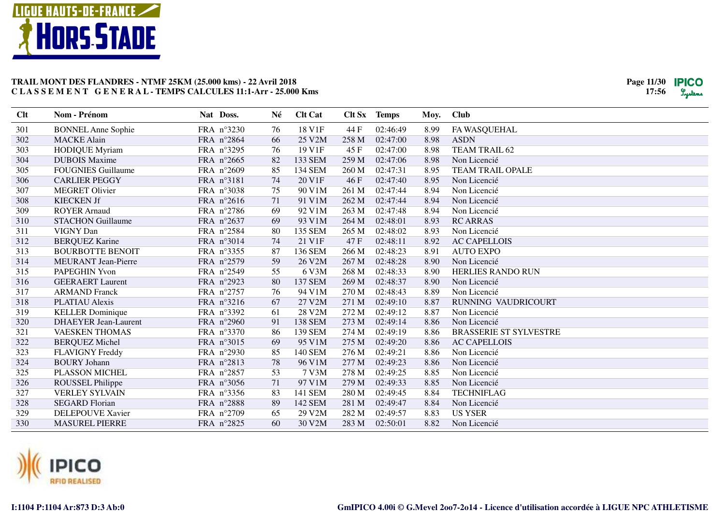

| Clt | Nom - Prénom                | Nat Doss.  | Né | <b>Clt Cat</b> | Clt Sx | <b>Temps</b> | Moy. | Club                          |
|-----|-----------------------------|------------|----|----------------|--------|--------------|------|-------------------------------|
| 301 | <b>BONNEL Anne Sophie</b>   | FRA n°3230 | 76 | 18 V1F         | 44 F   | 02:46:49     | 8.99 | FA WASQUEHAL                  |
| 302 | <b>MACKE Alain</b>          | FRA n°2864 | 66 | 25 V2M         | 258 M  | 02:47:00     | 8.98 | <b>ASDN</b>                   |
| 303 | <b>HODIQUE Myriam</b>       | FRA n°3295 | 76 | 19 V1F         | 45F    | 02:47:00     | 8.98 | TEAM TRAIL 62                 |
| 304 | <b>DUBOIS Maxime</b>        | FRA n°2665 | 82 | 133 SEM        | 259 M  | 02:47:06     | 8.98 | Non Licencié                  |
| 305 | <b>FOUGNIES Guillaume</b>   | FRA n°2609 | 85 | 134 SEM        | 260 M  | 02:47:31     | 8.95 | TEAM TRAIL OPALE              |
| 306 | <b>CARLIER PEGGY</b>        | FRA n°3181 | 74 | 20 V1F         | 46 F   | 02:47:40     | 8.95 | Non Licencié                  |
| 307 | <b>MEGRET Olivier</b>       | FRA n°3038 | 75 | 90 V1M         | 261 M  | 02:47:44     | 8.94 | Non Licencié                  |
| 308 | <b>KIECKEN Jf</b>           | FRA n°2616 | 71 | 91 V1M         | 262 M  | 02:47:44     | 8.94 | Non Licencié                  |
| 309 | <b>ROYER Arnaud</b>         | FRA n°2786 | 69 | 92 V1M         | 263 M  | 02:47:48     | 8.94 | Non Licencié                  |
| 310 | <b>STACHON Guillaume</b>    | FRA n°2637 | 69 | 93 V1M         | 264 M  | 02:48:01     | 8.93 | <b>RC ARRAS</b>               |
| 311 | VIGNY Dan                   | FRA n°2584 | 80 | 135 SEM        | 265 M  | 02:48:02     | 8.93 | Non Licencié                  |
| 312 | <b>BERQUEZ Karine</b>       | FRA n°3014 | 74 | 21 V1F         | 47 F   | 02:48:11     | 8.92 | <b>AC CAPELLOIS</b>           |
| 313 | <b>BOURBOTTE BENOIT</b>     | FRA n°3355 | 87 | 136 SEM        | 266 M  | 02:48:23     | 8.91 | <b>AUTO EXPO</b>              |
| 314 | <b>MEURANT</b> Jean-Pierre  | FRA n°2579 | 59 | 26 V2M         | 267 M  | 02:48:28     | 8.90 | Non Licencié                  |
| 315 | PAPEGHIN Yvon               | FRA n°2549 | 55 | 6 V3M          | 268 M  | 02:48:33     | 8.90 | <b>HERLIES RANDO RUN</b>      |
| 316 | <b>GEERAERT</b> Laurent     | FRA n°2923 | 80 | <b>137 SEM</b> | 269 M  | 02:48:37     | 8.90 | Non Licencié                  |
| 317 | <b>ARMAND</b> Franck        | FRA n°2757 | 76 | 94 V1M         | 270 M  | 02:48:43     | 8.89 | Non Licencié                  |
| 318 | <b>PLATIAU</b> Alexis       | FRA n°3216 | 67 | 27 V2M         | 271 M  | 02:49:10     | 8.87 | RUNNING VAUDRICOURT           |
| 319 | <b>KELLER</b> Dominique     | FRA n°3392 | 61 | 28 V2M         | 272 M  | 02:49:12     | 8.87 | Non Licencié                  |
| 320 | <b>DHAEYER Jean-Laurent</b> | FRA n°2960 | 91 | <b>138 SEM</b> | 273 M  | 02:49:14     | 8.86 | Non Licencié                  |
| 321 | <b>VAESKEN THOMAS</b>       | FRA n°3370 | 86 | 139 SEM        | 274 M  | 02:49:19     | 8.86 | <b>BRASSERIE ST SYLVESTRE</b> |
| 322 | <b>BERQUEZ Michel</b>       | FRA n°3015 | 69 | 95 V1M         | 275 M  | 02:49:20     | 8.86 | <b>AC CAPELLOIS</b>           |
| 323 | <b>FLAVIGNY Freddy</b>      | FRA n°2930 | 85 | 140 SEM        | 276 M  | 02:49:21     | 8.86 | Non Licencié                  |
| 324 | <b>BOURY Johann</b>         | FRA n°2813 | 78 | 96 V1M         | 277 M  | 02:49:23     | 8.86 | Non Licencié                  |
| 325 | PLASSON MICHEL              | FRA n°2857 | 53 | 7 V3M          | 278 M  | 02:49:25     | 8.85 | Non Licencié                  |
| 326 | ROUSSEL Philippe            | FRA n°3056 | 71 | 97 V1M         | 279 M  | 02:49:33     | 8.85 | Non Licencié                  |
| 327 | <b>VERLEY SYLVAIN</b>       | FRA n°3356 | 83 | 141 SEM        | 280 M  | 02:49:45     | 8.84 | <b>TECHNIFLAG</b>             |
| 328 | <b>SEGARD Florian</b>       | FRA n°2888 | 89 | 142 SEM        | 281 M  | 02:49:47     | 8.84 | Non Licencié                  |
| 329 | DELEPOUVE Xavier            | FRA n°2709 | 65 | 29 V2M         | 282 M  | 02:49:57     | 8.83 | <b>US YSER</b>                |
| 330 | <b>MASUREL PIERRE</b>       | FRA n°2825 | 60 | 30 V2M         | 283 M  | 02:50:01     | 8.82 | Non Licencié                  |

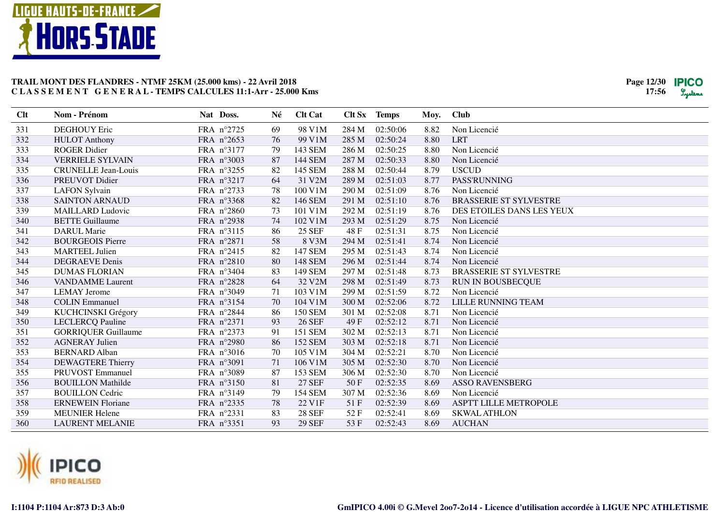

| Clt | Nom - Prénom               | Nat Doss.  | Né | <b>Clt Cat</b> |       | Clt Sx Temps | Moy. | <b>Club</b>                   |
|-----|----------------------------|------------|----|----------------|-------|--------------|------|-------------------------------|
| 331 | <b>DEGHOUY Eric</b>        | FRA n°2725 | 69 | 98 V1M         | 284 M | 02:50:06     | 8.82 | Non Licencié                  |
| 332 | <b>HULOT</b> Anthony       | FRA n°2653 | 76 | 99 V1M         | 285 M | 02:50:24     | 8.80 | <b>LRT</b>                    |
| 333 | <b>ROGER Didier</b>        | FRA n°3177 | 79 | 143 SEM        | 286 M | 02:50:25     | 8.80 | Non Licencié                  |
| 334 | <b>VERRIELE SYLVAIN</b>    | FRA n°3003 | 87 | 144 SEM        | 287 M | 02:50:33     | 8.80 | Non Licencié                  |
| 335 | <b>CRUNELLE Jean-Louis</b> | FRA n°3255 | 82 | 145 SEM        | 288 M | 02:50:44     | 8.79 | <b>USCUD</b>                  |
| 336 | PREUVOT Didier             | FRA n°3217 | 64 | 31 V2M         | 289 M | 02:51:03     | 8.77 | <b>PASS'RUNNING</b>           |
| 337 | <b>LAFON Sylvain</b>       | FRA n°2733 | 78 | 100 V1M        | 290 M | 02:51:09     | 8.76 | Non Licencié                  |
| 338 | <b>SAINTON ARNAUD</b>      | FRA n°3368 | 82 | 146 SEM        | 291 M | 02:51:10     | 8.76 | <b>BRASSERIE ST SYLVESTRE</b> |
| 339 | <b>MAILLARD Ludovic</b>    | FRA n°2860 | 73 | 101 V1M        | 292 M | 02:51:19     | 8.76 | DES ETOILES DANS LES YEUX     |
| 340 | <b>BETTE Guillaume</b>     | FRA n°2938 | 74 | 102 V1M        | 293 M | 02:51:29     | 8.75 | Non Licencié                  |
| 341 | <b>DARUL Marie</b>         | FRA n°3115 | 86 | <b>25 SEF</b>  | 48 F  | 02:51:31     | 8.75 | Non Licencié                  |
| 342 | <b>BOURGEOIS Pierre</b>    | FRA n°2871 | 58 | 8 V3M          | 294 M | 02:51:41     | 8.74 | Non Licencié                  |
| 343 | <b>MARTEEL Julien</b>      | FRA n°2415 | 82 | <b>147 SEM</b> | 295 M | 02:51:43     | 8.74 | Non Licencié                  |
| 344 | <b>DEGRAEVE Denis</b>      | FRA n°2810 | 80 | 148 SEM        | 296 M | 02:51:44     | 8.74 | Non Licencié                  |
| 345 | <b>DUMAS FLORIAN</b>       | FRA n°3404 | 83 | 149 SEM        | 297 M | 02:51:48     | 8.73 | <b>BRASSERIE ST SYLVESTRE</b> |
| 346 | <b>VANDAMME</b> Laurent    | FRA n°2828 | 64 | 32 V2M         | 298 M | 02:51:49     | 8.73 | <b>RUN IN BOUSBECQUE</b>      |
| 347 | <b>LEMAY</b> Jerome        | FRA n°3049 | 71 | 103 V1M        | 299 M | 02:51:59     | 8.72 | Non Licencié                  |
| 348 | <b>COLIN Emmanuel</b>      | FRA n°3154 | 70 | 104 V1M        | 300 M | 02:52:06     | 8.72 | LILLE RUNNING TEAM            |
| 349 | KUCHCINSKI Grégory         | FRA n°2844 | 86 | <b>150 SEM</b> | 301 M | 02:52:08     | 8.71 | Non Licencié                  |
| 350 | <b>LECLERCQ Pauline</b>    | FRA n°2371 | 93 | <b>26 SEF</b>  | 49 F  | 02:52:12     | 8.71 | Non Licencié                  |
| 351 | <b>GORRIQUER Guillaume</b> | FRA n°2373 | 91 | <b>151 SEM</b> | 302 M | 02:52:13     | 8.71 | Non Licencié                  |
| 352 | <b>AGNERAY Julien</b>      | FRA n°2980 | 86 | <b>152 SEM</b> | 303 M | 02:52:18     | 8.71 | Non Licencié                  |
| 353 | <b>BERNARD</b> Alban       | FRA n°3016 | 70 | 105 V1M        | 304 M | 02:52:21     | 8.70 | Non Licencié                  |
| 354 | <b>DEWAGTERE Thierry</b>   | FRA n°3091 | 71 | 106 V1M        | 305 M | 02:52:30     | 8.70 | Non Licencié                  |
| 355 | PRUVOST Emmanuel           | FRA n°3089 | 87 | 153 SEM        | 306 M | 02:52:30     | 8.70 | Non Licencié                  |
| 356 | <b>BOUILLON Mathilde</b>   | FRA n°3150 | 81 | <b>27 SEF</b>  | 50F   | 02:52:35     | 8.69 | <b>ASSO RAVENSBERG</b>        |
| 357 | <b>BOUILLON</b> Cedric     | FRA n°3149 | 79 | <b>154 SEM</b> | 307 M | 02:52:36     | 8.69 | Non Licencié                  |
| 358 | <b>ERNEWEIN Floriane</b>   | FRA n°2335 | 78 | 22 V1F         | 51 F  | 02:52:39     | 8.69 | <b>ASPTT LILLE METROPOLE</b>  |
| 359 | <b>MEUNIER Helene</b>      | FRA n°2331 | 83 | <b>28 SEF</b>  | 52F   | 02:52:41     | 8.69 | <b>SKWAL ATHLON</b>           |
| 360 | <b>LAURENT MELANIE</b>     | FRA n°3351 | 93 | <b>29 SEF</b>  | 53 F  | 02:52:43     | 8.69 | <b>AUCHAN</b>                 |

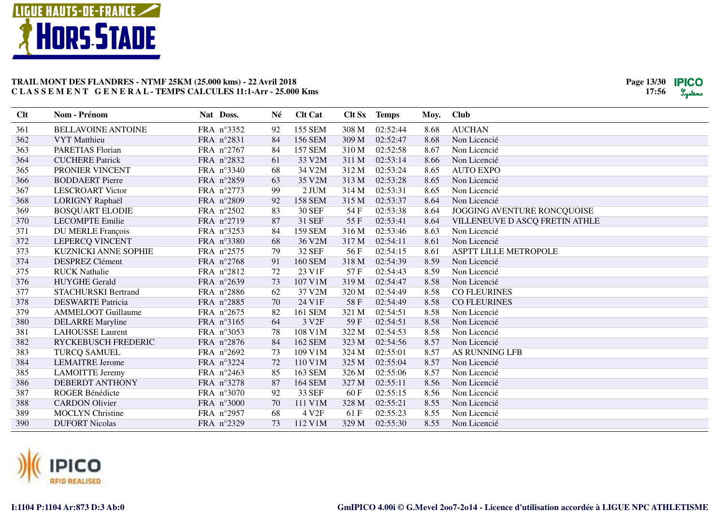

| Clt | Nom - Prénom                | Nat Doss.  | Né | <b>Clt Cat</b>    | Clt Sx | <b>Temps</b> | Moy. | <b>Club</b>                    |
|-----|-----------------------------|------------|----|-------------------|--------|--------------|------|--------------------------------|
| 361 | <b>BELLAVOINE ANTOINE</b>   | FRA n°3352 | 92 | <b>155 SEM</b>    | 308 M  | 02:52:44     | 8.68 | <b>AUCHAN</b>                  |
| 362 | <b>VYT</b> Matthieu         | FRA n°2831 | 84 | 156 SEM           | 309 M  | 02:52:47     | 8.68 | Non Licencié                   |
| 363 | <b>PARETIAS Florian</b>     | FRA n°2767 | 84 | <b>157 SEM</b>    | 310 M  | 02:52:58     | 8.67 | Non Licencié                   |
| 364 | <b>CUCHERE Patrick</b>      | FRA n°2832 | 61 | 33 V2M            | 311 M  | 02:53:14     | 8.66 | Non Licencié                   |
| 365 | PRONIER VINCENT             | FRA n°3340 | 68 | 34 V2M            | 312 M  | 02:53:24     | 8.65 | <b>AUTO EXPO</b>               |
| 366 | <b>BODDAERT</b> Pierre      | FRA n°2859 | 63 | 35 V2M            | 313 M  | 02:53:28     | 8.65 | Non Licencié                   |
| 367 | <b>LESCROART Victor</b>     | FRA n°2773 | 99 | $2$ JUM           | 314 M  | 02:53:31     | 8.65 | Non Licencié                   |
| 368 | LORIGNY Raphaël             | FRA n°2809 | 92 | <b>158 SEM</b>    | 315 M  | 02:53:37     | 8.64 | Non Licencié                   |
| 369 | <b>BOSQUART ELODIE</b>      | FRA n°2502 | 83 | <b>30 SEF</b>     | 54 F   | 02:53:38     | 8.64 | JOGGING AVENTURE RONCQUOISE    |
| 370 | <b>LECOMPTE Emilie</b>      | FRA n°2719 | 87 | 31 SEF            | 55F    | 02:53:41     | 8.64 | VILLENEUVE D ASCQ FRETIN ATHLE |
| 371 | DU MERLE François           | FRA n°3253 | 84 | <b>159 SEM</b>    | 316 M  | 02:53:46     | 8.63 | Non Licencié                   |
| 372 | LEPERCQ VINCENT             | FRA n°3380 | 68 | 36 V2M            | 317 M  | 02:54:11     | 8.61 | Non Licencié                   |
| 373 | <b>KUZNICKI ANNE SOPHIE</b> | FRA n°2575 | 79 | <b>32 SEF</b>     | 56 F   | 02:54:15     | 8.61 | <b>ASPTT LILLE METROPOLE</b>   |
| 374 | <b>DESPREZ Clément</b>      | FRA n°2768 | 91 | <b>160 SEM</b>    | 318 M  | 02:54:39     | 8.59 | Non Licencié                   |
| 375 | <b>RUCK Nathalie</b>        | FRA n°2812 | 72 | 23 V1F            | 57F    | 02:54:43     | 8.59 | Non Licencié                   |
| 376 | <b>HUYGHE Gerald</b>        | FRA n°2639 | 73 | 107 V1M           | 319 M  | 02:54:47     | 8.58 | Non Licencié                   |
| 377 | <b>STACHURSKI Bertrand</b>  | FRA n°2886 | 62 | 37 V2M            | 320 M  | 02:54:49     | 8.58 | <b>CO FLEURINES</b>            |
| 378 | <b>DESWARTE Patricia</b>    | FRA n°2885 | 70 | 24 V1F            | 58F    | 02:54:49     | 8.58 | <b>CO FLEURINES</b>            |
| 379 | <b>AMMELOOT</b> Guillaume   | FRA n°2675 | 82 | 161 SEM           | 321 M  | 02:54:51     | 8.58 | Non Licencié                   |
| 380 | <b>DELARRE</b> Maryline     | FRA n°3165 | 64 | 3 V <sub>2F</sub> | 59F    | 02:54:51     | 8.58 | Non Licencié                   |
| 381 | <b>LAHOUSSE</b> Laurent     | FRA n°3053 | 78 | 108 V1M           | 322 M  | 02:54:53     | 8.58 | Non Licencié                   |
| 382 | RYCKEBUSCH FREDERIC         | FRA n°2876 | 84 | 162 SEM           | 323 M  | 02:54:56     | 8.57 | Non Licencié                   |
| 383 | <b>TURCQ SAMUEL</b>         | FRA n°2692 | 73 | 109 V1M           | 324 M  | 02:55:01     | 8.57 | AS RUNNING LFB                 |
| 384 | <b>LEMAITRE Jerome</b>      | FRA n°3224 | 72 | 110 V1M           | 325 M  | 02:55:04     | 8.57 | Non Licencié                   |
| 385 | <b>LAMOITTE Jeremy</b>      | FRA n°2463 | 85 | 163 SEM           | 326 M  | 02:55:06     | 8.57 | Non Licencié                   |
| 386 | <b>DEBERDT ANTHONY</b>      | FRA n°3278 | 87 | <b>164 SEM</b>    | 327 M  | 02:55:11     | 8.56 | Non Licencié                   |
| 387 | ROGER Bénédicte             | FRA n°3070 | 92 | 33 SEF            | 60 F   | 02:55:15     | 8.56 | Non Licencié                   |
| 388 | <b>CARDON Olivier</b>       | FRA n°3000 | 70 | 111 V1M           | 328 M  | 02:55:21     | 8.55 | Non Licencié                   |
| 389 | <b>MOCLYN Christine</b>     | FRA n°2957 | 68 | 4 V <sub>2F</sub> | 61 F   | 02:55:23     | 8.55 | Non Licencié                   |
| 390 | <b>DUFORT Nicolas</b>       | FRA n°2329 | 73 | 112 V1M           | 329 M  | 02:55:30     | 8.55 | Non Licencié                   |

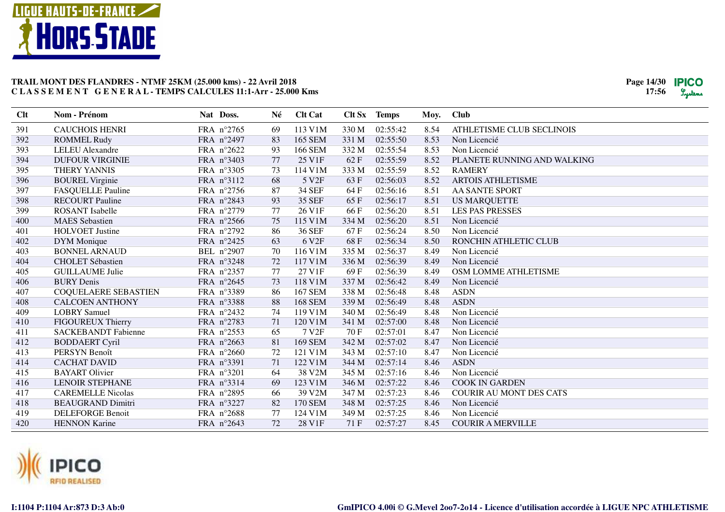

| Clt | Nom - Prénom                | Nat Doss.  | Né | <b>Clt Cat</b>    |       | Clt Sx Temps | Moy. | <b>Club</b>                    |
|-----|-----------------------------|------------|----|-------------------|-------|--------------|------|--------------------------------|
| 391 | <b>CAUCHOIS HENRI</b>       | FRA n°2765 | 69 | 113 V1M           | 330 M | 02:55:42     | 8.54 | ATHLETISME CLUB SECLINOIS      |
| 392 | <b>ROMMEL Rudy</b>          | FRA n°2497 | 83 | 165 SEM           | 331 M | 02:55:50     | 8.53 | Non Licencié                   |
| 393 | <b>LELEU</b> Alexandre      | FRA n°2622 | 93 | <b>166 SEM</b>    | 332 M | 02:55:54     | 8.53 | Non Licencié                   |
| 394 | <b>DUFOUR VIRGINIE</b>      | FRA n°3403 | 77 | 25 V1F            | 62F   | 02:55:59     | 8.52 | PLANETE RUNNING AND WALKING    |
| 395 | <b>THERY YANNIS</b>         | FRA n°3305 | 73 | 114 V1M           | 333 M | 02:55:59     | 8.52 | <b>RAMERY</b>                  |
| 396 | <b>BOUREL Virginie</b>      | FRA nº3112 | 68 | 5 V <sub>2F</sub> | 63F   | 02:56:03     | 8.52 | <b>ARTOIS ATHLETISME</b>       |
| 397 | <b>FASQUELLE Pauline</b>    | FRA n°2756 | 87 | <b>34 SEF</b>     | 64 F  | 02:56:16     | 8.51 | <b>AA SANTE SPORT</b>          |
| 398 | <b>RECOURT Pauline</b>      | FRA n°2843 | 93 | <b>35 SEF</b>     | 65 F  | 02:56:17     | 8.51 | <b>US MARQUETTE</b>            |
| 399 | <b>ROSANT</b> Isabelle      | FRA n°2779 | 77 | 26 V1F            | 66F   | 02:56:20     | 8.51 | <b>LES PAS PRESSES</b>         |
| 400 | <b>MAES</b> Sebastien       | FRA n°2566 | 75 | 115 V1M           | 334 M | 02:56:20     | 8.51 | Non Licencié                   |
| 401 | <b>HOLVOET</b> Justine      | FRA n°2792 | 86 | <b>36 SEF</b>     | 67 F  | 02:56:24     | 8.50 | Non Licencié                   |
| 402 | DYM Monique                 | FRA n°2425 | 63 | 6 V <sub>2F</sub> | 68F   | 02:56:34     | 8.50 | RONCHIN ATHLETIC CLUB          |
| 403 | <b>BONNEL ARNAUD</b>        | BEL n°2907 | 70 | 116 V1M           | 335 M | 02:56:37     | 8.49 | Non Licencié                   |
| 404 | <b>CHOLET Sébastien</b>     | FRA n°3248 | 72 | 117 V1M           | 336 M | 02:56:39     | 8.49 | Non Licencié                   |
| 405 | <b>GUILLAUME Julie</b>      | FRA n°2357 | 77 | 27 V1F            | 69F   | 02:56:39     | 8.49 | OSM LOMME ATHLETISME           |
| 406 | <b>BURY Denis</b>           | FRA n°2645 | 73 | 118 V1M           | 337 M | 02:56:42     | 8.49 | Non Licencié                   |
| 407 | <b>COQUELAERE SEBASTIEN</b> | FRA n°3389 | 86 | <b>167 SEM</b>    | 338 M | 02:56:48     | 8.48 | <b>ASDN</b>                    |
| 408 | <b>CALCOEN ANTHONY</b>      | FRA n°3388 | 88 | <b>168 SEM</b>    | 339 M | 02:56:49     | 8.48 | <b>ASDN</b>                    |
| 409 | <b>LOBRY Samuel</b>         | FRA n°2432 | 74 | 119 V1M           | 340 M | 02:56:49     | 8.48 | Non Licencié                   |
| 410 | FIGOUREUX Thierry           | FRA n°2783 | 71 | 120 V1M           | 341 M | 02:57:00     | 8.48 | Non Licencié                   |
| 411 | <b>SACKEBANDT Fabienne</b>  | FRA n°2553 | 65 | 7 V <sub>2F</sub> | 70 F  | 02:57:01     | 8.47 | Non Licencié                   |
| 412 | <b>BODDAERT Cyril</b>       | FRA n°2663 | 81 | 169 SEM           | 342 M | 02:57:02     | 8.47 | Non Licencié                   |
| 413 | PERSYN Benoît               | FRA n°2660 | 72 | 121 V1M           | 343 M | 02:57:10     | 8.47 | Non Licencié                   |
| 414 | <b>CACHAT DAVID</b>         | FRA n°3391 | 71 | 122 V1M           | 344 M | 02:57:14     | 8.46 | <b>ASDN</b>                    |
| 415 | <b>BAYART Olivier</b>       | FRA n°3201 | 64 | 38 V2M            | 345 M | 02:57:16     | 8.46 | Non Licencié                   |
| 416 | <b>LENOIR STEPHANE</b>      | FRA n°3314 | 69 | 123 V1M           | 346 M | 02:57:22     | 8.46 | <b>COOK IN GARDEN</b>          |
| 417 | <b>CAREMELLE Nicolas</b>    | FRA n°2895 | 66 | 39 V2M            | 347 M | 02:57:23     | 8.46 | <b>COURIR AU MONT DES CATS</b> |
| 418 | <b>BEAUGRAND Dimitri</b>    | FRA n°3227 | 82 | 170 SEM           | 348 M | 02:57:25     | 8.46 | Non Licencié                   |
| 419 | <b>DELEFORGE Benoit</b>     | FRA n°2688 | 77 | 124 V1M           | 349 M | 02:57:25     | 8.46 | Non Licencié                   |
| 420 | <b>HENNON Karine</b>        | FRA n°2643 | 72 | 28 V1F            | 71 F  | 02:57:27     | 8.45 | <b>COURIR A MERVILLE</b>       |

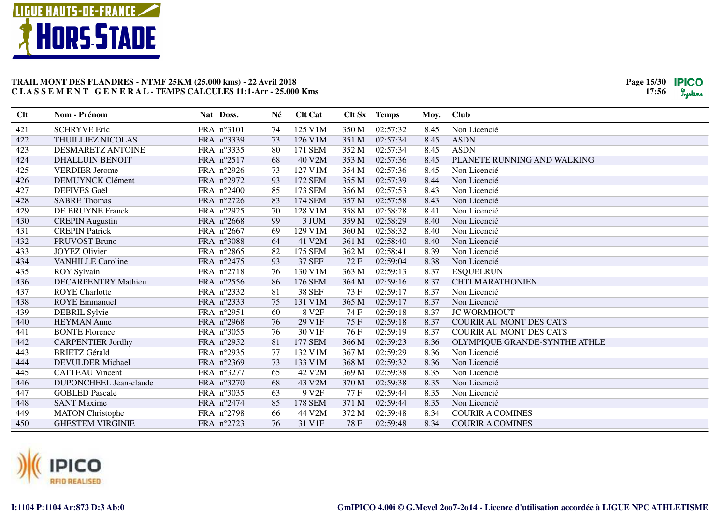

| Clt | Nom - Prénom               | Nat Doss.  | Né | <b>Clt Cat</b>    |       | Clt Sx Temps | Moy. | <b>Club</b>                    |
|-----|----------------------------|------------|----|-------------------|-------|--------------|------|--------------------------------|
| 421 | <b>SCHRYVE Eric</b>        | FRA n°3101 | 74 | 125 V1M           | 350 M | 02:57:32     | 8.45 | Non Licencié                   |
| 422 | THUILLIEZ NICOLAS          | FRA n°3339 | 73 | 126 V1M           | 351 M | 02:57:34     | 8.45 | <b>ASDN</b>                    |
| 423 | <b>DESMARETZ ANTOINE</b>   | FRA n°3335 | 80 | 171 SEM           | 352 M | 02:57:34     | 8.45 | <b>ASDN</b>                    |
| 424 | <b>DHALLUIN BENOIT</b>     | FRA n°2517 | 68 | 40 V2M            | 353 M | 02:57:36     | 8.45 | PLANETE RUNNING AND WALKING    |
| 425 | <b>VERDIER</b> Jerome      | FRA n°2926 | 73 | 127 V1M           | 354 M | 02:57:36     | 8.45 | Non Licencié                   |
| 426 | <b>DEMUYNCK Clément</b>    | FRA n°2972 | 93 | 172 SEM           | 355 M | 02:57:39     | 8.44 | Non Licencié                   |
| 427 | <b>DEFIVES</b> Gaël        | FRA n°2400 | 85 | 173 SEM           | 356 M | 02:57:53     | 8.43 | Non Licencié                   |
| 428 | <b>SABRE Thomas</b>        | FRA n°2726 | 83 | 174 SEM           | 357 M | 02:57:58     | 8.43 | Non Licencié                   |
| 429 | <b>DE BRUYNE Franck</b>    | FRA n°2925 | 70 | 128 V1M           | 358 M | 02:58:28     | 8.41 | Non Licencié                   |
| 430 | <b>CREPIN Augustin</b>     | FRA n°2668 | 99 | 3 JUM             | 359 M | 02:58:29     | 8.40 | Non Licencié                   |
| 431 | <b>CREPIN Patrick</b>      | FRA n°2667 | 69 | 129 V1M           | 360 M | 02:58:32     | 8.40 | Non Licencié                   |
| 432 | PRUVOST Bruno              | FRA n°3088 | 64 | 41 V2M            | 361 M | 02:58:40     | 8.40 | Non Licencié                   |
| 433 | <b>JOYEZ Olivier</b>       | FRA n°2865 | 82 | 175 SEM           | 362 M | 02:58:41     | 8.39 | Non Licencié                   |
| 434 | <b>VANHILLE Caroline</b>   | FRA n°2475 | 93 | 37 SEF            | 72F   | 02:59:04     | 8.38 | Non Licencié                   |
| 435 | <b>ROY Sylvain</b>         | FRA n°2718 | 76 | 130 V1M           | 363 M | 02:59:13     | 8.37 | <b>ESQUELRUN</b>               |
| 436 | <b>DECARPENTRY Mathieu</b> | FRA n°2556 | 86 | <b>176 SEM</b>    | 364 M | 02:59:16     | 8.37 | <b>CHTI MARATHONIEN</b>        |
| 437 | <b>ROYE</b> Charlotte      | FRA n°2332 | 81 | <b>38 SEF</b>     | 73 F  | 02:59:17     | 8.37 | Non Licencié                   |
| 438 | <b>ROYE</b> Emmanuel       | FRA n°2333 | 75 | 131 V1M           | 365 M | 02:59:17     | 8.37 | Non Licencié                   |
| 439 | <b>DEBRIL Sylvie</b>       | FRA n°2951 | 60 | 8 V <sub>2F</sub> | 74 F  | 02:59:18     | 8.37 | <b>JC WORMHOUT</b>             |
| 440 | <b>HEYMAN</b> Anne         | FRA n°2968 | 76 | 29 V1F            | 75F   | 02:59:18     | 8.37 | <b>COURIR AU MONT DES CATS</b> |
| 441 | <b>BONTE Florence</b>      | FRA n°3055 | 76 | 30 V1F            | 76 F  | 02:59:19     | 8.37 | <b>COURIR AU MONT DES CATS</b> |
| 442 | <b>CARPENTIER Jordhy</b>   | FRA n°2952 | 81 | <b>177 SEM</b>    | 366 M | 02:59:23     | 8.36 | OLYMPIQUE GRANDE-SYNTHE ATHLE  |
| 443 | <b>BRIETZ Gérald</b>       | FRA n°2935 | 77 | 132 V1M           | 367 M | 02:59:29     | 8.36 | Non Licencié                   |
| 444 | <b>DEVULDER Michael</b>    | FRA n°2369 | 73 | 133 V1M           | 368 M | 02:59:32     | 8.36 | Non Licencié                   |
| 445 | <b>CATTEAU Vincent</b>     | FRA n°3277 | 65 | 42 V2M            | 369 M | 02:59:38     | 8.35 | Non Licencié                   |
| 446 | DUPONCHEEL Jean-claude     | FRA n°3270 | 68 | 43 V2M            | 370 M | 02:59:38     | 8.35 | Non Licencié                   |
| 447 | <b>GOBLED Pascale</b>      | FRA n°3035 | 63 | 9 V <sub>2F</sub> | 77 F  | 02:59:44     | 8.35 | Non Licencié                   |
| 448 | <b>SANT Maxime</b>         | FRA n°2474 | 85 | <b>178 SEM</b>    | 371 M | 02:59:44     | 8.35 | Non Licencié                   |
| 449 | <b>MATON</b> Christophe    | FRA n°2798 | 66 | 44 V2M            | 372 M | 02:59:48     | 8.34 | <b>COURIR A COMINES</b>        |
| 450 | <b>GHESTEM VIRGINIE</b>    | FRA n°2723 | 76 | 31 V1F            | 78F   | 02:59:48     | 8.34 | <b>COURIR A COMINES</b>        |

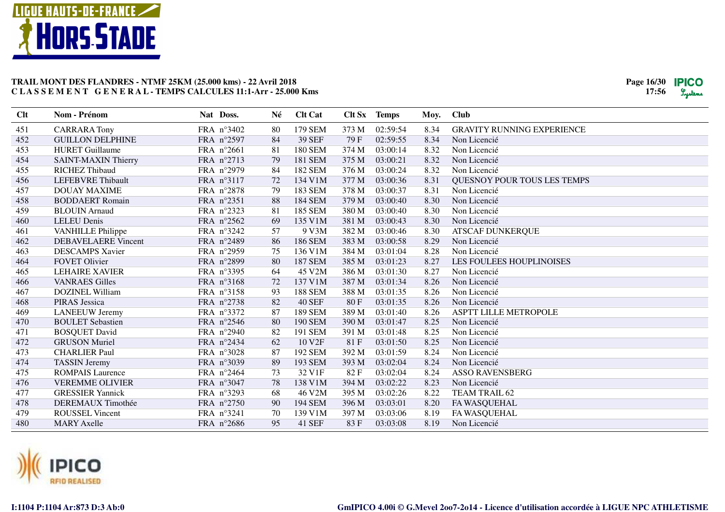

| Clt | Nom - Prénom               | Nat Doss.  | Né     | <b>Clt Cat</b>     |       | Clt Sx Temps | Moy. | <b>Club</b>                       |
|-----|----------------------------|------------|--------|--------------------|-------|--------------|------|-----------------------------------|
| 451 | <b>CARRARA Tony</b>        | FRA n°3402 | 80     | 179 SEM            | 373 M | 02:59:54     | 8.34 | <b>GRAVITY RUNNING EXPERIENCE</b> |
| 452 | <b>GUILLON DELPHINE</b>    | FRA n°2597 | 84     | <b>39 SEF</b>      | 79F   | 02:59:55     | 8.34 | Non Licencié                      |
| 453 | <b>HURET</b> Guillaume     | FRA n°2661 | 81     | 180 SEM            | 374 M | 03:00:14     | 8.32 | Non Licencié                      |
| 454 | SAINT-MAXIN Thierry        | FRA n°2713 | 79     | 181 SEM            | 375 M | 03:00:21     | 8.32 | Non Licencié                      |
| 455 | <b>RICHEZ Thibaud</b>      | FRA n°2979 | 84     | 182 SEM            | 376 M | 03:00:24     | 8.32 | Non Licencié                      |
| 456 | <b>LEFEBVRE</b> Thibault   | FRA n°3117 | 72     | 134 V1M            | 377 M | 03:00:36     | 8.31 | QUESNOY POUR TOUS LES TEMPS       |
| 457 | <b>DOUAY MAXIME</b>        | FRA n°2878 | 79     | 183 SEM            | 378 M | 03:00:37     | 8.31 | Non Licencié                      |
| 458 | <b>BODDAERT</b> Romain     | FRA n°2351 | 88     | <b>184 SEM</b>     | 379 M | 03:00:40     | 8.30 | Non Licencié                      |
| 459 | <b>BLOUIN</b> Arnaud       | FRA n°2323 | 81     | 185 SEM            | 380 M | 03:00:40     | 8.30 | Non Licencié                      |
| 460 | <b>LELEU Denis</b>         | FRA n°2562 | 69     | 135 V1M            | 381 M | 03:00:43     | 8.30 | Non Licencié                      |
| 461 | <b>VANHILLE Philippe</b>   | FRA nº3242 | 57     | 9 V3M              | 382 M | 03:00:46     | 8.30 | <b>ATSCAF DUNKERQUE</b>           |
| 462 | <b>DEBAVELAERE</b> Vincent | FRA n°2489 | 86     | 186 SEM            | 383 M | 03:00:58     | 8.29 | Non Licencié                      |
| 463 | <b>DESCAMPS Xavier</b>     | FRA n°2959 | 75     | 136 V1M            | 384 M | 03:01:04     | 8.28 | Non Licencié                      |
| 464 | <b>FOVET Olivier</b>       | FRA n°2899 | 80     | <b>187 SEM</b>     | 385 M | 03:01:23     | 8.27 | <b>LES FOULEES HOUPLINOISES</b>   |
| 465 | <b>LEHAIRE XAVIER</b>      | FRA n°3395 | 64     | 45 V2M             | 386 M | 03:01:30     | 8.27 | Non Licencié                      |
| 466 | <b>VANRAES Gilles</b>      | FRA nº3168 | $72\,$ | 137 V1M            | 387 M | 03:01:34     | 8.26 | Non Licencié                      |
| 467 | DOZINEL William            | FRA nº3158 | 93     | <b>188 SEM</b>     | 388 M | 03:01:35     | 8.26 | Non Licencié                      |
| 468 | <b>PIRAS</b> Jessica       | FRA n°2738 | 82     | <b>40 SEF</b>      | 80F   | 03:01:35     | 8.26 | Non Licencié                      |
| 469 | <b>LANEEUW Jeremy</b>      | FRA n°3372 | 87     | <b>189 SEM</b>     | 389 M | 03:01:40     | 8.26 | ASPTT LILLE METROPOLE             |
| 470 | <b>BOULET</b> Sebastien    | FRA n°2546 | 80     | <b>190 SEM</b>     | 390 M | 03:01:47     | 8.25 | Non Licencié                      |
| 471 | <b>BOSQUET David</b>       | FRA n°2940 | 82     | 191 SEM            | 391 M | 03:01:48     | 8.25 | Non Licencié                      |
| 472 | <b>GRUSON</b> Muriel       | FRA n°2434 | 62     | 10 V <sub>2F</sub> | 81 F  | 03:01:50     | 8.25 | Non Licencié                      |
| 473 | <b>CHARLIER Paul</b>       | FRA n°3028 | 87     | 192 SEM            | 392 M | 03:01:59     | 8.24 | Non Licencié                      |
| 474 | <b>TASSIN</b> Jeremy       | FRA n°3039 | 89     | 193 SEM            | 393 M | 03:02:04     | 8.24 | Non Licencié                      |
| 475 | <b>ROMPAIS Laurence</b>    | FRA n°2464 | 73     | 32 V1F             | 82F   | 03:02:04     | 8.24 | <b>ASSO RAVENSBERG</b>            |
| 476 | <b>VEREMME OLIVIER</b>     | FRA n°3047 | 78     | 138 V1M            | 394 M | 03:02:22     | 8.23 | Non Licencié                      |
| 477 | <b>GRESSIER Yannick</b>    | FRA n°3293 | 68     | 46 V2M             | 395 M | 03:02:26     | 8.22 | TEAM TRAIL 62                     |
| 478 | <b>DEREMAUX</b> Timothée   | FRA n°2750 | 90     | 194 SEM            | 396 M | 03:03:01     | 8.20 | FA WASQUEHAL                      |
| 479 | <b>ROUSSEL Vincent</b>     | FRA n°3241 | 70     | 139 V1M            | 397 M | 03:03:06     | 8.19 | FA WASQUEHAL                      |
| 480 | <b>MARY Axelle</b>         | FRA n°2686 | 95     | 41 SEF             | 83F   | 03:03:08     | 8.19 | Non Licencié                      |
|     |                            |            |        |                    |       |              |      |                                   |

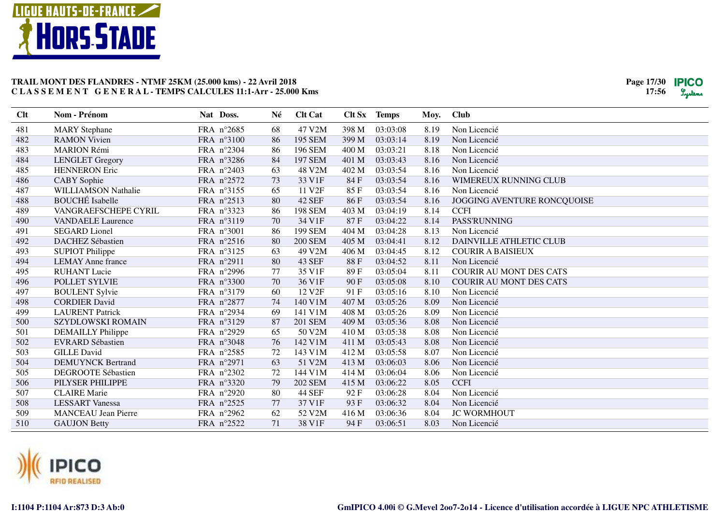

| 47 V2M<br>481<br><b>MARY</b> Stephane<br>FRA n°2685<br>398 M<br>03:03:08<br>8.19<br>Non Licencié<br>68<br>482<br>399 M<br>03:03:14<br><b>RAMON Vivien</b><br>FRA n°3100<br>86<br>195 SEM<br>8.19<br>Non Licencié |  |
|------------------------------------------------------------------------------------------------------------------------------------------------------------------------------------------------------------------|--|
|                                                                                                                                                                                                                  |  |
|                                                                                                                                                                                                                  |  |
| 483<br><b>MARION Rémi</b><br>FRA n°2304<br>86<br>196 SEM<br>400 M<br>03:03:21<br>8.18<br>Non Licencié                                                                                                            |  |
| 03:03:43<br>484<br><b>LENGLET</b> Gregory<br>FRA n°3286<br>84<br><b>197 SEM</b><br>401 M<br>8.16<br>Non Licencié                                                                                                 |  |
| 485<br>03:03:54<br><b>HENNERON</b> Eric<br>FRA n°2403<br>63<br>48 V2M<br>402 M<br>8.16<br>Non Licencié                                                                                                           |  |
| 486<br>CABY Sophie<br>FRA n°2572<br>73<br>33 V1F<br>84F<br>03:03:54<br>8.16<br>WIMEREUX RUNNING CLUB                                                                                                             |  |
| 487<br><b>WILLIAMSON Nathalie</b><br>FRA n°3155<br>11 V <sub>2</sub> F<br>85F<br>03:03:54<br>65<br>8.16<br>Non Licencié                                                                                          |  |
| <b>BOUCHÉ</b> Isabelle<br>488<br><b>42 SEF</b><br>FRA n°2513<br>80<br>86F<br>03:03:54<br>JOGGING AVENTURE RONCQUOISE<br>8.16                                                                                     |  |
| 489<br>VANGRAEFSCHEPE CYRIL<br>FRA n°3323<br>86<br><b>198 SEM</b><br>403 M<br>03:04:19<br>8.14<br><b>CCFI</b>                                                                                                    |  |
| PASS'RUNNING<br>490<br>FRA n°3119<br>70<br>34 V1F<br>87F<br>03:04:22<br>8.14<br><b>VANDAELE</b> Laurence                                                                                                         |  |
| 491<br>FRA n°3001<br>03:04:28<br><b>SEGARD</b> Lionel<br>199 SEM<br>404 M<br>8.13<br>Non Licencié<br>86                                                                                                          |  |
| 492<br>80<br>DAINVILLE ATHLETIC CLUB<br><b>DACHEZ Sébastien</b><br>FRA n°2516<br><b>200 SEM</b><br>405 M<br>03:04:41<br>8.12                                                                                     |  |
| 493<br><b>SUPIOT Philippe</b><br>FRA n°3125<br>63<br>49 V2M<br>406 M<br>03:04:45<br>8.12<br><b>COURIR A BAISIEUX</b>                                                                                             |  |
| 80<br><b>43 SEF</b><br>03:04:52<br>Non Licencié<br>494<br><b>LEMAY</b> Anne france<br>FRA n°2911<br>88 F<br>8.11                                                                                                 |  |
| FRA n°2996<br>35 V1F<br><b>COURIR AU MONT DES CATS</b><br>495<br><b>RUHANT Lucie</b><br>77<br>89F<br>03:05:04<br>8.11                                                                                            |  |
| 496<br>70<br>36 V1F<br>90F<br>8.10<br>POLLET SYLVIE<br>FRA n°3300<br>03:05:08<br><b>COURIR AU MONT DES CATS</b>                                                                                                  |  |
| 497<br>FRA n°3179<br>60<br>12 V <sub>2F</sub><br>91F<br>03:05:16<br><b>BOULENT Sylvie</b><br>8.10<br>Non Licencié                                                                                                |  |
| 498<br><b>CORDIER David</b><br>FRA n°2877<br>140 V1M<br>407 M<br>74<br>03:05:26<br>8.09<br>Non Licencié                                                                                                          |  |
| 499<br>FRA n°2934<br>141 V1M<br>408 M<br>03:05:26<br><b>LAURENT Patrick</b><br>69<br>8.09<br>Non Licencié                                                                                                        |  |
| 500<br>FRA n°3129<br>87<br><b>201 SEM</b><br>409 M<br>03:05:36<br>Non Licencié<br><b>SZYDLOWSKI ROMAIN</b><br>8.08                                                                                               |  |
| 501<br>FRA n°2929<br>65<br>50 V2M<br>410 M<br>03:05:38<br><b>DEMAILLY Philippe</b><br>8.08<br>Non Licencié                                                                                                       |  |
| 502<br><b>EVRARD Sébastien</b><br>FRA n°3048<br>142 V1M<br>411 M<br>03:05:43<br>76<br>8.08<br>Non Licencié                                                                                                       |  |
| 412 M<br>503<br><b>GILLE David</b><br>FRA n°2585<br>72<br>143 V1M<br>03:05:58<br>8.07<br>Non Licencié                                                                                                            |  |
| 51 V2M<br>504<br><b>DEMUYNCK Bertrand</b><br>FRA n°2971<br>63<br>413 M<br>03:06:03<br>8.06<br>Non Licencié                                                                                                       |  |
| 505<br>FRA n°2302<br>72<br>144 V1M<br>03:06:04<br><b>DEGROOTE Sébastien</b><br>414 M<br>8.06<br>Non Licencié                                                                                                     |  |
| 79<br><b>CCFI</b><br>506<br>PILYSER PHILIPPE<br>FRA n°3320<br><b>202 SEM</b><br>415 M<br>03:06:22<br>8.05                                                                                                        |  |
| 507<br><b>CLAIRE</b> Marie<br><b>44 SEF</b><br>Non Licencié<br>FRA n°2920<br>80<br>92F<br>03:06:28<br>8.04                                                                                                       |  |
| 508<br><b>LESSART</b> Vanessa<br>37 V1F<br>03:06:32<br>FRA n°2525<br>77<br>93 F<br>8.04<br>Non Licencié                                                                                                          |  |
| 509<br><b>MANCEAU</b> Jean Pierre<br>FRA n°2962<br>62<br>52 V2M<br>416 M<br>03:06:36<br><b>JC WORMHOUT</b><br>8.04                                                                                               |  |
| 510<br>FRA n°2522<br>71<br>38 V1F<br>94 F<br>03:06:51<br>8.03<br>Non Licencié<br><b>GAUJON Betty</b>                                                                                                             |  |

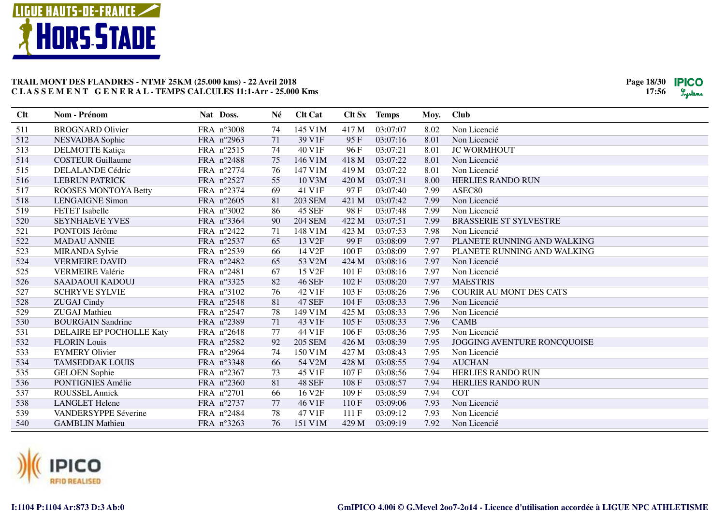

| Clt | Nom - Prénom                | Nat Doss.           | Né | <b>Clt Cat</b>     |       | Clt Sx Temps | Moy. | <b>Club</b>                    |
|-----|-----------------------------|---------------------|----|--------------------|-------|--------------|------|--------------------------------|
| 511 | <b>BROGNARD Olivier</b>     | FRA n°3008          | 74 | 145 V1M            | 417 M | 03:07:07     | 8.02 | Non Licencié                   |
| 512 | NESVADBA Sophie             | FRA n°2963          | 71 | 39 V1F             | 95F   | 03:07:16     | 8.01 | Non Licencié                   |
| 513 | <b>DELMOTTE Katiça</b>      | FRA n°2515          | 74 | 40 V1F             | 96 F  | 03:07:21     | 8.01 | <b>JC WORMHOUT</b>             |
| 514 | <b>COSTEUR Guillaume</b>    | FRA n°2488          | 75 | 146 V1M            | 418 M | 03:07:22     | 8.01 | Non Licencié                   |
| 515 | DELALANDE Cédric            | FRA n°2774          | 76 | 147 V1M            | 419 M | 03:07:22     | 8.01 | Non Licencié                   |
| 516 | <b>LEBRUN PATRICK</b>       | FRA n°2527          | 55 | 10 V3M             | 420 M | 03:07:31     | 8.00 | <b>HERLIES RANDO RUN</b>       |
| 517 | <b>ROOSES MONTOYA Betty</b> | FRA n°2374          | 69 | 41 V1F             | 97F   | 03:07:40     | 7.99 | ASEC80                         |
| 518 | <b>LENGAIGNE Simon</b>      | FRA $n^{\circ}2605$ | 81 | <b>203 SEM</b>     | 421 M | 03:07:42     | 7.99 | Non Licencié                   |
| 519 | <b>FETET</b> Isabelle       | FRA n°3002          | 86 | <b>45 SEF</b>      | 98F   | 03:07:48     | 7.99 | Non Licencié                   |
| 520 | <b>SEYNHAEVE YVES</b>       | FRA n°3364          | 90 | <b>204 SEM</b>     | 422 M | 03:07:51     | 7.99 | <b>BRASSERIE ST SYLVESTRE</b>  |
| 521 | PONTOIS Jérôme              | FRA n°2422          | 71 | 148 V1M            | 423 M | 03:07:53     | 7.98 | Non Licencié                   |
| 522 | <b>MADAU ANNIE</b>          | FRA n°2537          | 65 | 13 V <sub>2F</sub> | 99F   | 03:08:09     | 7.97 | PLANETE RUNNING AND WALKING    |
| 523 | <b>MIRANDA Sylvie</b>       | FRA n°2539          | 66 | 14 V2F             | 100F  | 03:08:09     | 7.97 | PLANETE RUNNING AND WALKING    |
| 524 | <b>VERMEIRE DAVID</b>       | FRA n°2482          | 65 | 53 V2M             | 424 M | 03:08:16     | 7.97 | Non Licencié                   |
| 525 | <b>VERMEIRE Valérie</b>     | FRA n°2481          | 67 | 15 V2F             | 101 F | 03:08:16     | 7.97 | Non Licencié                   |
| 526 | SAADAOUI KADOUJ             | FRA n°3325          | 82 | <b>46 SEF</b>      | 102F  | 03:08:20     | 7.97 | <b>MAESTRIS</b>                |
| 527 | <b>SCHRYVE SYLVIE</b>       | FRA n°3102          | 76 | 42 V1F             | 103 F | 03:08:26     | 7.96 | <b>COURIR AU MONT DES CATS</b> |
| 528 | <b>ZUGAJ Cindy</b>          | FRA n°2548          | 81 | <b>47 SEF</b>      | 104 F | 03:08:33     | 7.96 | Non Licencié                   |
| 529 | <b>ZUGAJ</b> Mathieu        | FRA n°2547          | 78 | 149 V1M            | 425 M | 03:08:33     | 7.96 | Non Licencié                   |
| 530 | <b>BOURGAIN Sandrine</b>    | FRA n°2389          | 71 | 43 V1F             | 105 F | 03:08:33     | 7.96 | <b>CAMB</b>                    |
| 531 | DELAIRE EP POCHOLLE Katy    | FRA n°2648          | 77 | 44 V1F             | 106F  | 03:08:36     | 7.95 | Non Licencié                   |
| 532 | <b>FLORIN</b> Louis         | FRA n°2582          | 92 | <b>205 SEM</b>     | 426 M | 03:08:39     | 7.95 | JOGGING AVENTURE RONCQUOISE    |
| 533 | <b>EYMERY Olivier</b>       | FRA n°2964          | 74 | 150 V1M            | 427 M | 03:08:43     | 7.95 | Non Licencié                   |
| 534 | <b>TAMSEDDAK LOUIS</b>      | FRA n°3348          | 66 | 54 V2M             | 428 M | 03:08:55     | 7.94 | <b>AUCHAN</b>                  |
| 535 | <b>GELOEN</b> Sophie        | FRA n°2367          | 73 | 45 V1F             | 107 F | 03:08:56     | 7.94 | <b>HERLIES RANDO RUN</b>       |
| 536 | PONTIGNIES Amélie           | FRA n°2360          | 81 | <b>48 SEF</b>      | 108F  | 03:08:57     | 7.94 | <b>HERLIES RANDO RUN</b>       |
| 537 | <b>ROUSSEL Annick</b>       | FRA n°2701          | 66 | 16 V <sub>2F</sub> | 109F  | 03:08:59     | 7.94 | <b>COT</b>                     |
| 538 | <b>LANGLET Helene</b>       | FRA n°2737          | 77 | 46 V1F             | 110F  | 03:09:06     | 7.93 | Non Licencié                   |
| 539 | VANDERSYPPE Séverine        | FRA n°2484          | 78 | 47 V1F             | 111F  | 03:09:12     | 7.93 | Non Licencié                   |
| 540 | <b>GAMBLIN Mathieu</b>      | FRA n°3263          | 76 | 151 V1M            | 429 M | 03:09:19     | 7.92 | Non Licencié                   |
|     |                             |                     |    |                    |       |              |      |                                |

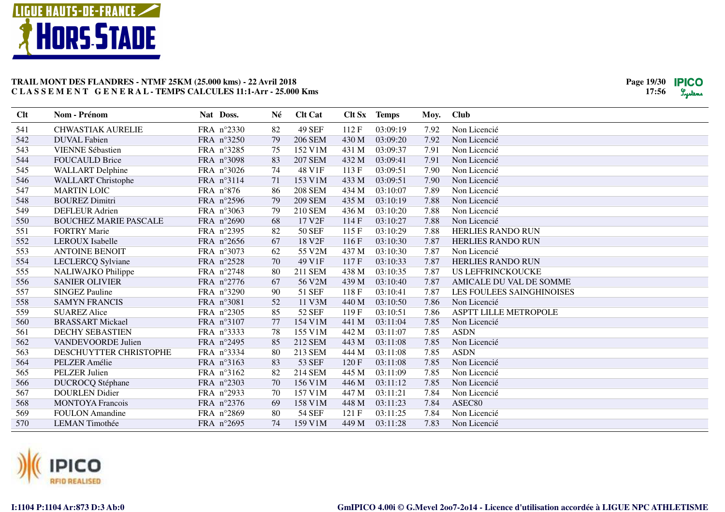

| Clt | Nom - Prénom                 | Nat Doss.  | Né | <b>Clt Cat</b>     | Clt Sx | <b>Temps</b> | Moy. | <b>Club</b>                  |
|-----|------------------------------|------------|----|--------------------|--------|--------------|------|------------------------------|
| 541 | <b>CHWASTIAK AURELIE</b>     | FRA n°2330 | 82 | <b>49 SEF</b>      | 112F   | 03:09:19     | 7.92 | Non Licencié                 |
| 542 | <b>DUVAL Fabien</b>          | FRA n°3250 | 79 | <b>206 SEM</b>     | 430 M  | 03:09:20     | 7.92 | Non Licencié                 |
| 543 | <b>VIENNE Sébastien</b>      | FRA n°3285 | 75 | 152 V1M            | 431 M  | 03:09:37     | 7.91 | Non Licencié                 |
| 544 | <b>FOUCAULD Brice</b>        | FRA n°3098 | 83 | <b>207 SEM</b>     | 432 M  | 03:09:41     | 7.91 | Non Licencié                 |
| 545 | <b>WALLART</b> Delphine      | FRA n°3026 | 74 | 48 V1F             | 113 F  | 03:09:51     | 7.90 | Non Licencié                 |
| 546 | <b>WALLART</b> Christophe    | FRA nº3114 | 71 | 153 V1M            | 433 M  | 03:09:51     | 7.90 | Non Licencié                 |
| 547 | <b>MARTIN LOIC</b>           | FRA n°876  | 86 | <b>208 SEM</b>     | 434 M  | 03:10:07     | 7.89 | Non Licencié                 |
| 548 | <b>BOUREZ Dimitri</b>        | FRA n°2596 | 79 | <b>209 SEM</b>     | 435 M  | 03:10:19     | 7.88 | Non Licencié                 |
| 549 | <b>DEFLEUR Adrien</b>        | FRA n°3063 | 79 | <b>210 SEM</b>     | 436 M  | 03:10:20     | 7.88 | Non Licencié                 |
| 550 | <b>BOUCHEZ MARIE PASCALE</b> | FRA n°2690 | 68 | 17 V2F             | 114 F  | 03:10:27     | 7.88 | Non Licencié                 |
| 551 | <b>FORTRY Marie</b>          | FRA n°2395 | 82 | <b>50 SEF</b>      | 115F   | 03:10:29     | 7.88 | <b>HERLIES RANDO RUN</b>     |
| 552 | <b>LEROUX</b> Isabelle       | FRA n°2656 | 67 | 18 V <sub>2F</sub> | 116F   | 03:10:30     | 7.87 | <b>HERLIES RANDO RUN</b>     |
| 553 | <b>ANTOINE BENOIT</b>        | FRA n°3073 | 62 | 55 V2M             | 437 M  | 03:10:30     | 7.87 | Non Licencié                 |
| 554 | LECLERCQ Sylviane            | FRA n°2528 | 70 | 49 V1F             | 117F   | 03:10:33     | 7.87 | <b>HERLIES RANDO RUN</b>     |
| 555 | NALIWAJKO Philippe           | FRA n°2748 | 80 | 211 SEM            | 438 M  | 03:10:35     | 7.87 | <b>US LEFFRINCKOUCKE</b>     |
| 556 | <b>SANIER OLIVIER</b>        | FRA n°2776 | 67 | 56 V2M             | 439 M  | 03:10:40     | 7.87 | AMICALE DU VAL DE SOMME      |
| 557 | <b>SINGEZ Pauline</b>        | FRA n°3290 | 90 | 51 SEF             | 118F   | 03:10:41     | 7.87 | LES FOULEES SAINGHINOISES    |
| 558 | <b>SAMYN FRANCIS</b>         | FRA n°3081 | 52 | 11 V3M             | 440 M  | 03:10:50     | 7.86 | Non Licencié                 |
| 559 | <b>SUAREZ Alice</b>          | FRA n°2305 | 85 | <b>52 SEF</b>      | 119F   | 03:10:51     | 7.86 | <b>ASPTT LILLE METROPOLE</b> |
| 560 | <b>BRASSART Mickael</b>      | FRA n°3107 | 77 | 154 V1M            | 441 M  | 03:11:04     | 7.85 | Non Licencié                 |
| 561 | <b>DECHY SEBASTIEN</b>       | FRA nº3333 | 78 | 155 V1M            | 442 M  | 03:11:07     | 7.85 | <b>ASDN</b>                  |
| 562 | VANDEVOORDE Julien           | FRA n°2495 | 85 | 212 SEM            | 443 M  | 03:11:08     | 7.85 | Non Licencié                 |
| 563 | DESCHUYTTER CHRISTOPHE       | FRA n°3334 | 80 | 213 SEM            | 444 M  | 03:11:08     | 7.85 | <b>ASDN</b>                  |
| 564 | PELZER Amélie                | FRA nº3163 | 83 | 53 SEF             | 120F   | 03:11:08     | 7.85 | Non Licencié                 |
| 565 | PELZER Julien                | FRA nº3162 | 82 | 214 SEM            | 445 M  | 03:11:09     | 7.85 | Non Licencié                 |
| 566 | <b>DUCROCQ</b> Stéphane      | FRA n°2303 | 70 | 156 V1M            | 446 M  | 03:11:12     | 7.85 | Non Licencié                 |
| 567 | <b>DOURLEN</b> Didier        | FRA n°2933 | 70 | 157 V1M            | 447 M  | 03:11:21     | 7.84 | Non Licencié                 |
| 568 | <b>MONTOYA</b> Francois      | FRA n°2376 | 69 | 158 V1M            | 448 M  | 03:11:23     | 7.84 | ASEC80                       |
| 569 | <b>FOULON</b> Amandine       | FRA n°2869 | 80 | <b>54 SEF</b>      | 121 F  | 03:11:25     | 7.84 | Non Licencié                 |
| 570 | <b>LEMAN</b> Timothée        | FRA n°2695 | 74 | 159 V1M            | 449 M  | 03:11:28     | 7.83 | Non Licencié                 |

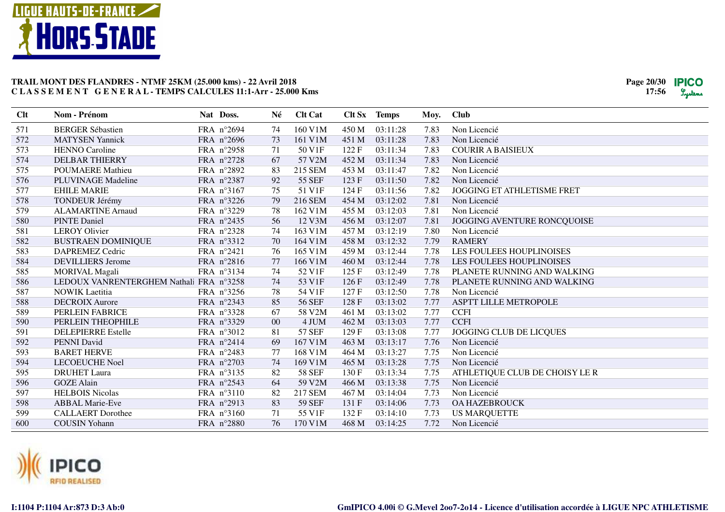

| Clt | Nom - Prénom                            | Nat Doss.           | Né     | <b>Clt Cat</b> | Clt Sx | <b>Temps</b> | Moy. | <b>Club</b>                     |
|-----|-----------------------------------------|---------------------|--------|----------------|--------|--------------|------|---------------------------------|
| 571 | <b>BERGER Sébastien</b>                 | FRA n°2694          | 74     | 160 V1M        | 450 M  | 03:11:28     | 7.83 | Non Licencié                    |
| 572 | <b>MATYSEN Yannick</b>                  | FRA n°2696          | 73     | 161 V1M        | 451 M  | 03:11:28     | 7.83 | Non Licencié                    |
| 573 | <b>HENNO Caroline</b>                   | FRA n°2958          | 71     | 50 V1F         | 122F   | 03:11:34     | 7.83 | <b>COURIR A BAISIEUX</b>        |
| 574 | <b>DELBAR THIERRY</b>                   | FRA n°2728          | 67     | 57 V2M         | 452 M  | 03:11:34     | 7.83 | Non Licencié                    |
| 575 | <b>POUMAERE</b> Mathieu                 | FRA n°2892          | 83     | 215 SEM        | 453 M  | 03:11:47     | 7.82 | Non Licencié                    |
| 576 | PLUVINAGE Madeline                      | FRA n°2387          | 92     | <b>55 SEF</b>  | 123 F  | 03:11:50     | 7.82 | Non Licencié                    |
| 577 | <b>EHILE MARIE</b>                      | FRA nº3167          | 75     | 51 V1F         | 124 F  | 03:11:56     | 7.82 | JOGGING ET ATHLETISME FRET      |
| 578 | <b>TONDEUR Jérémy</b>                   | FRA n°3226          | 79     | 216 SEM        | 454 M  | 03:12:02     | 7.81 | Non Licencié                    |
| 579 | <b>ALAMARTINE Arnaud</b>                | FRA n°3229          | 78     | 162 V1M        | 455 M  | 03:12:03     | 7.81 | Non Licencié                    |
| 580 | <b>PINTE Daniel</b>                     | FRA n°2435          | 56     | 12 V3M         | 456 M  | 03:12:07     | 7.81 | JOGGING AVENTURE RONCQUOISE     |
| 581 | <b>LEROY Olivier</b>                    | FRA n°2328          | 74     | 163 V1M        | 457 M  | 03:12:19     | 7.80 | Non Licencié                    |
| 582 | <b>BUSTRAEN DOMINIQUE</b>               | FRA n°3312          | 70     | 164 V1M        | 458 M  | 03:12:32     | 7.79 | <b>RAMERY</b>                   |
| 583 | <b>DAPREMEZ Cedric</b>                  | FRA n°2421          | 76     | 165 V1M        | 459 M  | 03:12:44     | 7.78 | <b>LES FOULEES HOUPLINOISES</b> |
| 584 | <b>DEVILLIERS</b> Jerome                | FRA n°2816          | 77     | 166 V1M        | 460 M  | 03:12:44     | 7.78 | LES FOULEES HOUPLINOISES        |
| 585 | <b>MORIVAL Magali</b>                   | FRA n°3134          | 74     | 52 V1F         | 125F   | 03:12:49     | 7.78 | PLANETE RUNNING AND WALKING     |
| 586 | LEDOUX VANRENTERGHEM Nathali FRA n°3258 |                     | 74     | 53 V1F         | 126F   | 03:12:49     | 7.78 | PLANETE RUNNING AND WALKING     |
| 587 | <b>NOWIK</b> Laetitia                   | FRA $n^{\circ}3256$ | 78     | 54 V1F         | 127 F  | 03:12:50     | 7.78 | Non Licencié                    |
| 588 | <b>DECROIX Aurore</b>                   | FRA n°2343          | 85     | <b>56 SEF</b>  | 128 F  | 03:13:02     | 7.77 | ASPTT LILLE METROPOLE           |
| 589 | PERLEIN FABRICE                         | FRA n°3328          | 67     | 58 V2M         | 461 M  | 03:13:02     | 7.77 | <b>CCFI</b>                     |
| 590 | PERLEIN THEOPHILE                       | FRA n°3329          | $00\,$ | 4 JUM          | 462 M  | 03:13:03     | 7.77 | <b>CCFI</b>                     |
| 591 | <b>DELEPIERRE Estelle</b>               | FRA n°3012          | 81     | <b>57 SEF</b>  | 129F   | 03:13:08     | 7.77 | JOGGING CLUB DE LICQUES         |
| 592 | PENNI David                             | FRA n°2414          | 69     | 167 V1M        | 463 M  | 03:13:17     | 7.76 | Non Licencié                    |
| 593 | <b>BARET HERVE</b>                      | FRA n°2483          | 77     | 168 V1M        | 464 M  | 03:13:27     | 7.75 | Non Licencié                    |
| 594 | <b>LECOEUCHE Noel</b>                   | FRA n°2703          | 74     | 169 V1M        | 465 M  | 03:13:28     | 7.75 | Non Licencié                    |
| 595 | <b>DRUHET</b> Laura                     | FRA n°3135          | 82     | <b>58 SEF</b>  | 130 F  | 03:13:34     | 7.75 | ATHLETIQUE CLUB DE CHOISY LE R  |
| 596 | <b>GOZE</b> Alain                       | FRA n°2543          | 64     | 59 V2M         | 466 M  | 03:13:38     | 7.75 | Non Licencié                    |
| 597 | <b>HELBOIS Nicolas</b>                  | FRA n°3110          | 82     | 217 SEM        | 467 M  | 03:14:04     | 7.73 | Non Licencié                    |
| 598 | <b>ABBAL Marie-Eve</b>                  | FRA n°2913          | 83     | <b>59 SEF</b>  | 131 F  | 03:14:06     | 7.73 | <b>OA HAZEBROUCK</b>            |
| 599 | <b>CALLAERT</b> Dorothee                | FRA n°3160          | 71     | 55 V1F         | 132 F  | 03:14:10     | 7.73 | <b>US MARQUETTE</b>             |
| 600 | <b>COUSIN Yohann</b>                    | FRA n°2880          | 76     | 170 V1M        | 468 M  | 03:14:25     | 7.72 | Non Licencié                    |

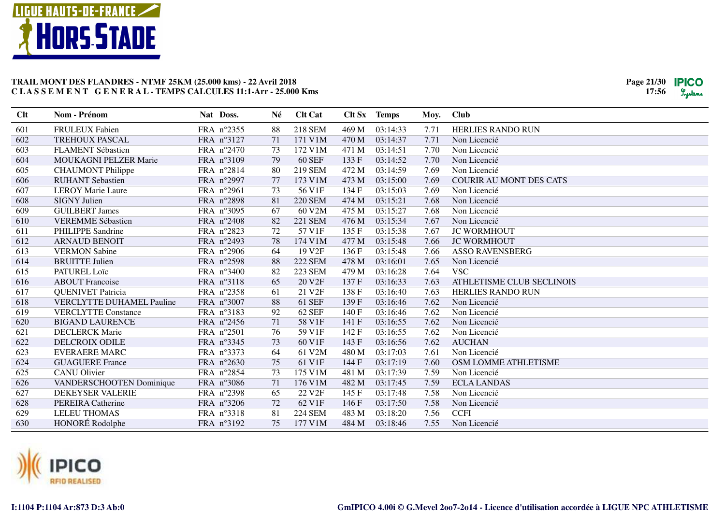

| Clt | Nom - Prénom                     | Nat Doss.           | Né | <b>Clt Cat</b>     |       | Clt Sx Temps | Moy. | <b>Club</b>                    |
|-----|----------------------------------|---------------------|----|--------------------|-------|--------------|------|--------------------------------|
| 601 | <b>FRULEUX Fabien</b>            | FRA n°2355          | 88 | 218 SEM            | 469 M | 03:14:33     | 7.71 | <b>HERLIES RANDO RUN</b>       |
| 602 | <b>TREHOUX PASCAL</b>            | FRA n°3127          | 71 | 171 V1M            | 470 M | 03:14:37     | 7.71 | Non Licencié                   |
| 603 | <b>FLAMENT Sébastien</b>         | FRA $n^{\circ}2470$ | 73 | 172 V1M            | 471 M | 03:14:51     | 7.70 | Non Licencié                   |
| 604 | <b>MOUKAGNI PELZER Marie</b>     | FRA n°3109          | 79 | <b>60 SEF</b>      | 133 F | 03:14:52     | 7.70 | Non Licencié                   |
| 605 | <b>CHAUMONT</b> Philippe         | FRA n°2814          | 80 | 219 SEM            | 472 M | 03:14:59     | 7.69 | Non Licencié                   |
| 606 | <b>RUHANT</b> Sebastien          | FRA n°2997          | 77 | 173 V1M            | 473 M | 03:15:00     | 7.69 | <b>COURIR AU MONT DES CATS</b> |
| 607 | <b>LEROY Marie Laure</b>         | FRA n°2961          | 73 | 56 V1F             | 134 F | 03:15:03     | 7.69 | Non Licencié                   |
| 608 | <b>SIGNY Julien</b>              | FRA n°2898          | 81 | <b>220 SEM</b>     | 474 M | 03:15:21     | 7.68 | Non Licencié                   |
| 609 | <b>GUILBERT James</b>            | FRA n°3095          | 67 | 60 V2M             | 475 M | 03:15:27     | 7.68 | Non Licencié                   |
| 610 | <b>VEREMME Sébastien</b>         | FRA n°2408          | 82 | <b>221 SEM</b>     | 476 M | 03:15:34     | 7.67 | Non Licencié                   |
| 611 | <b>PHILIPPE Sandrine</b>         | FRA n°2823          | 72 | 57 V1F             | 135 F | 03:15:38     | 7.67 | <b>JC WORMHOUT</b>             |
| 612 | <b>ARNAUD BENOIT</b>             | FRA n°2493          | 78 | 174 V1M            | 477 M | 03:15:48     | 7.66 | <b>JC WORMHOUT</b>             |
| 613 | <b>VERMON Sabine</b>             | FRA n°2906          | 64 | 19 V <sub>2F</sub> | 136F  | 03:15:48     | 7.66 | <b>ASSO RAVENSBERG</b>         |
| 614 | <b>BRUITTE Julien</b>            | FRA n°2598          | 88 | <b>222 SEM</b>     | 478 M | 03:16:01     | 7.65 | Non Licencié                   |
| 615 | PATUREL Loïc                     | FRA n°3400          | 82 | <b>223 SEM</b>     | 479 M | 03:16:28     | 7.64 | <b>VSC</b>                     |
| 616 | <b>ABOUT Francoise</b>           | FRA n°3118          | 65 | 20 V <sub>2F</sub> | 137 F | 03:16:33     | 7.63 | ATHLETISME CLUB SECLINOIS      |
| 617 | <b>QUENIVET Patricia</b>         | FRA n°2358          | 61 | 21 V <sub>2F</sub> | 138 F | 03:16:40     | 7.63 | <b>HERLIES RANDO RUN</b>       |
| 618 | <b>VERCLYTTE DUHAMEL Pauline</b> | FRA n°3007          | 88 | <b>61 SEF</b>      | 139F  | 03:16:46     | 7.62 | Non Licencié                   |
| 619 | <b>VERCLYTTE Constance</b>       | FRA n°3183          | 92 | 62 SEF             | 140F  | 03:16:46     | 7.62 | Non Licencié                   |
| 620 | <b>BIGAND LAURENCE</b>           | FRA n°2456          | 71 | 58 V1F             | 141 F | 03:16:55     | 7.62 | Non Licencié                   |
| 621 | <b>DECLERCK Marie</b>            | FRA n°2501          | 76 | 59 V1F             | 142F  | 03:16:55     | 7.62 | Non Licencié                   |
| 622 | <b>DELCROIX ODILE</b>            | FRA n°3345          | 73 | 60 V1F             | 143 F | 03:16:56     | 7.62 | <b>AUCHAN</b>                  |
| 623 | <b>EVERAERE MARC</b>             | FRA n°3373          | 64 | 61 V2M             | 480 M | 03:17:03     | 7.61 | Non Licencié                   |
| 624 | <b>GUAGUERE France</b>           | FRA n°2630          | 75 | 61 V1F             | 144 F | 03:17:19     | 7.60 | OSM LOMME ATHLETISME           |
| 625 | <b>CANU</b> Olivier              | FRA n°2854          | 73 | 175 V1M            | 481 M | 03:17:39     | 7.59 | Non Licencié                   |
| 626 | VANDERSCHOOTEN Dominique         | FRA n°3086          | 71 | 176 V1M            | 482 M | 03:17:45     | 7.59 | <b>ECLA LANDAS</b>             |
| 627 | <b>DEKEYSER VALERIE</b>          | FRA n°2398          | 65 | 22 V2F             | 145 F | 03:17:48     | 7.58 | Non Licencié                   |
| 628 | PEREIRA Catherine                | FRA n°3206          | 72 | 62 V1F             | 146 F | 03:17:50     | 7.58 | Non Licencié                   |
| 629 | <b>LELEU THOMAS</b>              | FRA n°3318          | 81 | <b>224 SEM</b>     | 483 M | 03:18:20     | 7.56 | <b>CCFI</b>                    |
| 630 | HONORÉ Rodolphe                  | FRA nº3192          | 75 | 177 V1M            | 484 M | 03:18:46     | 7.55 | Non Licencié                   |

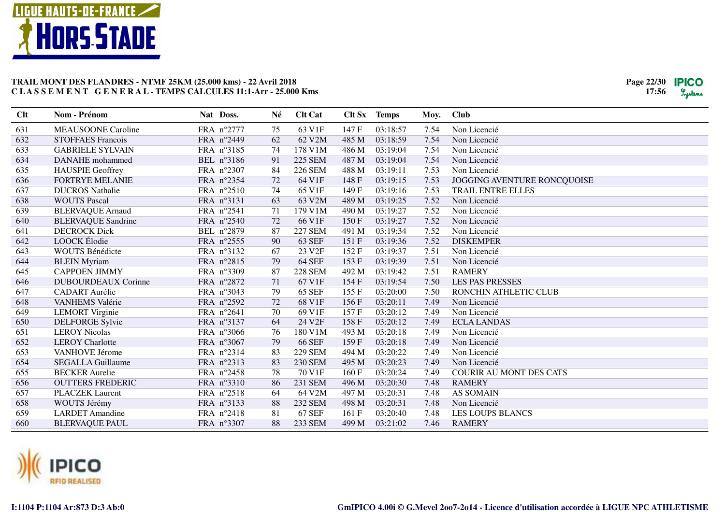

| <b>Clt</b> | Nom - Prénom               | Nat Doss.  | Né | <b>Clt Cat</b>     | Clt Sx | <b>Temps</b> | Moy. | <b>Club</b>                    |
|------------|----------------------------|------------|----|--------------------|--------|--------------|------|--------------------------------|
| 631        | <b>MEAUSOONE Caroline</b>  | FRA n°2777 | 75 | 63 V1F             | 147 F  | 03:18:57     | 7.54 | Non Licencié                   |
| 632        | <b>STOFFAES Francois</b>   | FRA n°2449 | 62 | 62 V2M             | 485 M  | 03:18:59     | 7.54 | Non Licencié                   |
| 633        | <b>GABRIELE SYLVAIN</b>    | FRA n°3185 | 74 | 178 V1M            | 486 M  | 03:19:04     | 7.54 | Non Licencié                   |
| 634        | DANAHE mohammed            | BEL n°3186 | 91 | <b>225 SEM</b>     | 487 M  | 03:19:04     | 7.54 | Non Licencié                   |
| 635        | <b>HAUSPIE Geoffrey</b>    | FRA n°2307 | 84 | <b>226 SEM</b>     | 488 M  | 03:19:11     | 7.53 | Non Licencié                   |
| 636        | <b>FORTRYE MELANIE</b>     | FRA n°2354 | 72 | 64 V1F             | 148 F  | 03:19:15     | 7.53 | JOGGING AVENTURE RONCQUOISE    |
| 637        | <b>DUCROS Nathalie</b>     | FRA n°2510 | 74 | 65 V1F             | 149F   | 03:19:16     | 7.53 | TRAIL ENTRE ELLES              |
| 638        | <b>WOUTS Pascal</b>        | FRA n°3131 | 63 | 63 V2M             | 489 M  | 03:19:25     | 7.52 | Non Licencié                   |
| 639        | <b>BLERVAQUE Arnaud</b>    | FRA n°2541 | 71 | 179 V1M            | 490 M  | 03:19:27     | 7.52 | Non Licencié                   |
| 640        | <b>BLERVAQUE Sandrine</b>  | FRA n°2540 | 72 | 66 V1F             | 150F   | 03:19:27     | 7.52 | Non Licencié                   |
| 641        | <b>DECROCK Dick</b>        | BEL n°2879 | 87 | <b>227 SEM</b>     | 491 M  | 03:19:34     | 7.52 | Non Licencié                   |
| 642        | <b>LOOCK</b> Élodie        | FRA n°2555 | 90 | <b>63 SEF</b>      | 151 F  | 03:19:36     | 7.52 | <b>DISKEMPER</b>               |
| 643        | WOUTS Bénédicte            | FRA n°3132 | 67 | 23 V2F             | 152F   | 03:19:37     | 7.51 | Non Licencié                   |
| 644        | <b>BLEIN</b> Myriam        | FRA n°2815 | 79 | <b>64 SEF</b>      | 153F   | 03:19:39     | 7.51 | Non Licencié                   |
| 645        | <b>CAPPOEN JIMMY</b>       | FRA n°3309 | 87 | <b>228 SEM</b>     | 492 M  | 03:19:42     | 7.51 | <b>RAMERY</b>                  |
| 646        | <b>DUBOURDEAUX Corinne</b> | FRA n°2872 | 71 | 67 V1F             | 154 F  | 03:19:54     | 7.50 | <b>LES PAS PRESSES</b>         |
| 647        | <b>CADART</b> Aurélie      | FRA n°3043 | 79 | <b>65 SEF</b>      | 155F   | 03:20:00     | 7.50 | RONCHIN ATHLETIC CLUB          |
| 648        | VANHEMS Valérie            | FRA n°2592 | 72 | 68 V1F             | 156F   | 03:20:11     | 7.49 | Non Licencié                   |
| 649        | <b>LEMORT</b> Virginie     | FRA n°2641 | 70 | 69 V1F             | 157F   | 03:20:12     | 7.49 | Non Licencié                   |
| 650        | <b>DELFORGE Sylvie</b>     | FRA n°3137 | 64 | 24 V <sub>2F</sub> | 158 F  | 03:20:12     | 7.49 | <b>ECLA LANDAS</b>             |
| 651        | <b>LEROY Nicolas</b>       | FRA n°3066 | 76 | 180 V1M            | 493 M  | 03:20:18     | 7.49 | Non Licencié                   |
| 652        | <b>LEROY Charlotte</b>     | FRA n°3067 | 79 | <b>66 SEF</b>      | 159 F  | 03:20:18     | 7.49 | Non Licencié                   |
| 653        | VANHOVE Jérome             | FRA n°2314 | 83 | <b>229 SEM</b>     | 494 M  | 03:20:22     | 7.49 | Non Licencié                   |
| 654        | <b>SEGALLA Guillaume</b>   | FRA n°2313 | 83 | 230 SEM            | 495 M  | 03:20:23     | 7.49 | Non Licencié                   |
| 655        | <b>BECKER</b> Aurelie      | FRA n°2458 | 78 | 70 V1F             | 160F   | 03:20:24     | 7.49 | <b>COURIR AU MONT DES CATS</b> |
| 656        | <b>OUTTERS FREDERIC</b>    | FRA n°3310 | 86 | 231 SEM            | 496 M  | 03:20:30     | 7.48 | <b>RAMERY</b>                  |
| 657        | <b>PLACZEK</b> Laurent     | FRA n°2518 | 64 | 64 V2M             | 497 M  | 03:20:31     | 7.48 | <b>AS SOMAIN</b>               |
| 658        | WOUTS Jérémy               | FRA nº3133 | 88 | 232 SEM            | 498 M  | 03:20:31     | 7.48 | Non Licencié                   |
| 659        | <b>LARDET</b> Amandine     | FRA n°2418 | 81 | <b>67 SEF</b>      | 161 F  | 03:20:40     | 7.48 | <b>LES LOUPS BLANCS</b>        |
| 660        | <b>BLERVAQUE PAUL</b>      | FRA n°3307 | 88 | 233 SEM            | 499 M  | 03:21:02     | 7.46 | <b>RAMERY</b>                  |

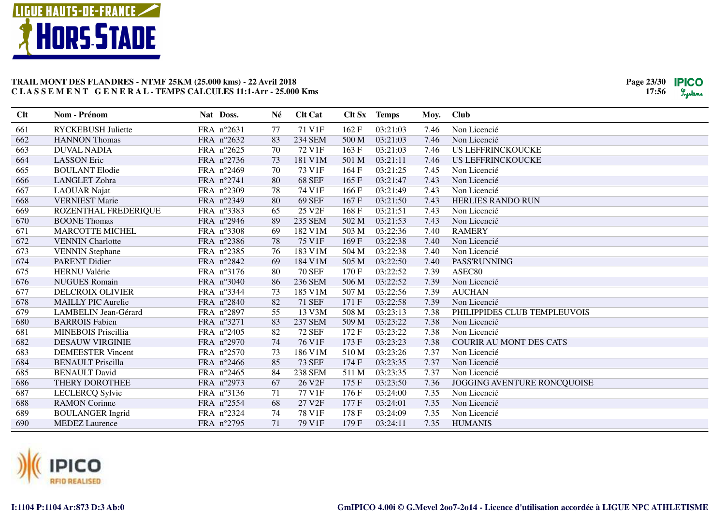

| Clt | Nom - Prénom                | Nat Doss.           | Né | <b>Clt Cat</b> |       | Clt Sx Temps | Moy. | <b>Club</b>                    |
|-----|-----------------------------|---------------------|----|----------------|-------|--------------|------|--------------------------------|
| 661 | <b>RYCKEBUSH Juliette</b>   | FRA n°2631          | 77 | 71 V1F         | 162F  | 03:21:03     | 7.46 | Non Licencié                   |
| 662 | <b>HANNON</b> Thomas        | FRA n°2632          | 83 | <b>234 SEM</b> | 500 M | 03:21:03     | 7.46 | Non Licencié                   |
| 663 | <b>DUVAL NADIA</b>          | FRA n°2625          | 70 | 72 V1F         | 163 F | 03:21:03     | 7.46 | <b>US LEFFRINCKOUCKE</b>       |
| 664 | <b>LASSON</b> Eric          | FRA n°2736          | 73 | 181 V1M        | 501 M | 03:21:11     | 7.46 | <b>US LEFFRINCKOUCKE</b>       |
| 665 | <b>BOULANT Elodie</b>       | FRA n°2469          | 70 | 73 V1F         | 164 F | 03:21:25     | 7.45 | Non Licencié                   |
| 666 | LANGLET Zohra               | FRA n°2741          | 80 | <b>68 SEF</b>  | 165 F | 03:21:47     | 7.43 | Non Licencié                   |
| 667 | <b>LAOUAR</b> Najat         | FRA n°2309          | 78 | 74 V1F         | 166 F | 03:21:49     | 7.43 | Non Licencié                   |
| 668 | <b>VERNIEST Marie</b>       | FRA n°2349          | 80 | <b>69 SEF</b>  | 167 F | 03:21:50     | 7.43 | HERLIES RANDO RUN              |
| 669 | ROZENTHAL FREDERIQUE        | FRA n°3383          | 65 | 25 V2F         | 168 F | 03:21:51     | 7.43 | Non Licencié                   |
| 670 | <b>BOONE</b> Thomas         | FRA n°2946          | 89 | 235 SEM        | 502 M | 03:21:53     | 7.43 | Non Licencié                   |
| 671 | <b>MARCOTTE MICHEL</b>      | FRA n°3308          | 69 | 182 V1M        | 503 M | 03:22:36     | 7.40 | <b>RAMERY</b>                  |
| 672 | <b>VENNIN</b> Charlotte     | FRA n°2386          | 78 | 75 V1F         | 169F  | 03:22:38     | 7.40 | Non Licencié                   |
| 673 | <b>VENNIN</b> Stephane      | FRA n°2385          | 76 | 183 V1M        | 504 M | 03:22:38     | 7.40 | Non Licencié                   |
| 674 | <b>PARENT Didier</b>        | FRA n°2842          | 69 | 184 V1M        | 505 M | 03:22:50     | 7.40 | <b>PASS'RUNNING</b>            |
| 675 | <b>HERNU</b> Valérie        | FRA n°3176          | 80 | <b>70 SEF</b>  | 170F  | 03:22:52     | 7.39 | ASEC80                         |
| 676 | <b>NUGUES Romain</b>        | FRA n°3040          | 86 | 236 SEM        | 506 M | 03:22:52     | 7.39 | Non Licencié                   |
| 677 | <b>DELCROIX OLIVIER</b>     | FRA n°3344          | 73 | 185 V1M        | 507 M | 03:22:56     | 7.39 | <b>AUCHAN</b>                  |
| 678 | <b>MAILLY PIC Aurelie</b>   | FRA n°2840          | 82 | <b>71 SEF</b>  | 171 F | 03:22:58     | 7.39 | Non Licencié                   |
| 679 | <b>LAMBELIN Jean-Gérard</b> | FRA n°2897          | 55 | 13 V3M         | 508 M | 03:23:13     | 7.38 | PHILIPPIDES CLUB TEMPLEUVOIS   |
| 680 | <b>BARROIS</b> Fabien       | FRA n°3271          | 83 | <b>237 SEM</b> | 509 M | 03:23:22     | 7.38 | Non Licencié                   |
| 681 | <b>MINEBOIS</b> Priscillia  | FRA n°2405          | 82 | <b>72 SEF</b>  | 172F  | 03:23:22     | 7.38 | Non Licencié                   |
| 682 | <b>DESAUW VIRGINIE</b>      | FRA n°2970          | 74 | 76 V1F         | 173 F | 03:23:23     | 7.38 | <b>COURIR AU MONT DES CATS</b> |
| 683 | <b>DEMEESTER Vincent</b>    | FRA n°2570          | 73 | 186 V1M        | 510 M | 03:23:26     | 7.37 | Non Licencié                   |
| 684 | <b>BENAULT Priscilla</b>    | FRA n°2466          | 85 | <b>73 SEF</b>  | 174 F | 03:23:35     | 7.37 | Non Licencié                   |
| 685 | <b>BENAULT</b> David        | FRA $n^{\circ}2465$ | 84 | <b>238 SEM</b> | 511 M | 03:23:35     | 7.37 | Non Licencié                   |
| 686 | THERY DOROTHEE              | FRA n°2973          | 67 | 26 V2F         | 175F  | 03:23:50     | 7.36 | JOGGING AVENTURE RONCQUOISE    |
| 687 | <b>LECLERCQ Sylvie</b>      | FRA nº3136          | 71 | 77 V1F         | 176 F | 03:24:00     | 7.35 | Non Licencié                   |
| 688 | <b>RAMON</b> Corinne        | FRA n°2554          | 68 | 27 V2F         | 177 F | 03:24:01     | 7.35 | Non Licencié                   |
| 689 | <b>BOULANGER</b> Ingrid     | FRA n°2324          | 74 | 78 V1F         | 178 F | 03:24:09     | 7.35 | Non Licencié                   |
| 690 | <b>MEDEZ Laurence</b>       | FRA n°2795          | 71 | 79 V1F         | 179F  | 03:24:11     | 7.35 | <b>HUMANIS</b>                 |

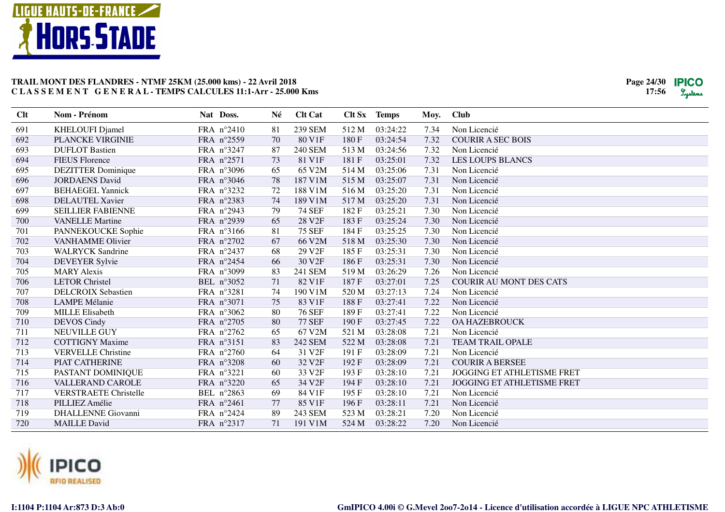

| Clt | <b>Nom - Prénom</b>          | Nat Doss.  | Né | <b>Clt Cat</b>     |       | Clt Sx Temps | Moy. | <b>Club</b>                       |
|-----|------------------------------|------------|----|--------------------|-------|--------------|------|-----------------------------------|
| 691 | <b>KHELOUFI Djamel</b>       | FRA n°2410 | 81 | 239 SEM            | 512 M | 03:24:22     | 7.34 | Non Licencié                      |
| 692 | PLANCKE VIRGINIE             | FRA n°2559 | 70 | 80 V1F             | 180F  | 03:24:54     | 7.32 | <b>COURIR A SEC BOIS</b>          |
| 693 | <b>DUFLOT Bastien</b>        | FRA n°3247 | 87 | <b>240 SEM</b>     | 513 M | 03:24:56     | 7.32 | Non Licencié                      |
| 694 | <b>FIEUS Florence</b>        | FRA n°2571 | 73 | 81 V1F             | 181 F | 03:25:01     | 7.32 | <b>LES LOUPS BLANCS</b>           |
| 695 | <b>DEZITTER Dominique</b>    | FRA n°3096 | 65 | 65 V2M             | 514 M | 03:25:06     | 7.31 | Non Licencié                      |
| 696 | <b>JORDAENS</b> David        | FRA n°3046 | 78 | 187 V1M            | 515 M | 03:25:07     | 7.31 | Non Licencié                      |
| 697 | <b>BEHAEGEL Yannick</b>      | FRA n°3232 | 72 | 188 V1M            | 516 M | 03:25:20     | 7.31 | Non Licencié                      |
| 698 | <b>DELAUTEL Xavier</b>       | FRA n°2383 | 74 | 189 V1M            | 517 M | 03:25:20     | 7.31 | Non Licencié                      |
| 699 | <b>SEILLIER FABIENNE</b>     | FRA n°2943 | 79 | <b>74 SEF</b>      | 182F  | 03:25:21     | 7.30 | Non Licencié                      |
| 700 | <b>VANELLE</b> Martine       | FRA n°2939 | 65 | 28 V2F             | 183 F | 03:25:24     | 7.30 | Non Licencié                      |
| 701 | PANNEKOUCKE Sophie           | FRA nº3166 | 81 | <b>75 SEF</b>      | 184 F | 03:25:25     | 7.30 | Non Licencié                      |
| 702 | <b>VANHAMME Olivier</b>      | FRA n°2702 | 67 | 66 V2M             | 518 M | 03:25:30     | 7.30 | Non Licencié                      |
| 703 | <b>WALRYCK Sandrine</b>      | FRA n°2437 | 68 | 29 V2F             | 185 F | 03:25:31     | 7.30 | Non Licencié                      |
| 704 | <b>DEVEYER Sylvie</b>        | FRA n°2454 | 66 | 30 V <sub>2F</sub> | 186 F | 03:25:31     | 7.30 | Non Licencié                      |
| 705 | <b>MARY Alexis</b>           | FRA n°3099 | 83 | 241 SEM            | 519 M | 03:26:29     | 7.26 | Non Licencié                      |
| 706 | <b>LETOR Christel</b>        | BEL n°3052 | 71 | 82 V1F             | 187F  | 03:27:01     | 7.25 | <b>COURIR AU MONT DES CATS</b>    |
| 707 | <b>DELCROIX Sebastien</b>    | FRA n°3281 | 74 | 190 V1M            | 520 M | 03:27:13     | 7.24 | Non Licencié                      |
| 708 | <b>LAMPE Mélanie</b>         | FRA n°3071 | 75 | 83 V1F             | 188F  | 03:27:41     | 7.22 | Non Licencié                      |
| 709 | <b>MILLE Elisabeth</b>       | FRA n°3062 | 80 | <b>76 SEF</b>      | 189 F | 03:27:41     | 7.22 | Non Licencié                      |
| 710 | <b>DEVOS Cindy</b>           | FRA n°2705 | 80 | <b>77 SEF</b>      | 190F  | 03:27:45     | 7.22 | <b>OA HAZEBROUCK</b>              |
| 711 | NEUVILLE GUY                 | FRA n°2762 | 65 | 67 V2M             | 521 M | 03:28:08     | 7.21 | Non Licencié                      |
| 712 | <b>COTTIGNY Maxime</b>       | FRA n°3151 | 83 | 242 SEM            | 522 M | 03:28:08     | 7.21 | TEAM TRAIL OPALE                  |
| 713 | <b>VERVELLE Christine</b>    | FRA n°2760 | 64 | 31 V2F             | 191 F | 03:28:09     | 7.21 | Non Licencié                      |
| 714 | PIAT CATHERINE               | FRA n°3208 | 60 | 32 V <sub>2F</sub> | 192F  | 03:28:09     | 7.21 | <b>COURIR A BERSEE</b>            |
| 715 | PASTANT DOMINIQUE            | FRA n°3221 | 60 | 33 V2F             | 193 F | 03:28:10     | 7.21 | <b>JOGGING ET ATHLETISME FRET</b> |
| 716 | <b>VALLERAND CAROLE</b>      | FRA n°3220 | 65 | 34 V2F             | 194 F | 03:28:10     | 7.21 | <b>JOGGING ET ATHLETISME FRET</b> |
| 717 | <b>VERSTRAETE Christelle</b> | BEL n°2863 | 69 | 84 V1F             | 195 F | 03:28:10     | 7.21 | Non Licencié                      |
| 718 | PILLIEZ Amélie               | FRA n°2461 | 77 | 85 V1F             | 196F  | 03:28:11     | 7.21 | Non Licencié                      |
| 719 | <b>DHALLENNE</b> Giovanni    | FRA n°2424 | 89 | 243 SEM            | 523 M | 03:28:21     | 7.20 | Non Licencié                      |
| 720 | <b>MAILLE David</b>          | FRA n°2317 | 71 | 191 V1M            | 524 M | 03:28:22     | 7.20 | Non Licencié                      |

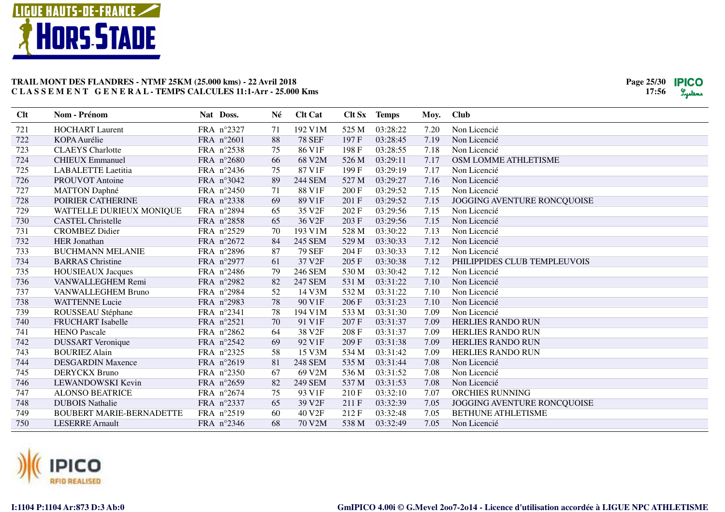

| Clt | <b>Nom - Prénom</b>             | Nat Doss.  | Né | <b>Clt Cat</b>     |       | Clt Sx Temps | Moy. | <b>Club</b>                        |
|-----|---------------------------------|------------|----|--------------------|-------|--------------|------|------------------------------------|
| 721 | <b>HOCHART Laurent</b>          | FRA n°2327 | 71 | 192 V1M            | 525 M | 03:28:22     | 7.20 | Non Licencié                       |
| 722 | <b>KOPA</b> Aurélie             | FRA n°2601 | 88 | <b>78 SEF</b>      | 197F  | 03:28:45     | 7.19 | Non Licencié                       |
| 723 | <b>CLAEYS</b> Charlotte         | FRA n°2538 | 75 | 86 V1F             | 198 F | 03:28:55     | 7.18 | Non Licencié                       |
| 724 | <b>CHIEUX</b> Emmanuel          | FRA n°2680 | 66 | 68 V2M             | 526 M | 03:29:11     | 7.17 | OSM LOMME ATHLETISME               |
| 725 | <b>LABALETTE Laetitia</b>       | FRA n°2436 | 75 | 87 V1F             | 199F  | 03:29:19     | 7.17 | Non Licencié                       |
| 726 | <b>PROUVOT</b> Antoine          | FRA n°3042 | 89 | <b>244 SEM</b>     | 527 M | 03:29:27     | 7.16 | Non Licencié                       |
| 727 | <b>MATTON Daphné</b>            | FRA n°2450 | 71 | 88 V1F             | 200 F | 03:29:52     | 7.15 | Non Licencié                       |
| 728 | POIRIER CATHERINE               | FRA n°2338 | 69 | 89 V1F             | 201 F | 03:29:52     | 7.15 | JOGGING AVENTURE RONCQUOISE        |
| 729 | WATTELLE DURIEUX MONIQUE        | FRA n°2894 | 65 | 35 V <sub>2F</sub> | 202 F | 03:29:56     | 7.15 | Non Licencié                       |
| 730 | <b>CASTEL Christelle</b>        | FRA n°2858 | 65 | 36 V <sub>2F</sub> | 203 F | 03:29:56     | 7.15 | Non Licencié                       |
| 731 | <b>CROMBEZ Didier</b>           | FRA n°2529 | 70 | 193 V1M            | 528 M | 03:30:22     | 7.13 | Non Licencié                       |
| 732 | <b>HER Jonathan</b>             | FRA n°2672 | 84 | 245 SEM            | 529 M | 03:30:33     | 7.12 | Non Licencié                       |
| 733 | <b>BUCHMANN MELANIE</b>         | FRA n°2896 | 87 | <b>79 SEF</b>      | 204 F | 03:30:33     | 7.12 | Non Licencié                       |
| 734 | <b>BARRAS</b> Christine         | FRA n°2977 | 61 | 37 V2F             | 205 F | 03:30:38     | 7.12 | PHILIPPIDES CLUB TEMPLEUVOIS       |
| 735 | <b>HOUSIEAUX Jacques</b>        | FRA n°2486 | 79 | 246 SEM            | 530 M | 03:30:42     | 7.12 | Non Licencié                       |
| 736 | VANWALLEGHEM Remi               | FRA n°2982 | 82 | 247 SEM            | 531 M | 03:31:22     | 7.10 | Non Licencié                       |
| 737 | VANWALLEGHEM Bruno              | FRA n°2984 | 52 | 14 V3M             | 532 M | 03:31:22     | 7.10 | Non Licencié                       |
| 738 | <b>WATTENNE Lucie</b>           | FRA n°2983 | 78 | 90 V1F             | 206 F | 03:31:23     | 7.10 | Non Licencié                       |
| 739 | ROUSSEAU Stéphane               | FRA n°2341 | 78 | 194 V1M            | 533 M | 03:31:30     | 7.09 | Non Licencié                       |
| 740 | <b>FRUCHART</b> Isabelle        | FRA n°2521 | 70 | 91 V1F             | 207F  | 03:31:37     | 7.09 | <b>HERLIES RANDO RUN</b>           |
| 741 | <b>HENO Pascale</b>             | FRA n°2862 | 64 | 38 V <sub>2F</sub> | 208 F | 03:31:37     | 7.09 | <b>HERLIES RANDO RUN</b>           |
| 742 | <b>DUSSART</b> Veronique        | FRA n°2542 | 69 | 92 V1F             | 209 F | 03:31:38     | 7.09 | <b>HERLIES RANDO RUN</b>           |
| 743 | <b>BOURIEZ Alain</b>            | FRA n°2325 | 58 | 15 V3M             | 534 M | 03:31:42     | 7.09 | <b>HERLIES RANDO RUN</b>           |
| 744 | <b>DESGARDIN Maxence</b>        | FRA n°2619 | 81 | <b>248 SEM</b>     | 535 M | 03:31:44     | 7.08 | Non Licencié                       |
| 745 | <b>DERYCKX Bruno</b>            | FRA n°2350 | 67 | 69 V2M             | 536 M | 03:31:52     | 7.08 | Non Licencié                       |
| 746 | LEWANDOWSKI Kevin               | FRA n°2659 | 82 | <b>249 SEM</b>     | 537 M | 03:31:53     | 7.08 | Non Licencié                       |
| 747 | <b>ALONSO BEATRICE</b>          | FRA n°2674 | 75 | 93 V1F             | 210F  | 03:32:10     | 7.07 | ORCHIES RUNNING                    |
| 748 | <b>DUBOIS Nathalie</b>          | FRA n°2337 | 65 | 39 V2F             | 211 F | 03:32:39     | 7.05 | <b>JOGGING AVENTURE RONCQUOISE</b> |
| 749 | <b>BOUBERT MARIE-BERNADETTE</b> | FRA n°2519 | 60 | 40 V <sub>2F</sub> | 212F  | 03:32:48     | 7.05 | <b>BETHUNE ATHLETISME</b>          |
| 750 | <b>LESERRE</b> Arnault          | FRA n°2346 | 68 | 70 V2M             | 538 M | 03:32:49     | 7.05 | Non Licencié                       |

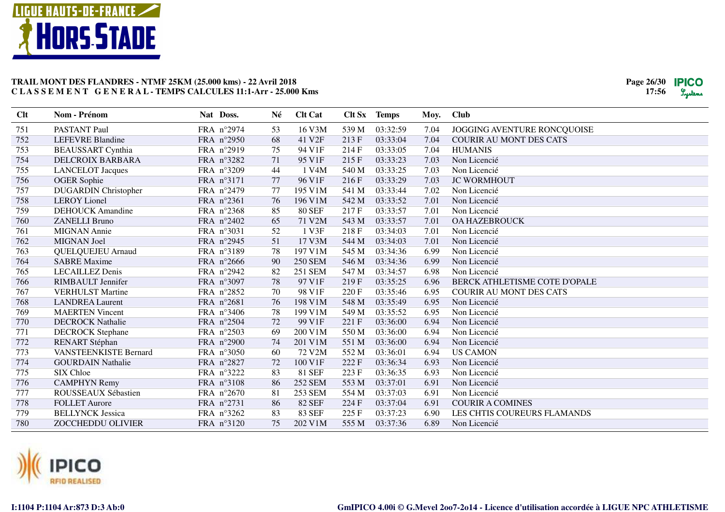

| <b>Clt</b> | Nom - Prénom                 | Nat Doss.  | Né | <b>Clt Cat</b>     |       | <b>Clt Sx</b> Temps | Moy. | <b>Club</b>                        |
|------------|------------------------------|------------|----|--------------------|-------|---------------------|------|------------------------------------|
| 751        | <b>PASTANT Paul</b>          | FRA n°2974 | 53 | 16 V3M             | 539 M | 03:32:59            | 7.04 | <b>JOGGING AVENTURE RONCQUOISE</b> |
| 752        | <b>LEFEVRE Blandine</b>      | FRA n°2950 | 68 | 41 V <sub>2F</sub> | 213F  | 03:33:04            | 7.04 | <b>COURIR AU MONT DES CATS</b>     |
| 753        | <b>BEAUSSART</b> Cynthia     | FRA n°2919 | 75 | 94 V1F             | 214 F | 03:33:05            | 7.04 | <b>HUMANIS</b>                     |
| 754        | DELCROIX BARBARA             | FRA n°3282 | 71 | 95 V1F             | 215F  | 03:33:23            | 7.03 | Non Licencié                       |
| 755        | <b>LANCELOT</b> Jacques      | FRA n°3209 | 44 | 1 V4M              | 540 M | 03:33:25            | 7.03 | Non Licencié                       |
| 756        | <b>OGER</b> Sophie           | FRA n°3171 | 77 | 96 V1F             | 216F  | 03:33:29            | 7.03 | <b>JC WORMHOUT</b>                 |
| 757        | <b>DUGARDIN</b> Christopher  | FRA n°2479 | 77 | 195 V1M            | 541 M | 03:33:44            | 7.02 | Non Licencié                       |
| 758        | <b>LEROY</b> Lionel          | FRA n°2361 | 76 | 196 V1M            | 542 M | 03:33:52            | 7.01 | Non Licencié                       |
| 759        | <b>DEHOUCK Amandine</b>      | FRA n°2368 | 85 | <b>80 SEF</b>      | 217F  | 03:33:57            | 7.01 | Non Licencié                       |
| 760        | <b>ZANELLI Bruno</b>         | FRA n°2402 | 65 | 71 V2M             | 543 M | 03:33:57            | 7.01 | <b>OA HAZEBROUCK</b>               |
| 761        | <b>MIGNAN</b> Annie          | FRA n°3031 | 52 | 1 V3F              | 218 F | 03:34:03            | 7.01 | Non Licencié                       |
| 762        | <b>MIGNAN</b> Joel           | FRA n°2945 | 51 | 17 V3M             | 544 M | 03:34:03            | 7.01 | Non Licencié                       |
| 763        | <b>QUELQUEJEU Arnaud</b>     | FRA n°3189 | 78 | 197 V1M            | 545 M | 03:34:36            | 6.99 | Non Licencié                       |
| 764        | <b>SABRE Maxime</b>          | FRA n°2666 | 90 | <b>250 SEM</b>     | 546 M | 03:34:36            | 6.99 | Non Licencié                       |
| 765        | <b>LECAILLEZ Denis</b>       | FRA n°2942 | 82 | 251 SEM            | 547 M | 03:34:57            | 6.98 | Non Licencié                       |
| 766        | <b>RIMBAULT</b> Jennifer     | FRA n°3097 | 78 | 97 V1F             | 219F  | 03:35:25            | 6.96 | BERCK ATHLETISME COTE D'OPALE      |
| 767        | <b>VERHULST Martine</b>      | FRA n°2852 | 70 | 98 V1F             | 220 F | 03:35:46            | 6.95 | <b>COURIR AU MONT DES CATS</b>     |
| 768        | <b>LANDREA Laurent</b>       | FRA n°2681 | 76 | 198 V1M            | 548 M | 03:35:49            | 6.95 | Non Licencié                       |
| 769        | <b>MAERTEN Vincent</b>       | FRA n°3406 | 78 | 199 V1M            | 549 M | 03:35:52            | 6.95 | Non Licencié                       |
| 770        | <b>DECROCK Nathalie</b>      | FRA n°2504 | 72 | 99 V1F             | 221 F | 03:36:00            | 6.94 | Non Licencié                       |
| 771        | <b>DECROCK</b> Stephane      | FRA n°2503 | 69 | 200 V1M            | 550 M | 03:36:00            | 6.94 | Non Licencié                       |
| 772        | RENART Stéphan               | FRA n°2900 | 74 | 201 V1M            | 551 M | 03:36:00            | 6.94 | Non Licencié                       |
| 773        | <b>VANSTEENKISTE Bernard</b> | FRA n°3050 | 60 | 72 V2M             | 552 M | 03:36:01            | 6.94 | <b>US CAMON</b>                    |
| 774        | <b>GOURDAIN Nathalie</b>     | FRA n°2827 | 72 | 100 V1F            | 222 F | 03:36:34            | 6.93 | Non Licencié                       |
| 775        | SIX Chloe                    | FRA n°3222 | 83 | <b>81 SEF</b>      | 223 F | 03:36:35            | 6.93 | Non Licencié                       |
| 776        | <b>CAMPHYN Remy</b>          | FRA n°3108 | 86 | <b>252 SEM</b>     | 553 M | 03:37:01            | 6.91 | Non Licencié                       |
| 777        | ROUSSEAUX Sébastien          | FRA n°2670 | 81 | <b>253 SEM</b>     | 554 M | 03:37:03            | 6.91 | Non Licencié                       |
| 778        | <b>FOLLET Aurore</b>         | FRA n°2731 | 86 | <b>82 SEF</b>      | 224 F | 03:37:04            | 6.91 | <b>COURIR A COMINES</b>            |
| 779        | <b>BELLYNCK Jessica</b>      | FRA n°3262 | 83 | <b>83 SEF</b>      | 225F  | 03:37:23            | 6.90 | LES CHTIS COUREURS FLAMANDS        |
| 780        | ZOCCHEDDU OLIVIER            | FRA n°3120 | 75 | 202 V1M            | 555 M | 03:37:36            | 6.89 | Non Licencié                       |

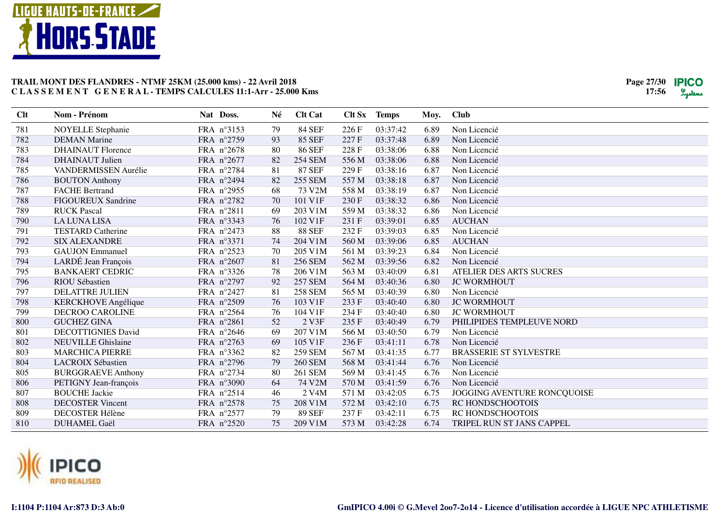

| Clt | Nom - Prénom                | Nat Doss.  | Né | <b>Clt Cat</b>     | Clt Sx | <b>Temps</b> | Moy. | <b>Club</b>                   |
|-----|-----------------------------|------------|----|--------------------|--------|--------------|------|-------------------------------|
| 781 | <b>NOYELLE</b> Stephanie    | FRA nº3153 | 79 | <b>84 SEF</b>      | 226 F  | 03:37:42     | 6.89 | Non Licencié                  |
| 782 | <b>DEMAN Marine</b>         | FRA n°2759 | 93 | 85 SEF             | 227 F  | 03:37:48     | 6.89 | Non Licencié                  |
| 783 | <b>DHAINAUT Florence</b>    | FRA n°2678 | 80 | 86 SEF             | 228 F  | 03:38:06     | 6.88 | Non Licencié                  |
| 784 | <b>DHAINAUT</b> Julien      | FRA n°2677 | 82 | <b>254 SEM</b>     | 556 M  | 03:38:06     | 6.88 | Non Licencié                  |
| 785 | <b>VANDERMISSEN Aurélie</b> | FRA n°2784 | 81 | <b>87 SEF</b>      | 229F   | 03:38:16     | 6.87 | Non Licencié                  |
| 786 | <b>BOUTON</b> Anthony       | FRA n°2494 | 82 | <b>255 SEM</b>     | 557 M  | 03:38:18     | 6.87 | Non Licencié                  |
| 787 | <b>FACHE Bertrand</b>       | FRA n°2955 | 68 | 73 V2M             | 558 M  | 03:38:19     | 6.87 | Non Licencié                  |
| 788 | <b>FIGOUREUX Sandrine</b>   | FRA n°2782 | 70 | 101 V1F            | 230 F  | 03:38:32     | 6.86 | Non Licencié                  |
| 789 | <b>RUCK Pascal</b>          | FRA n°2811 | 69 | 203 V1M            | 559 M  | 03:38:32     | 6.86 | Non Licencié                  |
| 790 | <b>LA LUNA LISA</b>         | FRA n°3343 | 76 | 102 V1F            | 231 F  | 03:39:01     | 6.85 | <b>AUCHAN</b>                 |
| 791 | <b>TESTARD Catherine</b>    | FRA n°2473 | 88 | <b>88 SEF</b>      | 232 F  | 03:39:03     | 6.85 | Non Licencié                  |
| 792 | <b>SIX ALEXANDRE</b>        | FRA n°3371 | 74 | 204 V1M            | 560 M  | 03:39:06     | 6.85 | <b>AUCHAN</b>                 |
| 793 | <b>GAUJON</b> Emmanuel      | FRA n°2523 | 70 | 205 V1M            | 561 M  | 03:39:23     | 6.84 | Non Licencié                  |
| 794 | LARDÉ Jean François         | FRA n°2607 | 81 | <b>256 SEM</b>     | 562 M  | 03:39:56     | 6.82 | Non Licencié                  |
| 795 | <b>BANKAERT CEDRIC</b>      | FRA n°3326 | 78 | 206 V1M            | 563 M  | 03:40:09     | 6.81 | ATELIER DES ARTS SUCRES       |
| 796 | RIOU Sébastien              | FRA n°2797 | 92 | <b>257 SEM</b>     | 564 M  | 03:40:36     | 6.80 | <b>JC WORMHOUT</b>            |
| 797 | <b>DELATTRE JULIEN</b>      | FRA n°2427 | 81 | <b>258 SEM</b>     | 565 M  | 03:40:39     | 6.80 | Non Licencié                  |
| 798 | <b>KERCKHOVE</b> Angélique  | FRA n°2509 | 76 | 103 V1F            | 233 F  | 03:40:40     | 6.80 | <b>JC WORMHOUT</b>            |
| 799 | <b>DECROO CAROLINE</b>      | FRA n°2564 | 76 | 104 V1F            | 234 F  | 03:40:40     | 6.80 | <b>JC WORMHOUT</b>            |
| 800 | <b>GUCHEZ GINA</b>          | FRA n°2861 | 52 | 2 V3F              | 235F   | 03:40:49     | 6.79 | PHILIPIDES TEMPLEUVE NORD     |
| 801 | <b>DECOTTIGNIES David</b>   | FRA n°2646 | 69 | 207 V1M            | 566 M  | 03:40:50     | 6.79 | Non Licencié                  |
| 802 | <b>NEUVILLE Ghislaine</b>   | FRA n°2763 | 69 | 105 V1F            | 236 F  | 03:41:11     | 6.78 | Non Licencié                  |
| 803 | <b>MARCHICA PIERRE</b>      | FRA nº3362 | 82 | <b>259 SEM</b>     | 567 M  | 03:41:35     | 6.77 | <b>BRASSERIE ST SYLVESTRE</b> |
| 804 | LACROIX Sébastien           | FRA n°2796 | 79 | <b>260 SEM</b>     | 568 M  | 03:41:44     | 6.76 | Non Licencié                  |
| 805 | <b>BURGGRAEVE Anthony</b>   | FRA n°2734 | 80 | <b>261 SEM</b>     | 569 M  | 03:41:45     | 6.76 | Non Licencié                  |
| 806 | PETIGNY Jean-françois       | FRA n°3090 | 64 | 74 V2M             | 570 M  | 03:41:59     | 6.76 | Non Licencié                  |
| 807 | <b>BOUCHE Jackie</b>        | FRA n°2514 | 46 | 2 V <sub>4</sub> M | 571 M  | 03:42:05     | 6.75 | JOGGING AVENTURE RONCQUOISE   |
| 808 | <b>DECOSTER Vincent</b>     | FRA n°2578 | 75 | 208 V1M            | 572 M  | 03:42:10     | 6.75 | RC HONDSCHOOTOIS              |
| 809 | <b>DECOSTER Hélène</b>      | FRA n°2577 | 79 | <b>89 SEF</b>      | 237 F  | 03:42:11     | 6.75 | RC HONDSCHOOTOIS              |
| 810 | <b>DUHAMEL Gaël</b>         | FRA n°2520 | 75 | 209 V1M            | 573 M  | 03:42:28     | 6.74 | TRIPEL RUN ST JANS CAPPEL     |

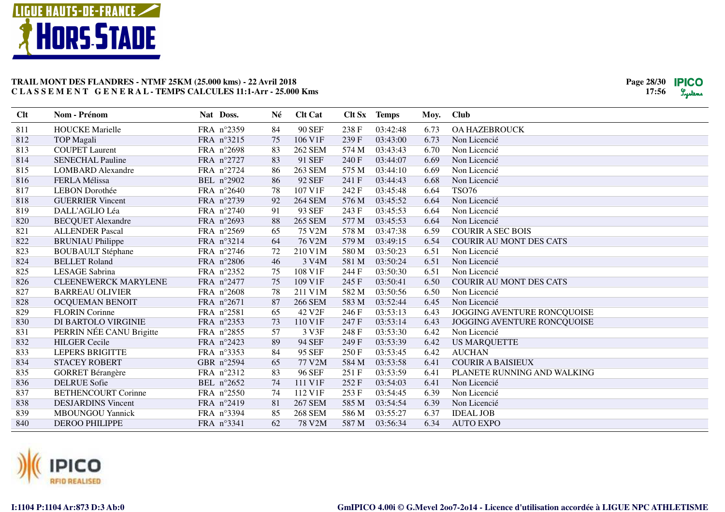

| Clt | Nom - Prénom                | Nat Doss.  | Né | <b>Clt Cat</b>     |       | Clt Sx Temps | Moy. | <b>Club</b>                    |
|-----|-----------------------------|------------|----|--------------------|-------|--------------|------|--------------------------------|
| 811 | <b>HOUCKE</b> Marielle      | FRA n°2359 | 84 | <b>90 SEF</b>      | 238 F | 03:42:48     | 6.73 | <b>OA HAZEBROUCK</b>           |
| 812 | <b>TOP Magali</b>           | FRA n°3215 | 75 | 106 V1F            | 239F  | 03:43:00     | 6.73 | Non Licencié                   |
| 813 | <b>COUPET Laurent</b>       | FRA n°2698 | 83 | <b>262 SEM</b>     | 574 M | 03:43:43     | 6.70 | Non Licencié                   |
| 814 | <b>SENECHAL Pauline</b>     | FRA n°2727 | 83 | 91 SEF             | 240 F | 03:44:07     | 6.69 | Non Licencié                   |
| 815 | <b>LOMBARD</b> Alexandre    | FRA n°2724 | 86 | <b>263 SEM</b>     | 575 M | 03:44:10     | 6.69 | Non Licencié                   |
| 816 | <b>FERLA Mélissa</b>        | BEL n°2902 | 86 | <b>92 SEF</b>      | 241 F | 03:44:43     | 6.68 | Non Licencié                   |
| 817 | <b>LEBON</b> Dorothée       | FRA n°2640 | 78 | 107 V1F            | 242 F | 03:45:48     | 6.64 | <b>TSO76</b>                   |
| 818 | <b>GUERRIER Vincent</b>     | FRA n°2739 | 92 | <b>264 SEM</b>     | 576 M | 03:45:52     | 6.64 | Non Licencié                   |
| 819 | DALL'AGLIO Léa              | FRA n°2740 | 91 | 93 SEF             | 243 F | 03:45:53     | 6.64 | Non Licencié                   |
| 820 | <b>BECQUET Alexandre</b>    | FRA n°2693 | 88 | <b>265 SEM</b>     | 577 M | 03:45:53     | 6.64 | Non Licencié                   |
| 821 | <b>ALLENDER Pascal</b>      | FRA n°2569 | 65 | 75 V2M             | 578 M | 03:47:38     | 6.59 | <b>COURIR A SEC BOIS</b>       |
| 822 | <b>BRUNIAU Philippe</b>     | FRA n°3214 | 64 | 76 V2M             | 579 M | 03:49:15     | 6.54 | <b>COURIR AU MONT DES CATS</b> |
| 823 | <b>BOUBAULT Stéphane</b>    | FRA n°2746 | 72 | 210 V1M            | 580 M | 03:50:23     | 6.51 | Non Licencié                   |
| 824 | <b>BELLET</b> Roland        | FRA n°2806 | 46 | 3 V <sub>4</sub> M | 581 M | 03:50:24     | 6.51 | Non Licencié                   |
| 825 | LESAGE Sabrina              | FRA n°2352 | 75 | 108 V1F            | 244 F | 03:50:30     | 6.51 | Non Licencié                   |
| 826 | <b>CLEENEWERCK MARYLENE</b> | FRA n°2477 | 75 | 109 V1F            | 245 F | 03:50:41     | 6.50 | <b>COURIR AU MONT DES CATS</b> |
| 827 | <b>BARREAU OLIVIER</b>      | FRA n°2608 | 78 | 211 V1M            | 582 M | 03:50:56     | 6.50 | Non Licencié                   |
| 828 | OCQUEMAN BENOIT             | FRA n°2671 | 87 | <b>266 SEM</b>     | 583 M | 03:52:44     | 6.45 | Non Licencié                   |
| 829 | <b>FLORIN</b> Corinne       | FRA n°2581 | 65 | 42 V2F             | 246 F | 03:53:13     | 6.43 | JOGGING AVENTURE RONCQUOISE    |
| 830 | DI BARTOLO VIRGINIE         | FRA n°2353 | 73 | 110 V1F            | 247 F | 03:53:14     | 6.43 | JOGGING AVENTURE RONCQUOISE    |
| 831 | PERRIN NÉE CANU Brigitte    | FRA n°2855 | 57 | 3 V3F              | 248 F | 03:53:30     | 6.42 | Non Licencié                   |
| 832 | <b>HILGER Cecile</b>        | FRA n°2423 | 89 | <b>94 SEF</b>      | 249 F | 03:53:39     | 6.42 | <b>US MARQUETTE</b>            |
| 833 | <b>LEPERS BRIGITTE</b>      | FRA n°3353 | 84 | 95 SEF             | 250 F | 03:53:45     | 6.42 | <b>AUCHAN</b>                  |
| 834 | <b>STACEY ROBERT</b>        | GBR n°2594 | 65 | 77 V2M             | 584 M | 03:53:58     | 6.41 | <b>COURIR A BAISIEUX</b>       |
| 835 | <b>GORRET Bérangère</b>     | FRA n°2312 | 83 | <b>96 SEF</b>      | 251 F | 03:53:59     | 6.41 | PLANETE RUNNING AND WALKING    |
| 836 | <b>DELRUE</b> Sofie         | BEL n°2652 | 74 | 111 V1F            | 252F  | 03:54:03     | 6.41 | Non Licencié                   |
| 837 | <b>BETHENCOURT Corinne</b>  | FRA n°2550 | 74 | 112 V1F            | 253 F | 03:54:45     | 6.39 | Non Licencié                   |
| 838 | <b>DESJARDINS Vincent</b>   | FRA n°2419 | 81 | <b>267 SEM</b>     | 585 M | 03:54:54     | 6.39 | Non Licencié                   |
| 839 | <b>MBOUNGOU Yannick</b>     | FRA n°3394 | 85 | <b>268 SEM</b>     | 586 M | 03:55:27     | 6.37 | <b>IDEAL JOB</b>               |
| 840 | <b>DEROO PHILIPPE</b>       | FRA n°3341 | 62 | 78 V2M             | 587 M | 03:56:34     | 6.34 | <b>AUTO EXPO</b>               |

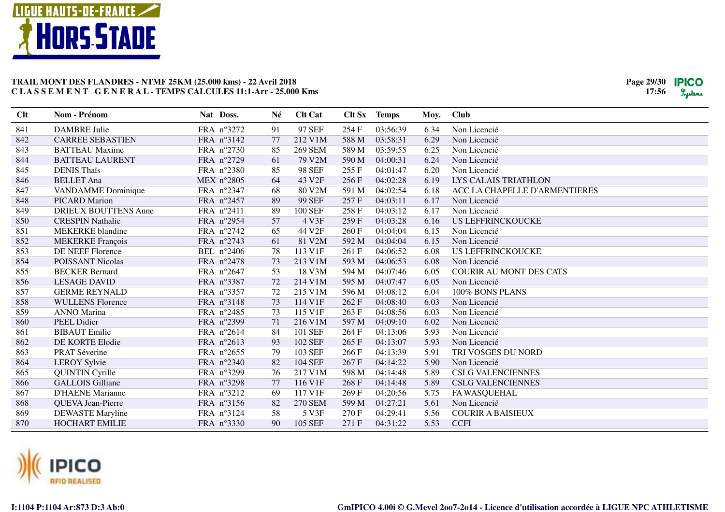

| 97 SEF<br>841<br><b>DAMBRE Julie</b><br>FRA nº3272<br>91<br>254 F<br>03:56:39<br>Non Licencié<br>6.34<br>842<br><b>CARREE SEBASTIEN</b><br>FRA n°3142<br>212 V1M<br>588 M<br>03:58:31<br>Non Licencié<br>77<br>6.29<br>843<br>FRA n°2730<br>85<br><b>269 SEM</b><br>589 M<br>03:59:55<br><b>BATTEAU</b> Maxime<br>6.25<br>Non Licencié<br>844<br>79 V2M<br>FRA n°2729<br>590 M<br>04:00:31<br>6.24<br>Non Licencié<br><b>BATTEAU LAURENT</b><br>61<br>845<br>FRA n°2380<br>85<br><b>98 SEF</b><br>255 F<br>04:01:47<br>Non Licencié<br><b>DENIS Thais</b><br>6.20 |  |
|-------------------------------------------------------------------------------------------------------------------------------------------------------------------------------------------------------------------------------------------------------------------------------------------------------------------------------------------------------------------------------------------------------------------------------------------------------------------------------------------------------------------------------------------------------------------|--|
|                                                                                                                                                                                                                                                                                                                                                                                                                                                                                                                                                                   |  |
|                                                                                                                                                                                                                                                                                                                                                                                                                                                                                                                                                                   |  |
|                                                                                                                                                                                                                                                                                                                                                                                                                                                                                                                                                                   |  |
|                                                                                                                                                                                                                                                                                                                                                                                                                                                                                                                                                                   |  |
|                                                                                                                                                                                                                                                                                                                                                                                                                                                                                                                                                                   |  |
| 846<br><b>BELLET</b> Ana<br>MEX $n^{\circ}2805$<br>64<br>43 V2F<br>04:02:28<br>LYS CALAIS TRIATHLON<br>256F<br>6.19                                                                                                                                                                                                                                                                                                                                                                                                                                               |  |
| 847<br><b>VANDAMME</b> Dominique<br>FRA n°2347<br>68<br>80 V2M<br>591 M<br>04:02:54<br>6.18<br>ACC LA CHAPELLE D'ARMENTIERES                                                                                                                                                                                                                                                                                                                                                                                                                                      |  |
| <b>99 SEF</b><br>848<br><b>PICARD Marion</b><br>FRA n°2457<br>89<br>257 F<br>04:03:11<br>Non Licencié<br>6.17                                                                                                                                                                                                                                                                                                                                                                                                                                                     |  |
| 849<br><b>DRIEUX BOUTTENS Anne</b><br>FRA n°2411<br>89<br><b>100 SEF</b><br>258 F<br>04:03:12<br>Non Licencié<br>6.17                                                                                                                                                                                                                                                                                                                                                                                                                                             |  |
| 850<br>FRA n°2954<br>57<br>4 V3F<br>259F<br>04:03:28<br>6.16<br><b>US LEFFRINCKOUCKE</b><br><b>CRESPIN Nathalie</b>                                                                                                                                                                                                                                                                                                                                                                                                                                               |  |
| 44 V <sub>2F</sub><br>851<br><b>MEKERKE</b> blandine<br>FRA n°2742<br>65<br>260 F<br>04:04:04<br>Non Licencié<br>6.15                                                                                                                                                                                                                                                                                                                                                                                                                                             |  |
| FRA n°2743<br>852<br><b>MEKERKE</b> François<br>61<br>81 V2M<br>592 M<br>04:04:04<br>Non Licencié<br>6.15                                                                                                                                                                                                                                                                                                                                                                                                                                                         |  |
| 853<br>113 V1F<br>DE NEEF Florence<br>BEL n°2406<br>78<br>261 F<br>04:06:52<br>6.08<br><b>US LEFFRINCKOUCKE</b>                                                                                                                                                                                                                                                                                                                                                                                                                                                   |  |
| 213 V1M<br>Non Licencié<br>854<br><b>POISSANT Nicolas</b><br>FRA n°2478<br>73<br>593 M<br>04:06:53<br>6.08                                                                                                                                                                                                                                                                                                                                                                                                                                                        |  |
| 855<br>FRA n°2647<br>18 V3M<br>04:07:46<br><b>BECKER Bernard</b><br>53<br>594 M<br><b>COURIR AU MONT DES CATS</b><br>6.05                                                                                                                                                                                                                                                                                                                                                                                                                                         |  |
| 856<br>214 V1M<br>04:07:47<br><b>LESAGE DAVID</b><br>FRA n°3387<br>72<br>595 M<br>6.05<br>Non Licencié                                                                                                                                                                                                                                                                                                                                                                                                                                                            |  |
| 857<br>FRA n°3357<br>215 V1M<br><b>GERME REYNALD</b><br>72<br>596 M<br>04:08:12<br>6.04<br>100% BONS PLANS                                                                                                                                                                                                                                                                                                                                                                                                                                                        |  |
| 858<br>FRA n°3148<br>114 V1F<br>Non Licencié<br><b>WULLENS Florence</b><br>73<br>262 F<br>04:08:40<br>6.03                                                                                                                                                                                                                                                                                                                                                                                                                                                        |  |
| 115 V1F<br>859<br><b>ANNO Marina</b><br>FRA n°2485<br>263 F<br>04:08:56<br>Non Licencié<br>73<br>6.03                                                                                                                                                                                                                                                                                                                                                                                                                                                             |  |
| 860<br><b>PEEL Didier</b><br>FRA n°2399<br>71<br>216 V1M<br>597 M<br>04:09:10<br>Non Licencié<br>6.02                                                                                                                                                                                                                                                                                                                                                                                                                                                             |  |
| <b>BIBAUT</b> Emilie<br>FRA n°2614<br>84<br>101 SEF<br>264 F<br>04:13:06<br>5.93<br>Non Licencié<br>861                                                                                                                                                                                                                                                                                                                                                                                                                                                           |  |
| FRA n°2613<br>102 SEF<br>862<br>DE KORTE Elodie<br>93<br>265F<br>04:13:07<br>5.93<br>Non Licencié                                                                                                                                                                                                                                                                                                                                                                                                                                                                 |  |
| 863<br>79<br>PRAT Séverine<br>FRA n°2655<br>103 SEF<br>266F<br>04:13:39<br>5.91<br>TRI VOSGES DU NORD                                                                                                                                                                                                                                                                                                                                                                                                                                                             |  |
| 104 SEF<br>864<br><b>LEROY Sylvie</b><br>FRA n°2340<br>82<br>267 F<br>5.90<br>Non Licencié<br>04:14:22                                                                                                                                                                                                                                                                                                                                                                                                                                                            |  |
| 865<br><b>QUINTIN Cyrille</b><br>FRA n°3299<br>217 V1M<br>04:14:48<br><b>CSLG VALENCIENNES</b><br>76<br>598 M<br>5.89                                                                                                                                                                                                                                                                                                                                                                                                                                             |  |
| 77<br>116 V1F<br>866<br><b>GALLOIS</b> Gilliane<br>FRA n°3298<br>268 F<br>04:14:48<br><b>CSLG VALENCIENNES</b><br>5.89                                                                                                                                                                                                                                                                                                                                                                                                                                            |  |
| 867<br>FRA n°3212<br>117 V1F<br><b>D'HAENE Marianne</b><br>69<br>269F<br>04:20:56<br>5.75<br>FA WASQUEHAL                                                                                                                                                                                                                                                                                                                                                                                                                                                         |  |
| 868<br>82<br>04:27:21<br>Non Licencié<br>QUEVA Jean-Pierre<br>FRA n°3156<br><b>270 SEM</b><br>599 M<br>5.61                                                                                                                                                                                                                                                                                                                                                                                                                                                       |  |
| 869<br><b>DEWASTE Maryline</b><br>FRA nº3124<br>58<br>5 V3F<br>270 F<br>04:29:41<br>5.56<br><b>COURIR A BAISIEUX</b>                                                                                                                                                                                                                                                                                                                                                                                                                                              |  |
| 870<br>5.53<br><b>CCFI</b><br><b>HOCHART EMILIE</b><br>FRA n°3330<br>90<br>105 SEF<br>271 F<br>04:31:22                                                                                                                                                                                                                                                                                                                                                                                                                                                           |  |